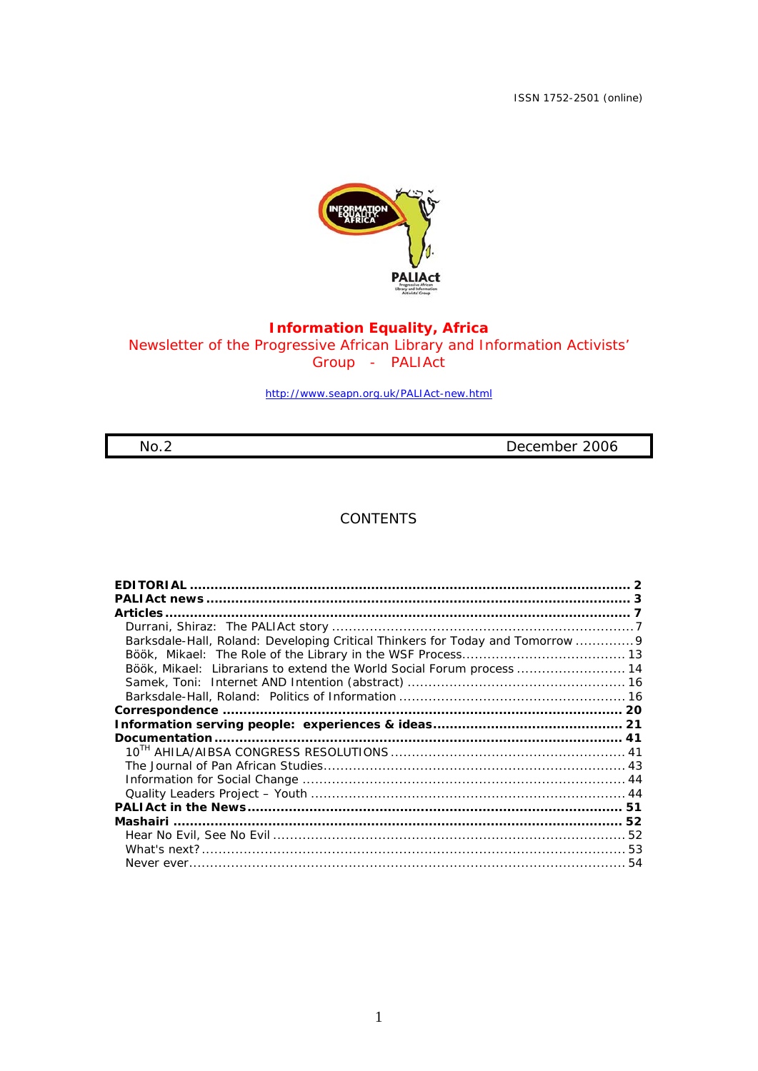ISSN 1752-2501 (online)



## **Information Equality, Africa**  Newsletter of the Progressive African Library and Information Activists' Group - PALIAct

http://www.seapn.org.uk/PALIAct-new.html

No.2 December 2006

#### CONTENTS

| <b>Articles</b>                                                                |  |
|--------------------------------------------------------------------------------|--|
|                                                                                |  |
| Barksdale-Hall, Roland: Developing Critical Thinkers for Today and Tomorrow  9 |  |
|                                                                                |  |
| Böök, Mikael: Librarians to extend the World Social Forum process  14          |  |
|                                                                                |  |
|                                                                                |  |
|                                                                                |  |
|                                                                                |  |
|                                                                                |  |
|                                                                                |  |
|                                                                                |  |
|                                                                                |  |
|                                                                                |  |
|                                                                                |  |
|                                                                                |  |
|                                                                                |  |
|                                                                                |  |
|                                                                                |  |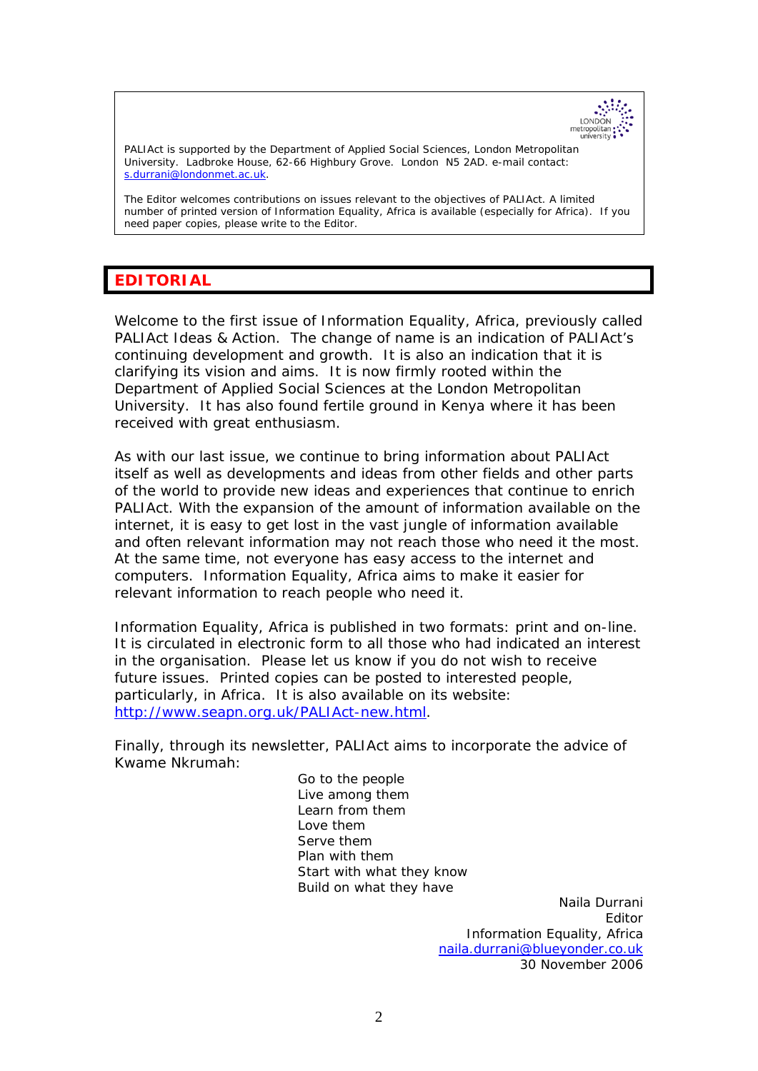

PALIAct is supported by the Department of Applied Social Sciences, London Metropolitan University. Ladbroke House, 62-66 Highbury Grove. London N5 2AD. e-mail contact: s.durrani@londonmet.ac.uk.

The Editor welcomes contributions on issues relevant to the objectives of PALIAct. A limited number of printed version of *Information Equality, Africa* is available (especially for Africa). If you need paper copies, please write to the Editor.

# **EDITORIAL**

Welcome to the first issue of *Information Equality, Africa*, previously called *PALIAct Ideas & Action*. The change of name is an indication of PALIAct's continuing development and growth. It is also an indication that it is clarifying its vision and aims. It is now firmly rooted within the Department of Applied Social Sciences at the London Metropolitan University. It has also found fertile ground in Kenya where it has been received with great enthusiasm.

As with our last issue, we continue to bring information about PALIAct itself as well as developments and ideas from other fields and other parts of the world to provide new ideas and experiences that continue to enrich PALIAct. With the expansion of the amount of information available on the internet, it is easy to get lost in the vast jungle of information available and often relevant information may not reach those who need it the most. At the same time, not everyone has easy access to the internet and computers. *Information Equality, Africa* aims to make it easier for relevant information to reach people who need it.

*Information Equality, Africa* is published in two formats: print and on-line. It is circulated in electronic form to all those who had indicated an interest in the organisation. Please let us know if you do not wish to receive future issues. Printed copies can be posted to interested people, particularly, in Africa. It is also available on its website: http://www.seapn.org.uk/PALIAct-new.html.

Finally, through its newsletter, PALIAct aims to incorporate the advice of Kwame Nkrumah:

> Go to the people Live among them Learn from them Love them Serve them Plan with them Start with what they know Build on what they have

 Naila Durrani ا با المساوت المساوت المساوت المساوت المساوت المساوت المساوت المساوت المساوت المساوت المساوت المساوت المساوت *Information Equality, Africa*  naila.durrani@blueyonder.co.uk 30 November 2006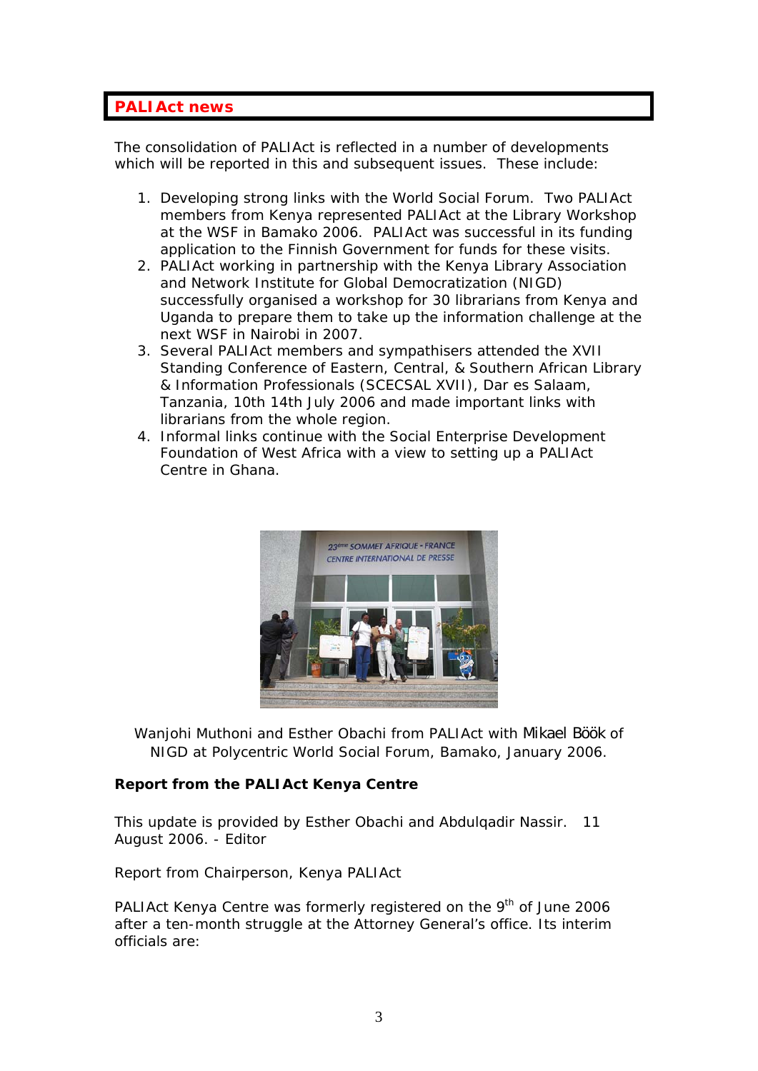# **PALIAct news**

The consolidation of PALIAct is reflected in a number of developments which will be reported in this and subsequent issues. These include:

- 1. Developing strong links with the World Social Forum. Two PALIAct members from Kenya represented PALIAct at the Library Workshop at the WSF in Bamako 2006. PALIAct was successful in its funding application to the Finnish Government for funds for these visits.
- 2. PALIAct working in partnership with the Kenya Library Association and Network Institute for Global Democratization (NIGD) successfully organised a workshop for 30 librarians from Kenya and Uganda to prepare them to take up the information challenge at the next WSF in Nairobi in 2007.
- 3. Several PALIAct members and sympathisers attended the XVII Standing Conference of Eastern, Central, & Southern African Library & Information Professionals (SCECSAL XVII), Dar es Salaam, Tanzania, 10th 14th July 2006 and made important links with librarians from the whole region.
- 4. Informal links continue with the Social Enterprise Development Foundation of West Africa with a view to setting up a PALIAct Centre in Ghana.



*Wanjohi Muthoni and Esther Obachi from PALIAct with Mikael Böök of NIGD at Polycentric World Social Forum, Bamako, January 2006.*

# **Report from the PALIAct Kenya Centre**

*This update is provided by Esther Obachi and Abdulqadir Nassir. 11 August 2006. - Editor* 

Report from Chairperson, Kenya PALIAct

PALIAct Kenya Centre was formerly registered on the  $9<sup>th</sup>$  of June 2006 after a ten-month struggle at the Attorney General's office. Its interim officials are: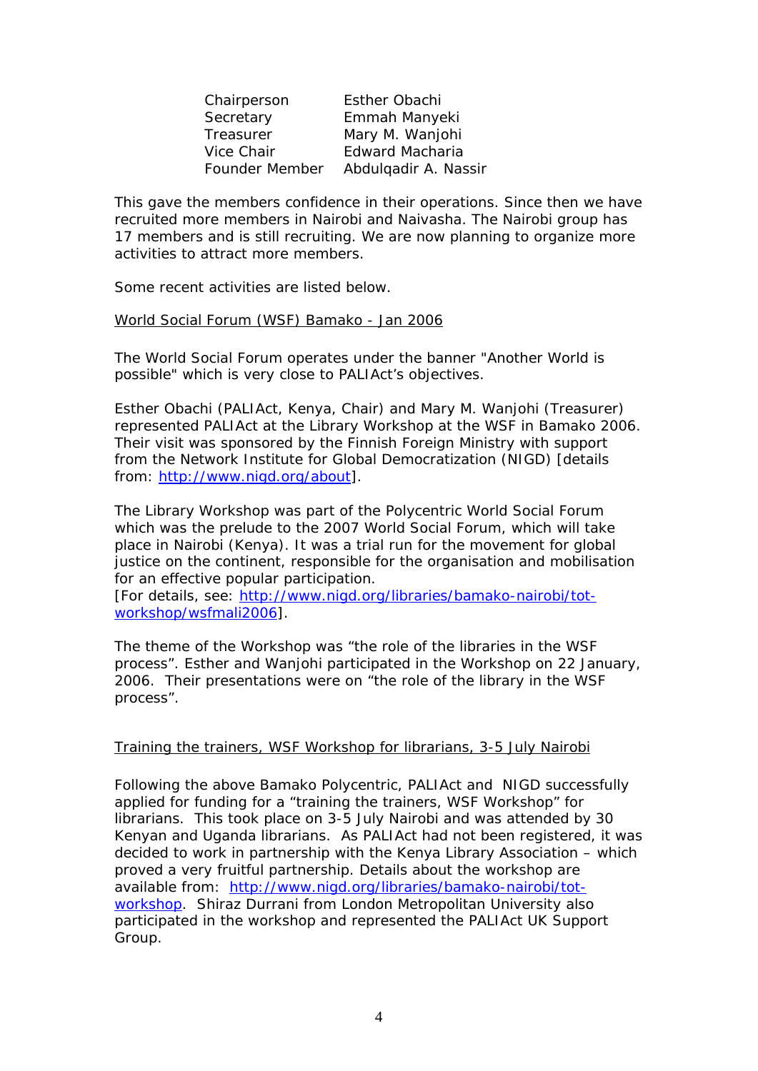| Chairperson    | Esther Obachi        |
|----------------|----------------------|
| Secretary      | Emmah Manyeki        |
| Treasurer      | Mary M. Wanjohi      |
| Vice Chair     | Edward Macharia      |
| Founder Member | Abdulgadir A. Nassir |

This gave the members confidence in their operations. Since then we have recruited more members in Nairobi and Naivasha. The Nairobi group has 17 members and is still recruiting. We are now planning to organize more activities to attract more members.

Some recent activities are listed below.

#### World Social Forum (WSF) Bamako - Jan 2006

The World Social Forum operates under the banner "Another World is possible" which is very close to PALIAct's objectives.

Esther Obachi (PALIAct, Kenya, Chair) and Mary M. Wanjohi (Treasurer) represented PALIAct at the Library Workshop at the WSF in Bamako 2006. Their visit was sponsored by the Finnish Foreign Ministry with support from the Network Institute for Global Democratization (NIGD) [details from: http://www.nigd.org/about].

The Library Workshop was part of the Polycentric World Social Forum which was the prelude to the 2007 World Social Forum, which will take place in Nairobi (Kenya). It was a trial run for the movement for global justice on the continent, responsible for the organisation and mobilisation for an effective popular participation.

[For details, see: http://www.nigd.org/libraries/bamako-nairobi/totworkshop/wsfmali2006].

The theme of the Workshop was "the role of the libraries in the WSF process". Esther and Wanjohi participated in the Workshop on 22 January, 2006. Their presentations were on "the role of the library in the WSF process".

#### Training the trainers, WSF Workshop for librarians, 3-5 July Nairobi

Following the above Bamako Polycentric, PALIAct and NIGD successfully applied for funding for a "training the trainers, WSF Workshop" for librarians. This took place on 3-5 July Nairobi and was attended by 30 Kenyan and Uganda librarians. As PALIAct had not been registered, it was decided to work in partnership with the Kenya Library Association – which proved a very fruitful partnership. Details about the workshop are available from: http://www.nigd.org/libraries/bamako-nairobi/totworkshop. Shiraz Durrani from London Metropolitan University also participated in the workshop and represented the PALIAct UK Support Group.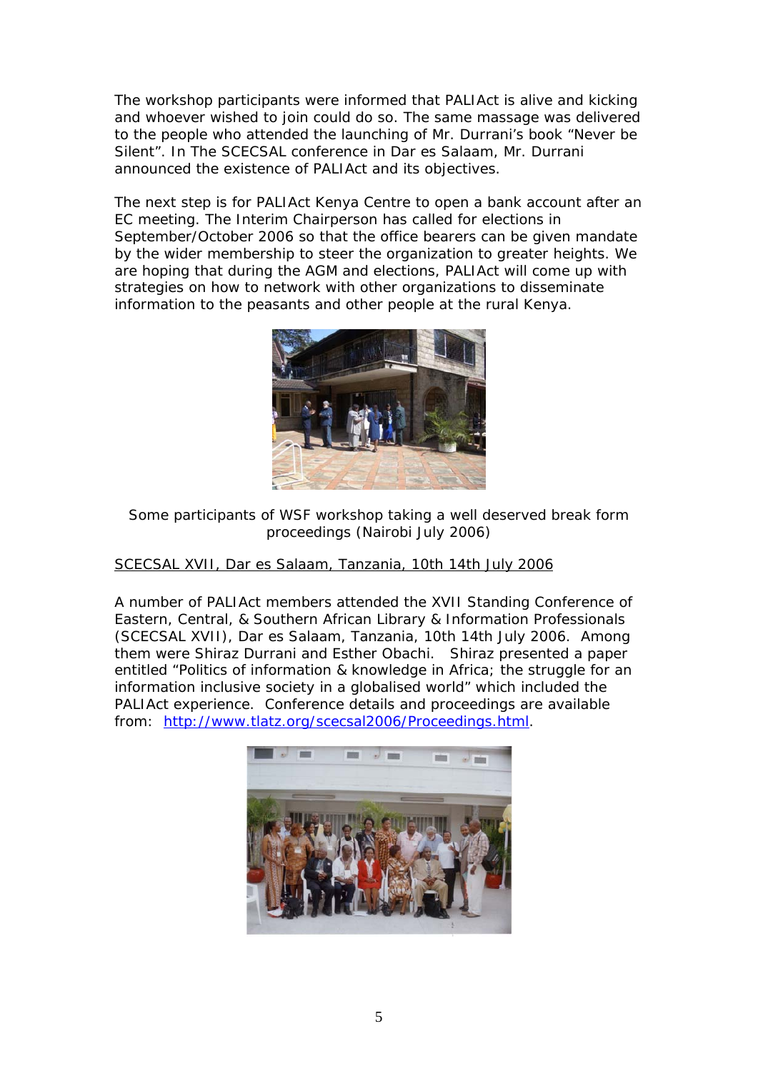The workshop participants were informed that PALIAct is alive and kicking and whoever wished to join could do so. The same massage was delivered to the people who attended the launching of Mr. Durrani's book "Never be Silent". In The SCECSAL conference in Dar es Salaam, Mr. Durrani announced the existence of PALIAct and its objectives.

The next step is for PALIAct Kenya Centre to open a bank account after an EC meeting. The Interim Chairperson has called for elections in September/October 2006 so that the office bearers can be given mandate by the wider membership to steer the organization to greater heights. We are hoping that during the AGM and elections, PALIAct will come up with strategies on how to network with other organizations to disseminate information to the peasants and other people at the rural Kenya.



*Some participants of WSF workshop taking a well deserved break form proceedings (Nairobi July 2006)* 

# SCECSAL XVII, Dar es Salaam, Tanzania, 10th 14th July 2006

A number of PALIAct members attended the XVII Standing Conference of Eastern, Central, & Southern African Library & Information Professionals (SCECSAL XVII), Dar es Salaam, Tanzania, 10th 14th July 2006. Among them were Shiraz Durrani and Esther Obachi. Shiraz presented a paper entitled "Politics of information & knowledge in Africa; the struggle for an information inclusive society in a globalised world" which included the PALIAct experience. Conference details and proceedings are available from: http://www.tlatz.org/scecsal2006/Proceedings.html.

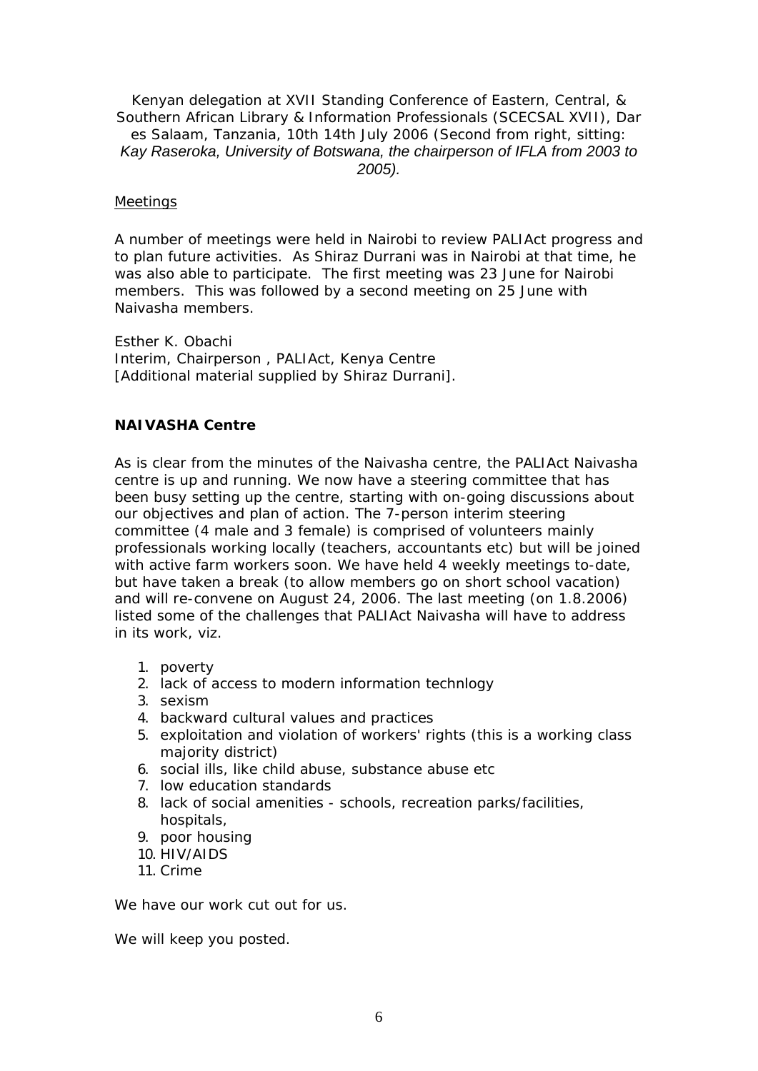## *Kenyan delegation at XVII Standing Conference of Eastern, Central, & Southern African Library & Information Professionals (SCECSAL XVII), Dar es Salaam, Tanzania, 10th 14th July 2006 (Second from right, sitting: Kay Raseroka, University of Botswana, the chairperson of IFLA from 2003 to 2005).*

#### Meetings

A number of meetings were held in Nairobi to review PALIAct progress and to plan future activities. As Shiraz Durrani was in Nairobi at that time, he was also able to participate. The first meeting was 23 June for Nairobi members. This was followed by a second meeting on 25 June with Naivasha members.

Esther K. Obachi Interim, Chairperson , PALIAct, Kenya Centre *[Additional material supplied by Shiraz Durrani].* 

#### **NAIVASHA Centre**

As is clear from the minutes of the Naivasha centre, the PALIAct Naivasha centre is up and running. We now have a steering committee that has been busy setting up the centre, starting with on-going discussions about our objectives and plan of action. The 7-person interim steering committee (4 male and 3 female) is comprised of volunteers mainly professionals working locally (teachers, accountants etc) but will be joined with active farm workers soon. We have held 4 weekly meetings to-date, but have taken a break (to allow members go on short school vacation) and will re-convene on August 24, 2006. The last meeting (on 1.8.2006) listed some of the challenges that PALIAct Naivasha will have to address in its work, viz.

- 1. poverty
- 2. lack of access to modern information technlogy
- 3. sexism
- 4. backward cultural values and practices
- 5. exploitation and violation of workers' rights (this is a working class majority district)
- 6. social ills, like child abuse, substance abuse etc
- 7. low education standards
- 8. lack of social amenities schools, recreation parks/facilities, hospitals,
- 9. poor housing
- 10. HIV/AIDS
- 11. Crime

We have our work cut out for us.

We will keep you posted.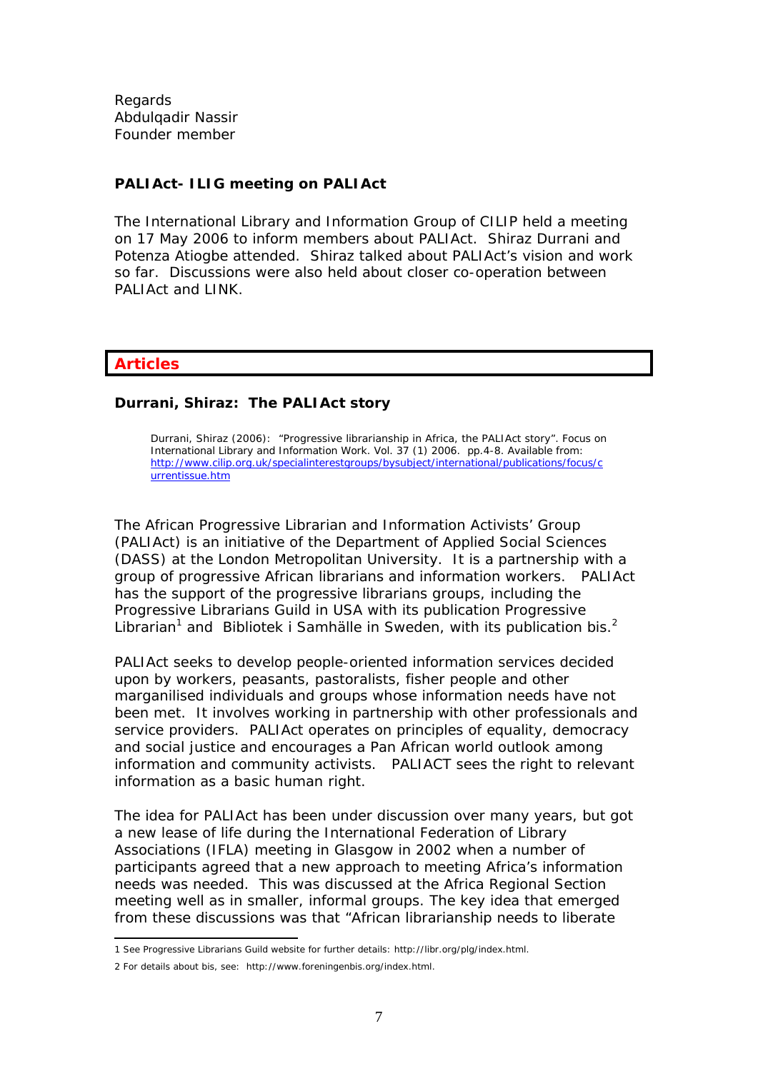Regards Abdulqadir Nassir Founder member

## *PALIAct- ILIG meeting on PALIAct*

The International Library and Information Group of CILIP held a meeting on 17 May 2006 to inform members about PALIAct. Shiraz Durrani and Potenza Atiogbe attended. Shiraz talked about PALIAct's vision and work so far. Discussions were also held about closer co-operation between PALIAct and LINK.

## **Articles**

#### **Durrani, Shiraz: The PALIAct story**

Durrani, Shiraz (2006): "Progressive librarianship in Africa, the PALIAct story". *Focus on International Library and Information Work*. Vol. 37 (1) 2006. pp.4-8. Available from: http://www.cilip.org.uk/specialinterestgroups/bysubject/international/publications/focus/c urrentissue.htm

The African Progressive Librarian and Information Activists' Group (PALIAct) is an initiative of the Department of Applied Social Sciences (DASS) at the London Metropolitan University. It is a partnership with a group of progressive African librarians and information workers. PALIAct has the support of the progressive librarians groups, including the Progressive Librarians Guild in USA with its publication *Progressive Librarian*<sup>1</sup> and Bibliotek i Samhälle in Sweden, with its publication *bis*. 2

PALIAct seeks to develop people-oriented information services decided upon by workers, peasants, pastoralists, fisher people and other marganilised individuals and groups whose information needs have not been met. It involves working in partnership with other professionals and service providers. PALIAct operates on principles of equality, democracy and social justice and encourages a Pan African world outlook among information and community activists. PALIACT sees the right to relevant information as a basic human right.

The idea for PALIAct has been under discussion over many years, but got a new lease of life during the International Federation of Library Associations (IFLA) meeting in Glasgow in 2002 when a number of participants agreed that a new approach to meeting Africa's information needs was needed. This was discussed at the Africa Regional Section meeting well as in smaller, informal groups. The key idea that emerged from these discussions was that "African librarianship needs to liberate

 1 See Progressive Librarians Guild website for further details: http://libr.org/plg/index.html.

<sup>2</sup> For details about bis, see: http://www.foreningenbis.org/index.html.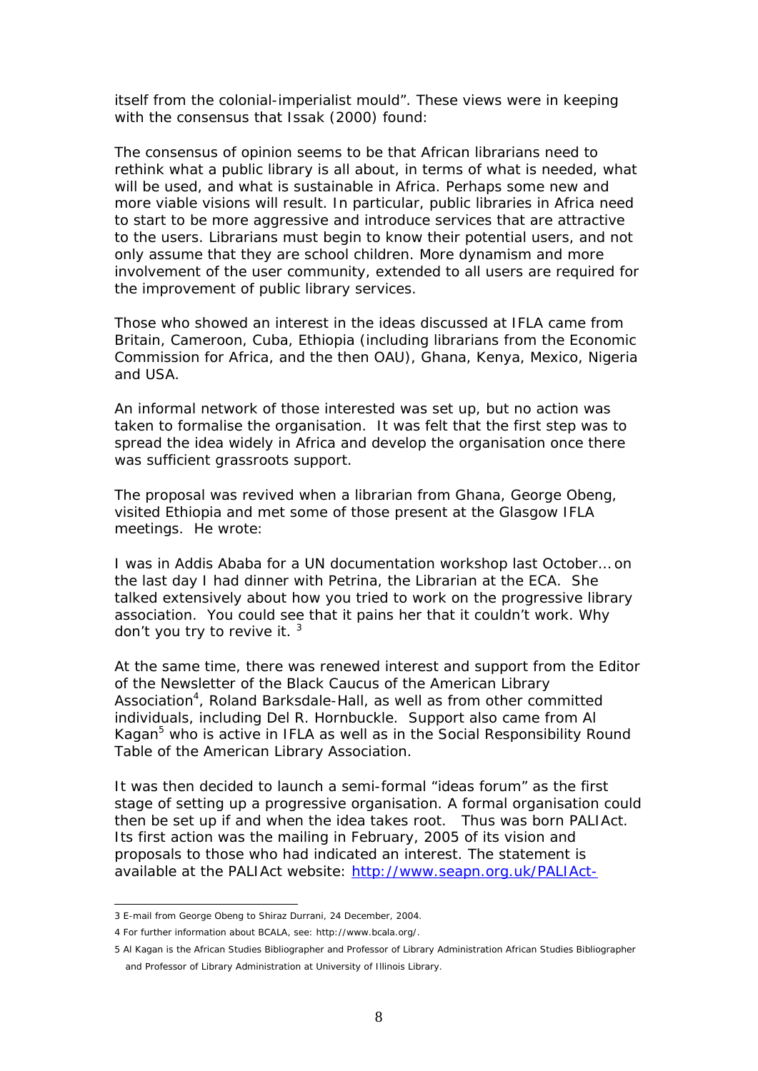itself from the colonial-imperialist mould". These views were in keeping with the consensus that Issak (2000) found:

The consensus of opinion seems to be that African librarians need to rethink what a public library is all about, in terms of what is needed, what will be used, and what is sustainable in Africa. Perhaps some new and more viable visions will result. In particular, public libraries in Africa need to start to be more aggressive and introduce services that are attractive to the users. Librarians must begin to know their potential users, and not only assume that they are school children. More dynamism and more involvement of the user community, extended to all users are required for the improvement of public library services.

Those who showed an interest in the ideas discussed at IFLA came from Britain, Cameroon, Cuba, Ethiopia (including librarians from the Economic Commission for Africa, and the then OAU), Ghana, Kenya, Mexico, Nigeria and USA.

An informal network of those interested was set up, but no action was taken to formalise the organisation. It was felt that the first step was to spread the idea widely in Africa and develop the organisation once there was sufficient grassroots support.

The proposal was revived when a librarian from Ghana, George Obeng, visited Ethiopia and met some of those present at the Glasgow IFLA meetings. He wrote:

I was in Addis Ababa for a UN documentation workshop last October… on the last day I had dinner with Petrina, the Librarian at the ECA. She talked extensively about how you tried to work on the progressive library association. You could see that it pains her that it couldn't work. Why don't you try to revive it.  $3$ 

At the same time, there was renewed interest and support from the Editor of the Newsletter of the Black Caucus of the American Library Association<sup>4</sup>, Roland Barksdale-Hall, as well as from other committed individuals, including Del R. Hornbuckle. Support also came from Al Kagan<sup>5</sup> who is active in IFLA as well as in the Social Responsibility Round Table of the American Library Association.

It was then decided to launch a semi-formal "ideas forum" as the first stage of setting up a progressive organisation. A formal organisation could then be set up if and when the idea takes root. Thus was born PALIAct. Its first action was the mailing in February, 2005 of its vision and proposals to those who had indicated an interest. The statement is available at the PALIAct website: http://www.seapn.org.uk/PALIAct-

1

<sup>3</sup> E-mail from George Obeng to Shiraz Durrani, 24 December, 2004.

<sup>4</sup> For further information about BCALA, see: http://www.bcala.org/.

<sup>5</sup> Al Kagan is the African Studies Bibliographer and Professor of Library Administration African Studies Bibliographer and Professor of Library Administration at University of Illinois Library.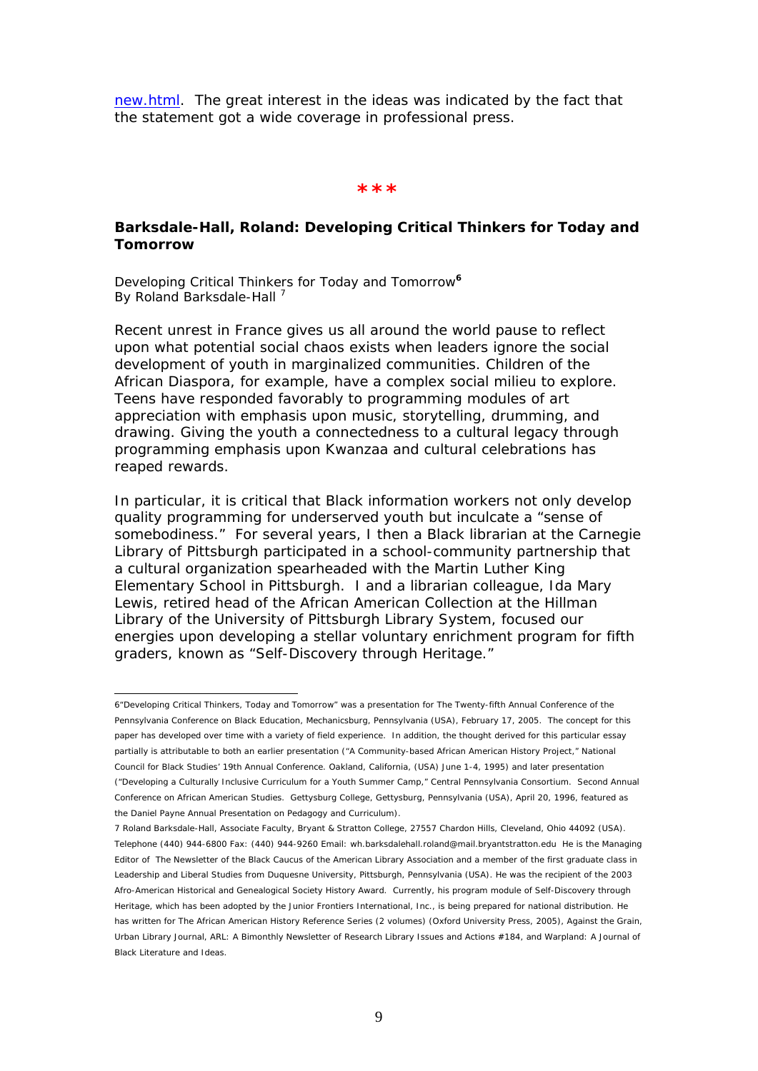new.html. The great interest in the ideas was indicated by the fact that the statement got a wide coverage in professional press.

#### **\*\*\***

#### **Barksdale-Hall, Roland: Developing Critical Thinkers for Today and Tomorrow**

Developing Critical Thinkers for Today and Tomorrow*<sup>6</sup>* By Roland Barksdale-Hall<sup>7</sup>

Recent unrest in France gives us all around the world pause to reflect upon what potential social chaos exists when leaders ignore the social development of youth in marginalized communities. Children of the African Diaspora, for example, have a complex social milieu to explore. Teens have responded favorably to programming modules of art appreciation with emphasis upon music, storytelling, drumming, and drawing. Giving the youth a connectedness to a cultural legacy through programming emphasis upon Kwanzaa and cultural celebrations has reaped rewards.

In particular, it is critical that Black information workers not only develop quality programming for underserved youth but inculcate a "sense of somebodiness." For several years, I then a Black librarian at the Carnegie Library of Pittsburgh participated in a school-community partnership that a cultural organization spearheaded with the Martin Luther King Elementary School in Pittsburgh. I and a librarian colleague, Ida Mary Lewis, retired head of the African American Collection at the Hillman Library of the University of Pittsburgh Library System, focused our energies upon developing a stellar voluntary enrichment program for fifth graders, known as "Self-Discovery through Heritage."

 6"Developing Critical Thinkers, Today and Tomorrow" was a presentation for The Twenty-fifth Annual Conference of the Pennsylvania Conference on Black Education, Mechanicsburg, Pennsylvania (USA), February 17, 2005. The concept for this paper has developed over time with a variety of field experience. In addition, the thought derived for this particular essay partially is attributable to both an earlier presentation ("A Community-based African American History Project," National Council for Black Studies' 19th Annual Conference. Oakland, California, (USA) June 1-4, 1995) and later presentation ("Developing a Culturally Inclusive Curriculum for a Youth Summer Camp," Central Pennsylvania Consortium. Second Annual Conference on African American Studies. Gettysburg College, Gettysburg, Pennsylvania (USA), April 20, 1996, featured as the Daniel Payne Annual Presentation on Pedagogy and Curriculum).

<sup>7</sup> Roland Barksdale-Hall, Associate Faculty, Bryant & Stratton College, 27557 Chardon Hills, Cleveland, Ohio 44092 (USA). Telephone (440) 944-6800 Fax: (440) 944-9260 Email: wh.barksdalehall.roland@mail.bryantstratton.edu He is the Managing Editor of The Newsletter of the Black Caucus of the American Library Association and a member of the first graduate class in Leadership and Liberal Studies from Duquesne University, Pittsburgh, Pennsylvania (USA). He was the recipient of the 2003 Afro-American Historical and Genealogical Society History Award. Currently, his program module of Self-Discovery through Heritage, which has been adopted by the Junior Frontiers International, Inc., is being prepared for national distribution. He has written for The African American History Reference Series (2 volumes) (Oxford University Press, 2005), Against the Grain, Urban Library Journal, ARL: A Bimonthly Newsletter of Research Library Issues and Actions #184, and Warpland: A Journal of Black Literature and Ideas.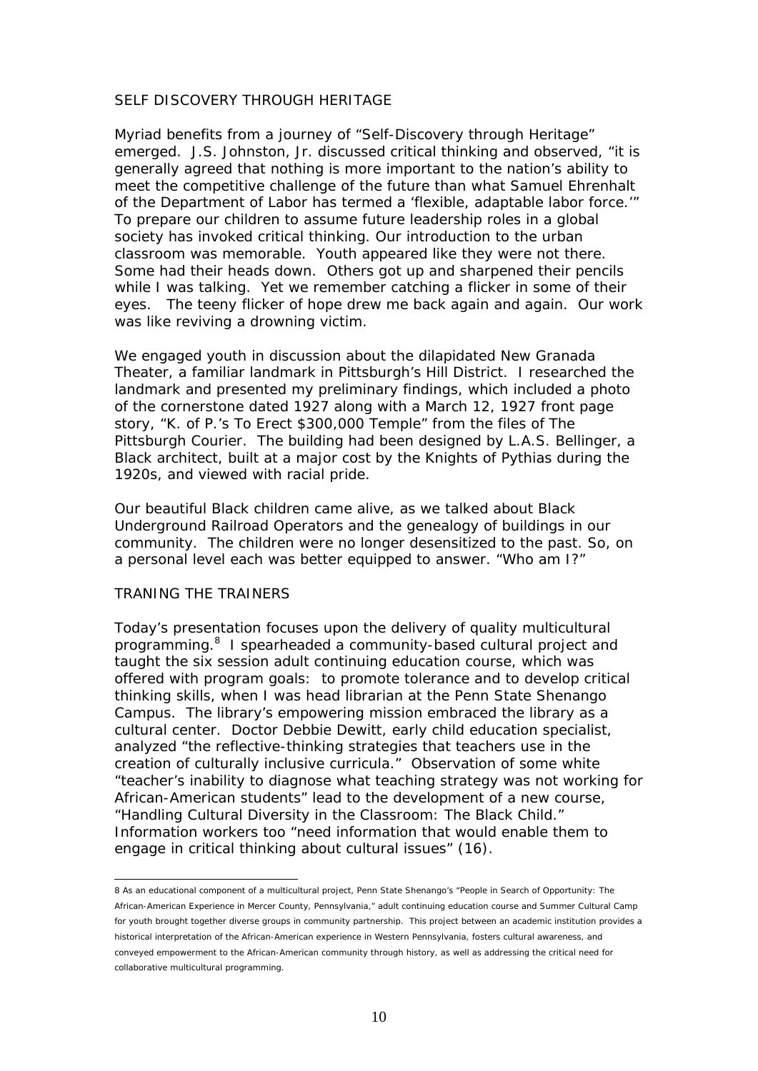#### SELF DISCOVERY THROUGH HERITAGE

Myriad benefits from a journey of "Self-Discovery through Heritage" emerged. J.S. Johnston, Jr. discussed critical thinking and observed, "it is generally agreed that nothing is more important to the nation's ability to meet the competitive challenge of the future than what Samuel Ehrenhalt of the Department of Labor has termed a 'flexible, adaptable labor force.'" To prepare our children to assume future leadership roles in a global society has invoked critical thinking. Our introduction to the urban classroom was memorable. Youth appeared like they were not there. Some had their heads down. Others got up and sharpened their pencils while I was talking. Yet we remember catching a flicker in some of their eyes. The teeny flicker of hope drew me back again and again. Our work was like reviving a drowning victim.

We engaged youth in discussion about the dilapidated New Granada Theater, a familiar landmark in Pittsburgh's Hill District. I researched the landmark and presented my preliminary findings, which included a photo of the cornerstone dated 1927 along with a March 12, 1927 front page story, "K. of P.'s To Erect \$300,000 Temple" from the files of *The Pittsburgh Courier*. The building had been designed by L.A.S. Bellinger, a Black architect, built at a major cost by the Knights of Pythias during the 1920s, and viewed with racial pride.

Our beautiful Black children came alive, as we talked about Black Underground Railroad Operators and the genealogy of buildings in our community. The children were no longer desensitized to the past. So, on a personal level each was better equipped to answer. "Who am I?"

#### TRANING THE TRAINERS

Today's presentation focuses upon the delivery of quality multicultural programming.<sup>8</sup> I spearheaded a community-based cultural project and taught the six session adult continuing education course, which was offered with program goals: to promote tolerance and to develop critical thinking skills, when I was head librarian at the Penn State Shenango Campus. The library's empowering mission embraced the library as a cultural center. Doctor Debbie Dewitt, early child education specialist, analyzed "the reflective-thinking strategies that teachers use in the creation of culturally inclusive curricula." Observation of some white "teacher's inability to diagnose what teaching strategy was not working for African-American students" lead to the development of a new course, "Handling Cultural Diversity in the Classroom: The Black Child." Information workers too "need information that would enable them to engage in critical thinking about cultural issues" (16).

<sup>1</sup> 8 As an educational component of a multicultural project, Penn State Shenango's "People in Search of Opportunity: The African-American Experience in Mercer County, Pennsylvania," adult continuing education course and Summer Cultural Camp for youth brought together diverse groups in community partnership. This project between an academic institution provides a historical interpretation of the African-American experience in Western Pennsylvania, fosters cultural awareness, and conveyed empowerment to the African-American community through history, as well as addressing the critical need for collaborative multicultural programming.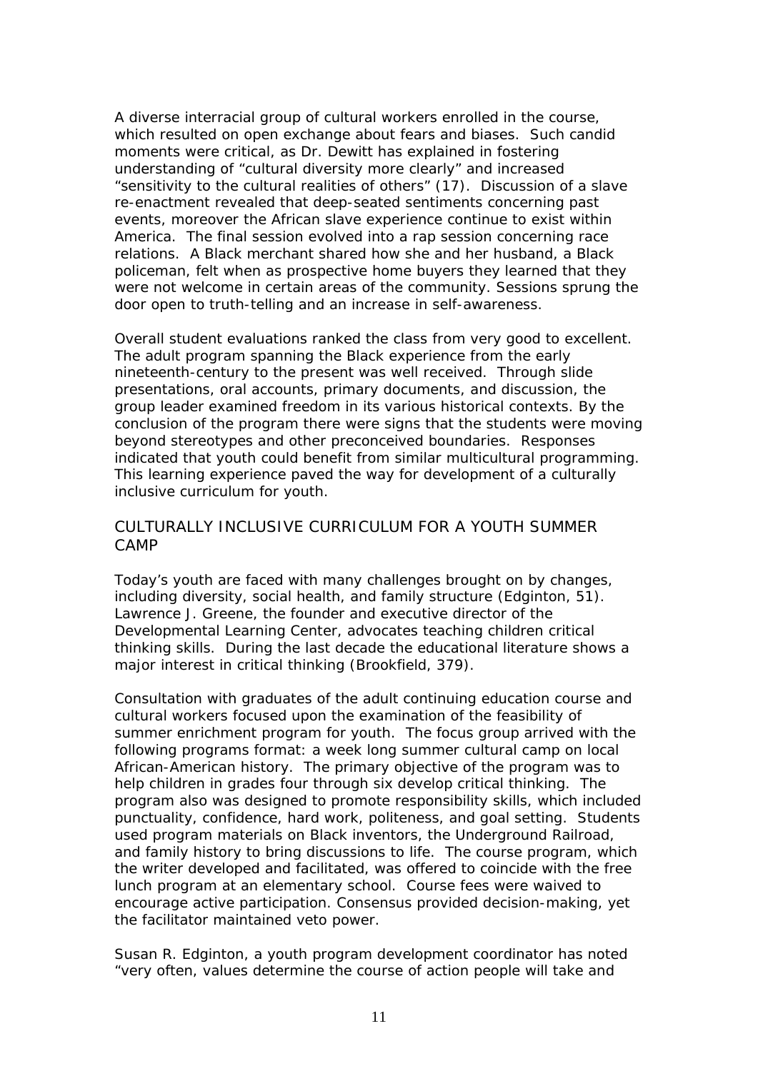A diverse interracial group of cultural workers enrolled in the course, which resulted on open exchange about fears and biases. Such candid moments were critical, as Dr. Dewitt has explained in fostering understanding of "cultural diversity more clearly" and increased "sensitivity to the cultural realities of others" (17). Discussion of a slave re-enactment revealed that deep-seated sentiments concerning past events, moreover the African slave experience continue to exist within America. The final session evolved into a rap session concerning race relations. A Black merchant shared how she and her husband, a Black policeman, felt when as prospective home buyers they learned that they were not welcome in certain areas of the community. Sessions sprung the door open to truth-telling and an increase in self-awareness.

Overall student evaluations ranked the class from very good to excellent. The adult program spanning the Black experience from the early nineteenth-century to the present was well received. Through slide presentations, oral accounts, primary documents, and discussion, the group leader examined freedom in its various historical contexts. By the conclusion of the program there were signs that the students were moving beyond stereotypes and other preconceived boundaries. Responses indicated that youth could benefit from similar multicultural programming. This learning experience paved the way for development of a culturally inclusive curriculum for youth.

## CULTURALLY INCLUSIVE CURRICULUM FOR A YOUTH SUMMER CAMP

Today's youth are faced with many challenges brought on by changes, including diversity, social health, and family structure (Edginton, 51). Lawrence J. Greene, the founder and executive director of the Developmental Learning Center, advocates teaching children critical thinking skills. During the last decade the educational literature shows a major interest in critical thinking (Brookfield, 379).

Consultation with graduates of the adult continuing education course and cultural workers focused upon the examination of the feasibility of summer enrichment program for youth. The focus group arrived with the following programs format: a week long summer cultural camp on local African-American history. The primary objective of the program was to help children in grades four through six develop critical thinking. The program also was designed to promote responsibility skills, which included punctuality, confidence, hard work, politeness, and goal setting. Students used program materials on Black inventors, the Underground Railroad, and family history to bring discussions to life. The course program, which the writer developed and facilitated, was offered to coincide with the free lunch program at an elementary school. Course fees were waived to encourage active participation. Consensus provided decision-making, yet the facilitator maintained veto power.

Susan R. Edginton, a youth program development coordinator has noted "very often, values determine the course of action people will take and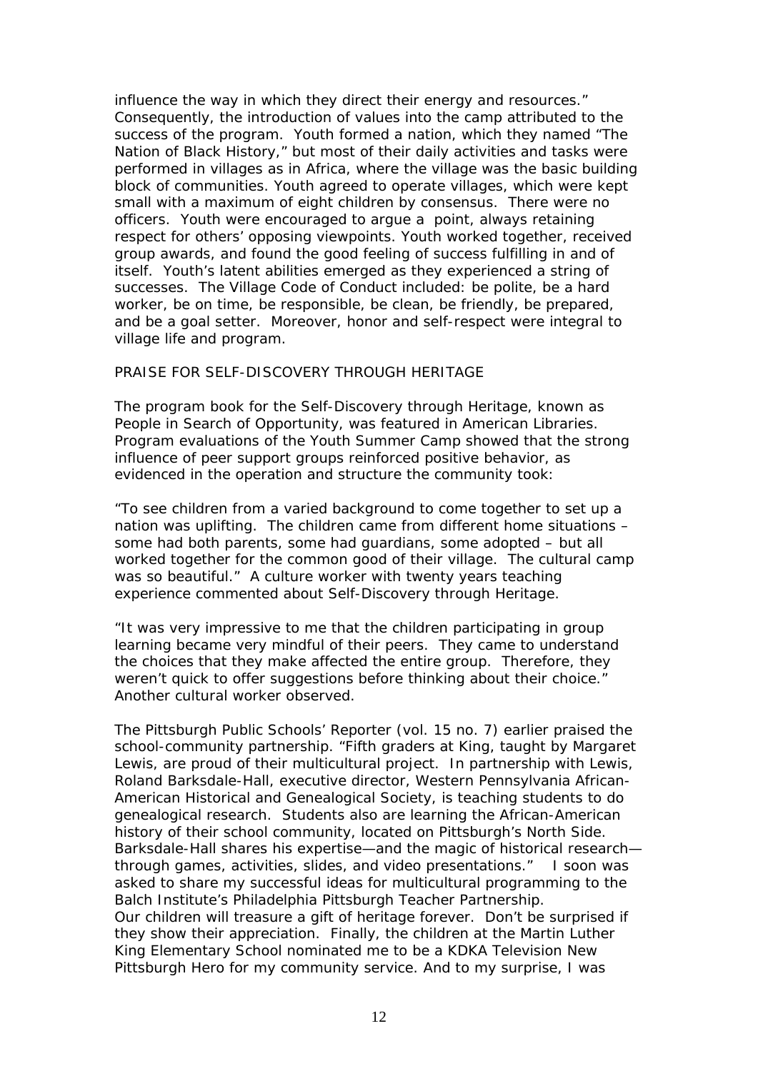influence the way in which they direct their energy and resources." Consequently, the introduction of values into the camp attributed to the success of the program. Youth formed a nation, which they named "The Nation of Black History," but most of their daily activities and tasks were performed in villages as in Africa, where the village was the basic building block of communities. Youth agreed to operate villages, which were kept small with a maximum of eight children by consensus. There were no officers. Youth were encouraged to argue a point, always retaining respect for others' opposing viewpoints. Youth worked together, received group awards, and found the good feeling of success fulfilling in and of itself. Youth's latent abilities emerged as they experienced a string of successes. The Village Code of Conduct included: be polite, be a hard worker, be on time, be responsible, be clean, be friendly, be prepared, and be a goal setter. Moreover, honor and self-respect were integral to village life and program.

#### PRAISE FOR SELF-DISCOVERY THROUGH HERITAGE

The program book for the Self-Discovery through Heritage, known as *People in Search of Opportunity*, was featured in *American Libraries.*  Program evaluations of the Youth Summer Camp showed that the strong influence of peer support groups reinforced positive behavior, as evidenced in the operation and structure the community took:

"To see children from a varied background to come together to set up a nation was uplifting. The children came from different home situations – some had both parents, some had guardians, some adopted – but all worked together for the common good of their village. The cultural camp was so beautiful." A culture worker with twenty years teaching experience commented about Self-Discovery through Heritage.

"It was very impressive to me that the children participating in group learning became very mindful of their peers. They came to understand the choices that they make affected the entire group. Therefore, they weren't quick to offer suggestions before thinking about their choice." Another cultural worker observed.

*The Pittsburgh Public Schools' Reporter (*vol. 15 no. 7) earlier praised the school-community partnership. "Fifth graders at King, taught by Margaret Lewis, are proud of their multicultural project. In partnership with Lewis, Roland Barksdale-Hall, executive director, Western Pennsylvania African-American Historical and Genealogical Society, is teaching students to do genealogical research. Students also are learning the African-American history of their school community, located on Pittsburgh's North Side. Barksdale-Hall shares his expertise—and the magic of historical research through games, activities, slides, and video presentations." I soon was asked to share my successful ideas for multicultural programming to the Balch Institute's Philadelphia Pittsburgh Teacher Partnership. Our children will treasure a gift of heritage forever. Don't be surprised if they show their appreciation. Finally, the children at the Martin Luther King Elementary School nominated me to be a KDKA Television New Pittsburgh Hero for my community service. And to my surprise, I was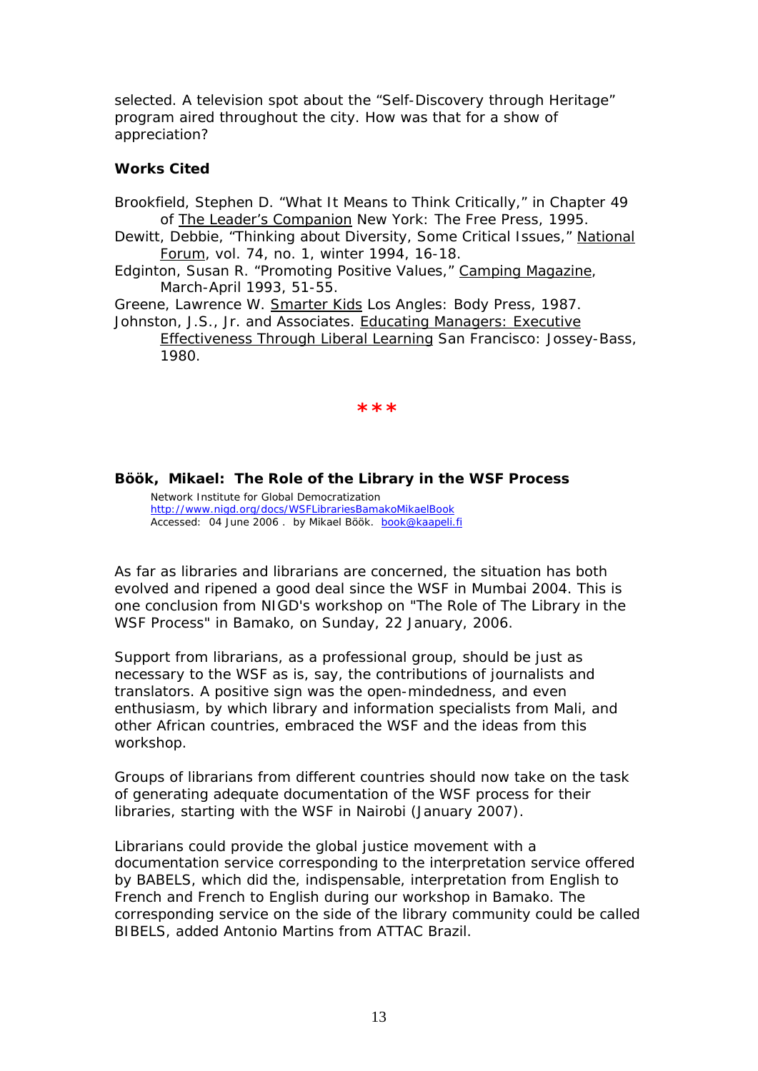selected. A television spot about the "Self-Discovery through Heritage" program aired throughout the city. How was that for a show of appreciation?

## **Works Cited**

- Brookfield, Stephen D. "What It Means to Think Critically," in Chapter 49 of The Leader's Companion New York: The Free Press, 1995.
- Dewitt, Debbie, "Thinking about Diversity, Some Critical Issues," National Forum, vol. 74, no. 1, winter 1994, 16-18.
- Edginton, Susan R. "Promoting Positive Values," Camping Magazine, March-April 1993, 51-55.
- Greene, Lawrence W. Smarter Kids Los Angles: Body Press, 1987.
- Johnston, J.S., Jr. and Associates. Educating Managers: Executive Effectiveness Through Liberal Learning San Francisco: Jossey-Bass, 1980.

#### **\*\*\***

#### **Böök, Mikael: The Role of the Library in the WSF Process**

Network Institute for Global Democratization http://www.nigd.org/docs/WSFLibrariesBamakoMikaelBook Accessed: 04 June 2006 . by Mikael Böök. book@kaapeli.fi

As far as libraries and librarians are concerned, the situation has both evolved and ripened a good deal since the WSF in Mumbai 2004. This is one conclusion from NIGD's workshop on "The Role of The Library in the WSF Process" in Bamako, on Sunday, 22 January, 2006.

Support from librarians, as a professional group, should be just as necessary to the WSF as is, say, the contributions of journalists and translators. A positive sign was the open-mindedness, and even enthusiasm, by which library and information specialists from Mali, and other African countries, embraced the WSF and the ideas from this workshop.

Groups of librarians from different countries should now take on the task of generating adequate documentation of the WSF process for their libraries, starting with the WSF in Nairobi (January 2007).

Librarians could provide the global justice movement with a documentation service corresponding to the interpretation service offered by BABELS, which did the, indispensable, interpretation from English to French and French to English during our workshop in Bamako. The corresponding service on the side of the library community could be called BIBELS, added Antonio Martins from ATTAC Brazil.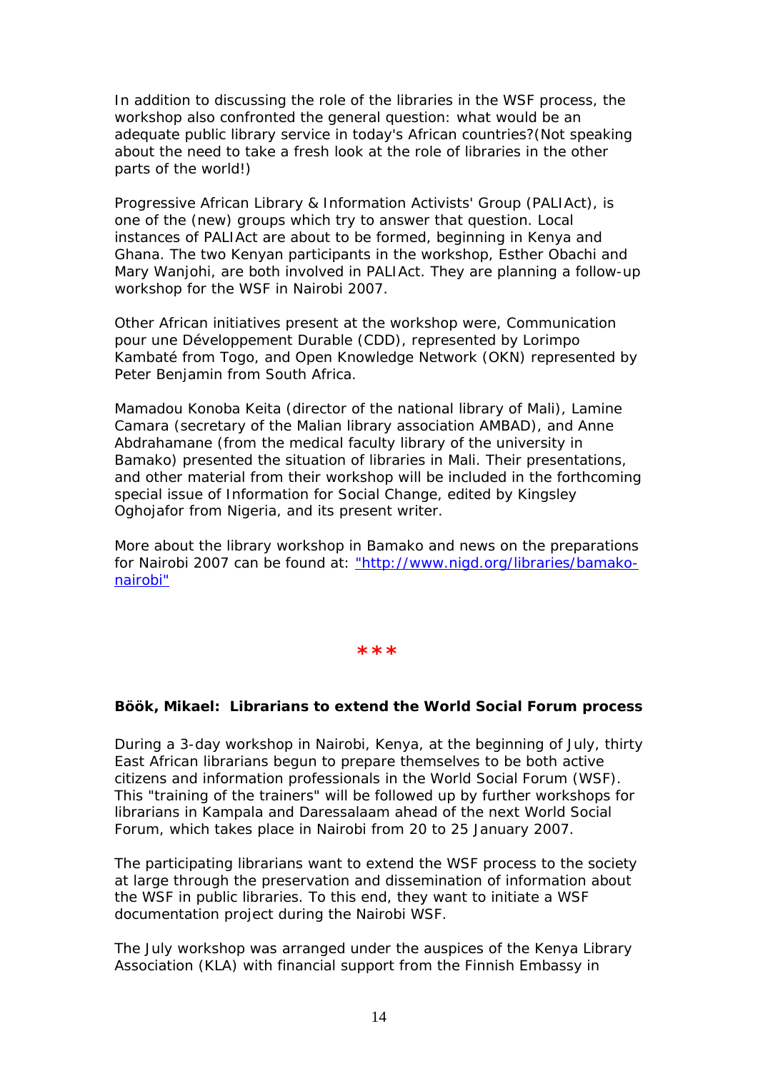In addition to discussing the role of the libraries in the WSF process, the workshop also confronted the general question: what would be an adequate public library service in today's African countries?(Not speaking about the need to take a fresh look at the role of libraries in the other parts of the world!)

Progressive African Library & Information Activists' Group (PALIAct), is one of the (new) groups which try to answer that question. Local instances of PALIAct are about to be formed, beginning in Kenya and Ghana. The two Kenyan participants in the workshop, Esther Obachi and Mary Wanjohi, are both involved in PALIAct. They are planning a follow-up workshop for the WSF in Nairobi 2007.

Other African initiatives present at the workshop were, Communication pour une Développement Durable (CDD), represented by Lorimpo Kambaté from Togo, and Open Knowledge Network (OKN) represented by Peter Benjamin from South Africa.

Mamadou Konoba Keita (director of the national library of Mali), Lamine Camara (secretary of the Malian library association AMBAD), and Anne Abdrahamane (from the medical faculty library of the university in Bamako) presented the situation of libraries in Mali. Their presentations, and other material from their workshop will be included in the forthcoming special issue of *Information for Social Change*, edited by Kingsley Oghojafor from Nigeria, and its present writer.

More about the library workshop in Bamako and news on the preparations for Nairobi 2007 can be found at: "http://www.nigd.org/libraries/bamakonairobi"

**\*\*\*** 

#### **Böök, Mikael: Librarians to extend the World Social Forum process**

During a 3-day workshop in Nairobi, Kenya, at the beginning of July, thirty East African librarians begun to prepare themselves to be both active citizens and information professionals in the World Social Forum (WSF). This "training of the trainers" will be followed up by further workshops for librarians in Kampala and Daressalaam ahead of the next World Social Forum, which takes place in Nairobi from 20 to 25 January 2007.

The participating librarians want to extend the WSF process to the society at large through the preservation and dissemination of information about the WSF in public libraries. To this end, they want to initiate a WSF documentation project during the Nairobi WSF.

The July workshop was arranged under the auspices of the Kenya Library Association (KLA) with financial support from the Finnish Embassy in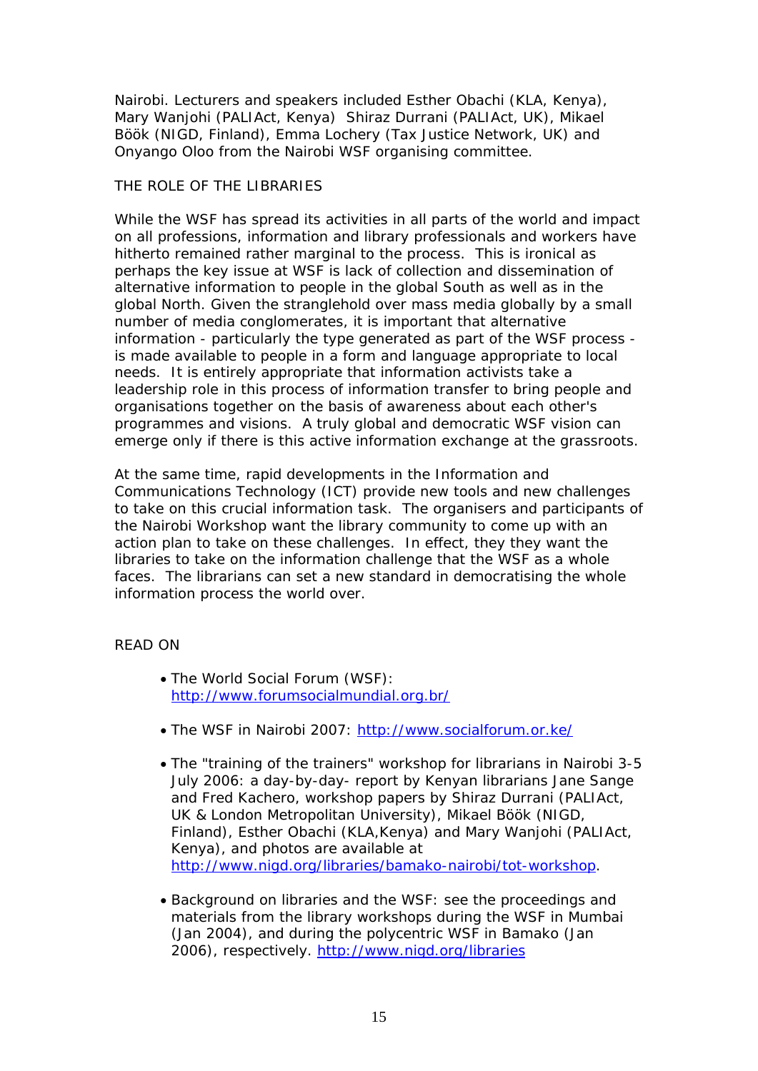Nairobi. Lecturers and speakers included Esther Obachi (KLA, Kenya), Mary Wanjohi (PALIAct, Kenya) Shiraz Durrani (PALIAct, UK), Mikael Böök (NIGD, Finland), Emma Lochery (Tax Justice Network, UK) and Onyango Oloo from the Nairobi WSF organising committee.

## THE ROLE OF THE LIBRARIES

While the WSF has spread its activities in all parts of the world and impact on all professions, information and library professionals and workers have hitherto remained rather marginal to the process. This is ironical as perhaps the key issue at WSF is lack of collection and dissemination of alternative information to people in the global South as well as in the global North. Given the stranglehold over mass media globally by a small number of media conglomerates, it is important that alternative information - particularly the type generated as part of the WSF process is made available to people in a form and language appropriate to local needs. It is entirely appropriate that information activists take a leadership role in this process of information transfer to bring people and organisations together on the basis of awareness about each other's programmes and visions. A truly global and democratic WSF vision can emerge only if there is this active information exchange at the grassroots.

At the same time, rapid developments in the Information and Communications Technology (ICT) provide new tools and new challenges to take on this crucial information task. The organisers and participants of the Nairobi Workshop want the library community to come up with an action plan to take on these challenges. In effect, they they want the libraries to take on the information challenge that the WSF as a whole faces. The librarians can set a new standard in democratising the whole information process the world over.

# READ ON

- The World Social Forum (WSF): http://www.forumsocialmundial.org.br/
- The WSF in Nairobi 2007: http://www.socialforum.or.ke/
- The "training of the trainers" workshop for librarians in Nairobi 3-5 July 2006: a day-by-day- report by Kenyan librarians Jane Sange and Fred Kachero, workshop papers by Shiraz Durrani (PALIAct, UK & London Metropolitan University), Mikael Böök (NIGD, Finland), Esther Obachi (KLA,Kenya) and Mary Wanjohi (PALIAct, Kenya), and photos are available at http://www.nigd.org/libraries/bamako-nairobi/tot-workshop.
- Background on libraries and the WSF: see the proceedings and materials from the library workshops during the WSF in Mumbai (Jan 2004), and during the polycentric WSF in Bamako (Jan 2006), respectively. http://www.nigd.org/libraries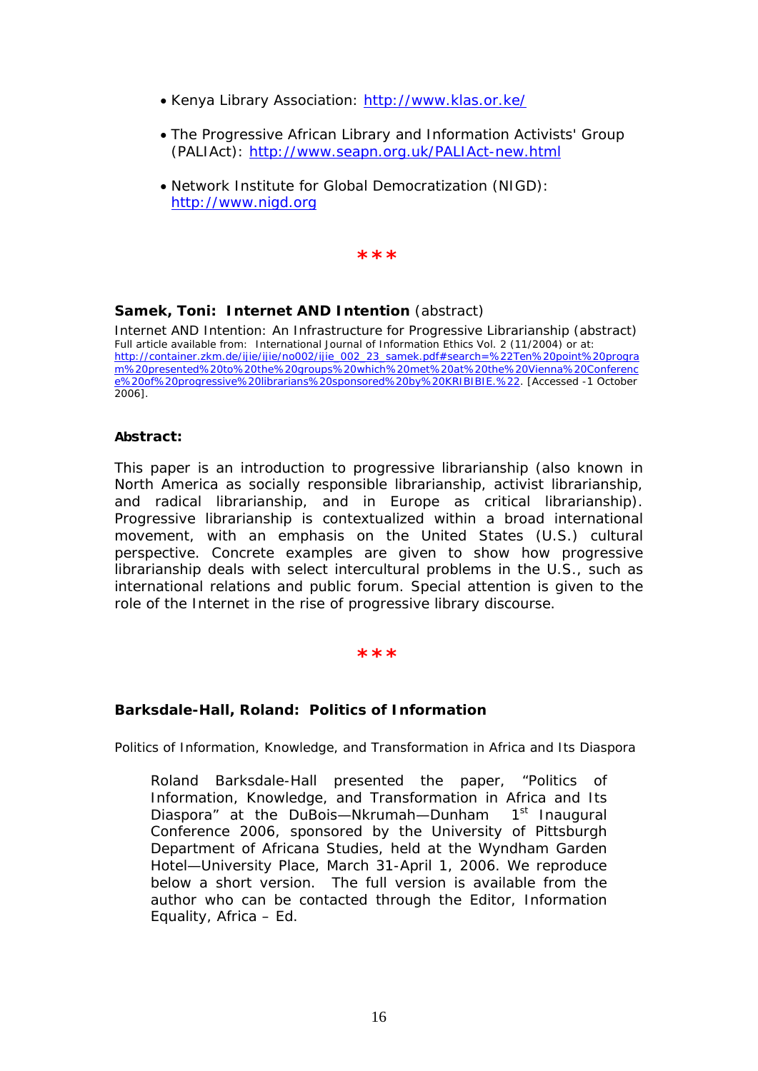- Kenya Library Association: http://www.klas.or.ke/
- The Progressive African Library and Information Activists' Group (PALIAct): http://www.seapn.org.uk/PALIAct-new.html
- Network Institute for Global Democratization (NIGD): http://www.nigd.org



## **Samek, Toni: Internet AND Intention** (abstract)

Internet AND Intention: An Infrastructure for Progressive Librarianship (abstract) Full article available from: International Journal of Information Ethics Vol. 2 (11/2004) or at: http://container.zkm.de/ijie/ijie/no002/ijie\_002\_23\_samek.pdf#search=%22Ten%20point%20progra m%20presented%20to%20the%20groups%20which%20met%20at%20the%20Vienna%20Conferenc e%20of%20progressive%20librarians%20sponsored%20by%20KRIBIBIE.%22. [Accessed -1 October 2006].

#### **Abstract:**

This paper is an introduction to progressive librarianship (also known in North America as socially responsible librarianship, activist librarianship, and radical librarianship, and in Europe as critical librarianship). Progressive librarianship is contextualized within a broad international movement, with an emphasis on the United States (U.S.) cultural perspective. Concrete examples are given to show how progressive librarianship deals with select intercultural problems in the U.S., such as international relations and public forum. Special attention is given to the role of the Internet in the rise of progressive library discourse.

#### **\*\*\***

#### **Barksdale-Hall, Roland: Politics of Information**

Politics of Information, Knowledge, and Transformation in Africa and Its Diaspora

*Roland Barksdale-Hall presented the paper, "Politics of Information, Knowledge, and Transformation in Africa and Its Diaspora" at the DuBois—Nkrumah—Dunham 1st Inaugural Conference 2006, sponsored by the University of Pittsburgh Department of Africana Studies, held at the Wyndham Garden Hotel—University Place, March 31-April 1, 2006. We reproduce below a short version. The full version is available from the author who can be contacted through the Editor, Information Equality, Africa – Ed.*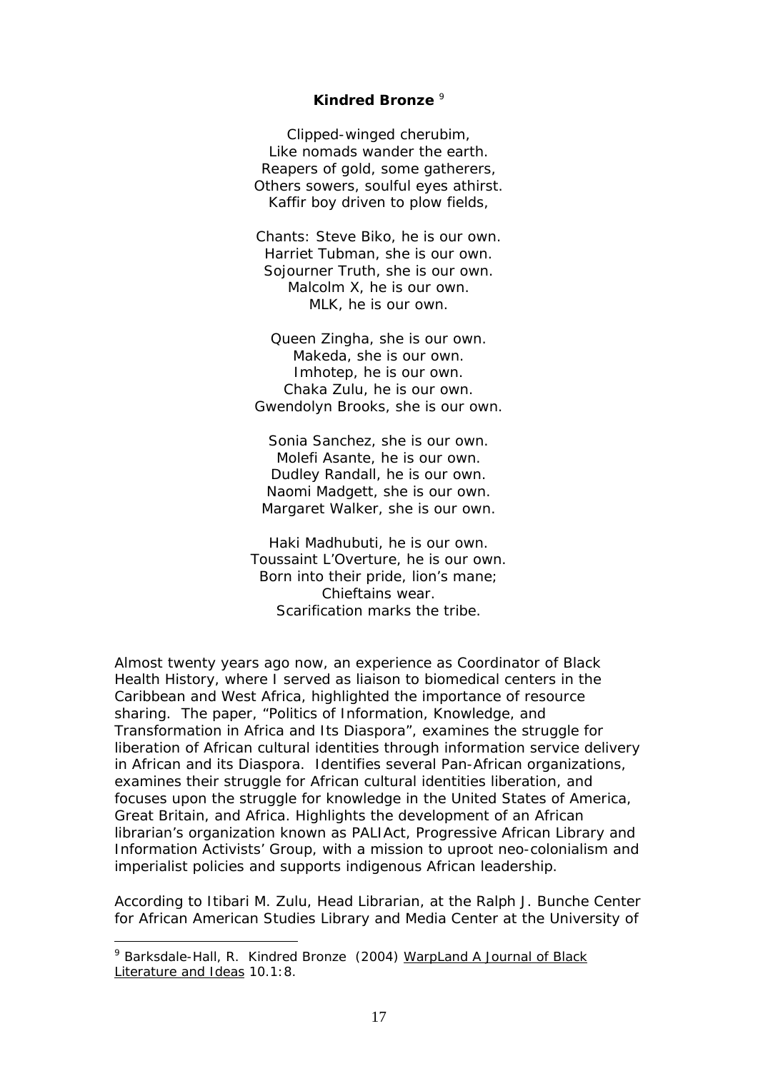#### **Kindred Bronze** <sup>9</sup>

Clipped-winged cherubim, Like nomads wander the earth. Reapers of gold, some gatherers, Others sowers, soulful eyes athirst. Kaffir boy driven to plow fields,

Chants: Steve Biko, he is our own. Harriet Tubman, she is our own. Sojourner Truth, she is our own. Malcolm X, he is our own. MLK, he is our own.

Queen Zingha, she is our own. Makeda, she is our own. Imhotep, he is our own. Chaka Zulu, he is our own. Gwendolyn Brooks, she is our own.

Sonia Sanchez, she is our own. Molefi Asante, he is our own. Dudley Randall, he is our own. Naomi Madgett, she is our own. Margaret Walker, she is our own.

Haki Madhubuti, he is our own. Toussaint L'Overture, he is our own. Born into their pride, lion's mane; Chieftains wear. Scarification marks the tribe.

Almost twenty years ago now, an experience as Coordinator of Black Health History, where I served as liaison to biomedical centers in the Caribbean and West Africa, highlighted the importance of resource sharing. The paper, "Politics of Information, Knowledge, and Transformation in Africa and Its Diaspora", examines the struggle for liberation of African cultural identities through information service delivery in African and its Diaspora. Identifies several Pan-African organizations, examines their struggle for African cultural identities liberation, and focuses upon the struggle for knowledge in the United States of America, Great Britain, and Africa. Highlights the development of an African librarian's organization known as PALIAct, Progressive African Library and Information Activists' Group, with a mission to uproot neo-colonialism and imperialist policies and supports indigenous African leadership.

According to Itibari M. Zulu, Head Librarian, at the Ralph J. Bunche Center for African American Studies Library and Media Center at the University of

1

<sup>9</sup> Barksdale-Hall, R. *Kindred Bronze* (2004) WarpLand A Journal of Black Literature and Ideas 10.1:8.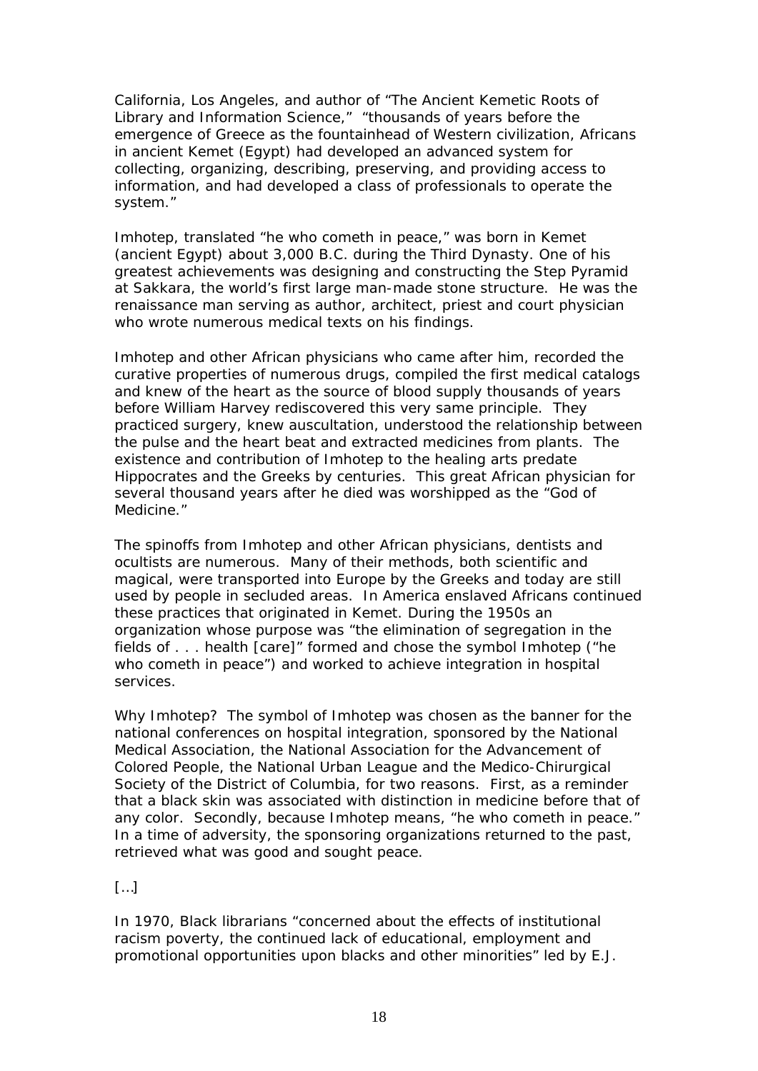California, Los Angeles, and author of "The Ancient Kemetic Roots of Library and Information Science," "thousands of years before the emergence of Greece as the fountainhead of Western civilization, Africans in ancient Kemet (Egypt) had developed an advanced system for collecting, organizing, describing, preserving, and providing access to information, and had developed a class of professionals to operate the system."

Imhotep, translated "he who cometh in peace," was born in Kemet (ancient Egypt) about 3,000 B.C. during the Third Dynasty. One of his greatest achievements was designing and constructing the Step Pyramid at Sakkara, the world's first large man-made stone structure. He was the renaissance man serving as author, architect, priest and court physician who wrote numerous medical texts on his findings.

Imhotep and other African physicians who came after him, recorded the curative properties of numerous drugs, compiled the first medical catalogs and knew of the heart as the source of blood supply thousands of years before William Harvey rediscovered this very same principle. They practiced surgery, knew auscultation, understood the relationship between the pulse and the heart beat and extracted medicines from plants. The existence and contribution of Imhotep to the healing arts predate Hippocrates and the Greeks by centuries. This great African physician for several thousand years after he died was worshipped as the "God of Medicine<sup>"</sup>

The spinoffs from Imhotep and other African physicians, dentists and ocultists are numerous. Many of their methods, both scientific and magical, were transported into Europe by the Greeks and today are still used by people in secluded areas. In America enslaved Africans continued these practices that originated in Kemet. During the 1950s an organization whose purpose was "the elimination of segregation in the fields of . . . health [care]" formed and chose the symbol Imhotep ("he who cometh in peace") and worked to achieve integration in hospital services.

Why Imhotep? The symbol of Imhotep was chosen as the banner for the national conferences on hospital integration, sponsored by the National Medical Association, the National Association for the Advancement of Colored People, the National Urban League and the Medico-Chirurgical Society of the District of Columbia, for two reasons. First, as a reminder that a black skin was associated with distinction in medicine before that of any color. Secondly, because Imhotep means, "he who cometh in peace." In a time of adversity, the sponsoring organizations returned to the past, retrieved what was good and sought peace.

[…]

In 1970, Black librarians "concerned about the effects of institutional racism poverty, the continued lack of educational, employment and promotional opportunities upon blacks and other minorities" led by E.J.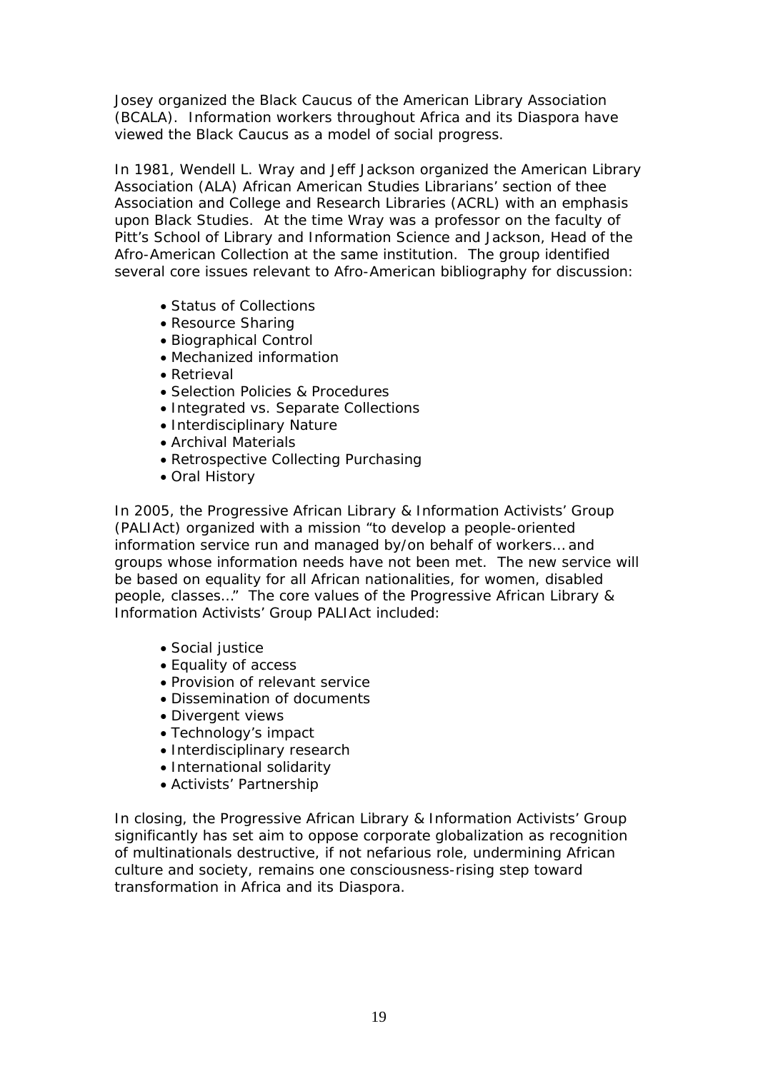Josey organized the Black Caucus of the American Library Association (BCALA). Information workers throughout Africa and its Diaspora have viewed the Black Caucus as a model of social progress.

In 1981, Wendell L. Wray and Jeff Jackson organized the American Library Association (ALA) African American Studies Librarians' section of thee Association and College and Research Libraries (ACRL) with an emphasis upon Black Studies. At the time Wray was a professor on the faculty of Pitt's School of Library and Information Science and Jackson, Head of the Afro-American Collection at the same institution. The group identified several core issues relevant to Afro-American bibliography for discussion:

- Status of Collections
- Resource Sharing
- Biographical Control
- Mechanized information
- Retrieval
- Selection Policies & Procedures
- Integrated vs. Separate Collections
- Interdisciplinary Nature
- Archival Materials
- Retrospective Collecting Purchasing
- Oral History

In 2005, the Progressive African Library & Information Activists' Group (PALIAct) organized with a mission "to develop a people-oriented information service run and managed by/on behalf of workers… and groups whose information needs have not been met. The new service will be based on equality for all African nationalities, for women, disabled people, classes…" The core values of the Progressive African Library & Information Activists' Group PALIAct included:

- Social justice
- Equality of access
- Provision of relevant service
- Dissemination of documents
- Divergent views
- Technology's impact
- Interdisciplinary research
- International solidarity
- Activists' Partnership

In closing, the Progressive African Library & Information Activists' Group significantly has set aim to oppose corporate globalization as recognition of multinationals destructive, if not nefarious role, undermining African culture and society, remains one consciousness-rising step toward transformation in Africa and its Diaspora.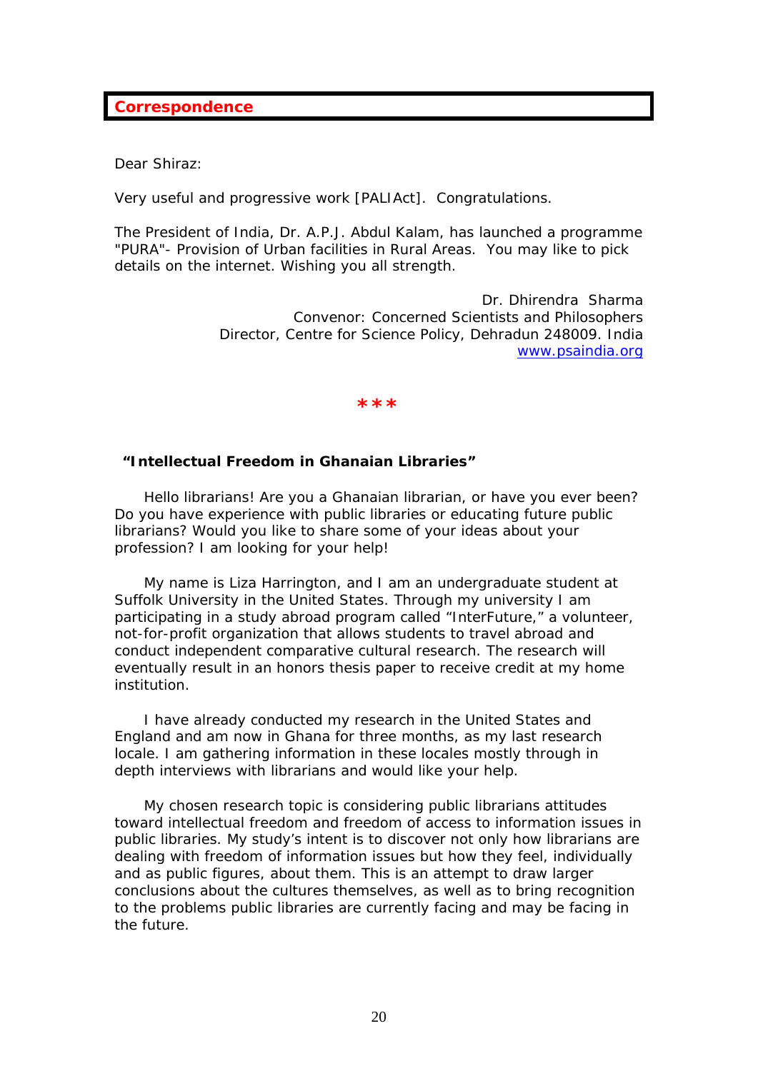# **Correspondence**

*Dear Shiraz:* 

*Very useful and progressive work [PALIAct]. Congratulations.* 

*The President of India, Dr. A.P.J. Abdul Kalam, has launched a programme "PURA"- Provision of Urban facilities in Rural Areas. You may like to pick details on the internet. Wishing you all strength.* 

> Dr. Dhirendra Sharma Convenor: Concerned Scientists and Philosophers Director, Centre for Science Policy, Dehradun 248009. India www.psaindia.org

> > **\*\*\***

#### **"Intellectual Freedom in Ghanaian Libraries"**

 Hello librarians! Are you a Ghanaian librarian, or have you ever been? Do you have experience with public libraries or educating future public librarians? Would you like to share some of your ideas about your profession? I am looking for your help!

 My name is Liza Harrington, and I am an undergraduate student at Suffolk University in the United States. Through my university I am participating in a study abroad program called "InterFuture," a volunteer, not-for-profit organization that allows students to travel abroad and conduct independent comparative cultural research. The research will eventually result in an honors thesis paper to receive credit at my home institution.

 I have already conducted my research in the United States and England and am now in Ghana for three months, as my last research locale. I am gathering information in these locales mostly through in depth interviews with librarians and would like your help.

 My chosen research topic is considering public librarians attitudes toward intellectual freedom and freedom of access to information issues in public libraries. My study's intent is to discover not only how librarians are dealing with freedom of information issues but how they feel, individually and as public figures, about them. This is an attempt to draw larger conclusions about the cultures themselves, as well as to bring recognition to the problems public libraries are currently facing and may be facing in the future.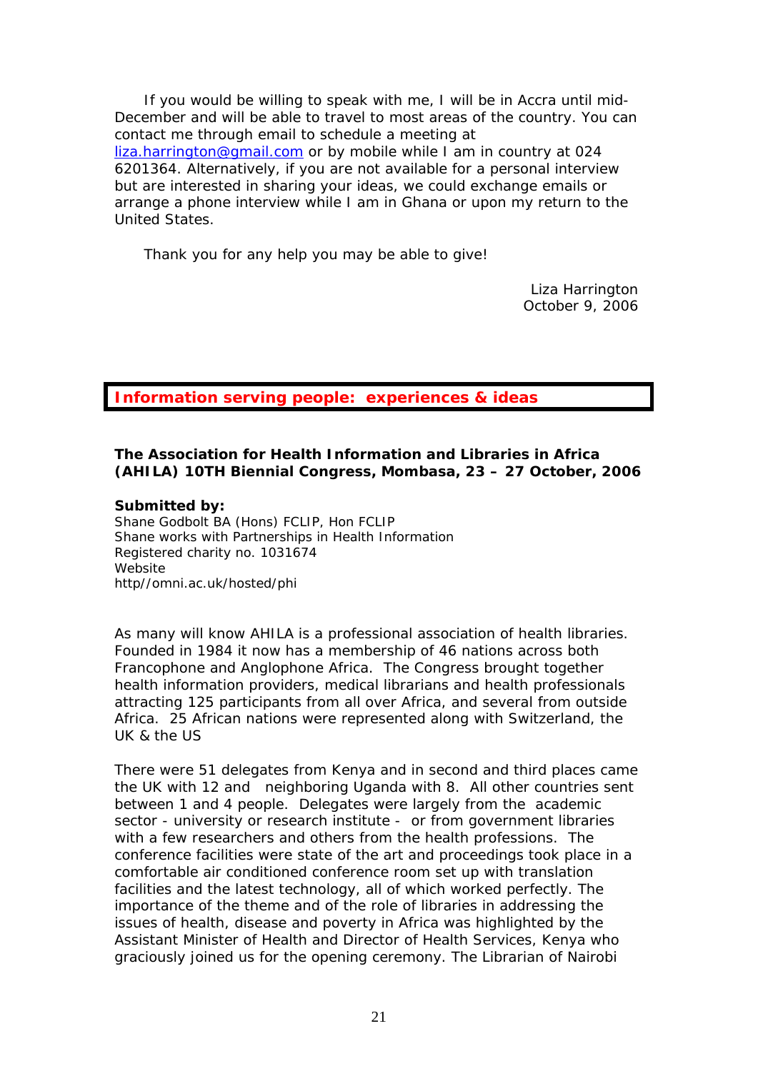If you would be willing to speak with me, I will be in Accra until mid-December and will be able to travel to most areas of the country. You can contact me through email to schedule a meeting at liza.harrington@gmail.com or by mobile while I am in country at 024 6201364. Alternatively, if you are not available for a personal interview but are interested in sharing your ideas, we could exchange emails or arrange a phone interview while I am in Ghana or upon my return to the United States.

Thank you for any help you may be able to give!

Liza Harrington October 9, 2006

**Information serving people: experiences & ideas** 

## **The Association for Health Information and Libraries in Africa (AHILA) 10TH Biennial Congress, Mombasa, 23 – 27 October, 2006**

#### **Submitted by:**

Shane Godbolt BA (Hons) FCLIP, Hon FCLIP Shane works with Partnerships in Health Information Registered charity no. 1031674 **Website** http//omni.ac.uk/hosted/phi

As many will know AHILA is a professional association of health libraries. Founded in 1984 it now has a membership of 46 nations across both Francophone and Anglophone Africa. The Congress brought together health information providers, medical librarians and health professionals attracting 125 participants from all over Africa, and several from outside Africa. 25 African nations were represented along with Switzerland, the UK & the US

There were 51 delegates from Kenya and in second and third places came the UK with 12 and neighboring Uganda with 8. All other countries sent between 1 and 4 people. Delegates were largely from the academic sector - university or research institute - or from government libraries with a few researchers and others from the health professions. The conference facilities were state of the art and proceedings took place in a comfortable air conditioned conference room set up with translation facilities and the latest technology, all of which worked perfectly. The importance of the theme and of the role of libraries in addressing the issues of health, disease and poverty in Africa was highlighted by the Assistant Minister of Health and Director of Health Services, Kenya who graciously joined us for the opening ceremony. The Librarian of Nairobi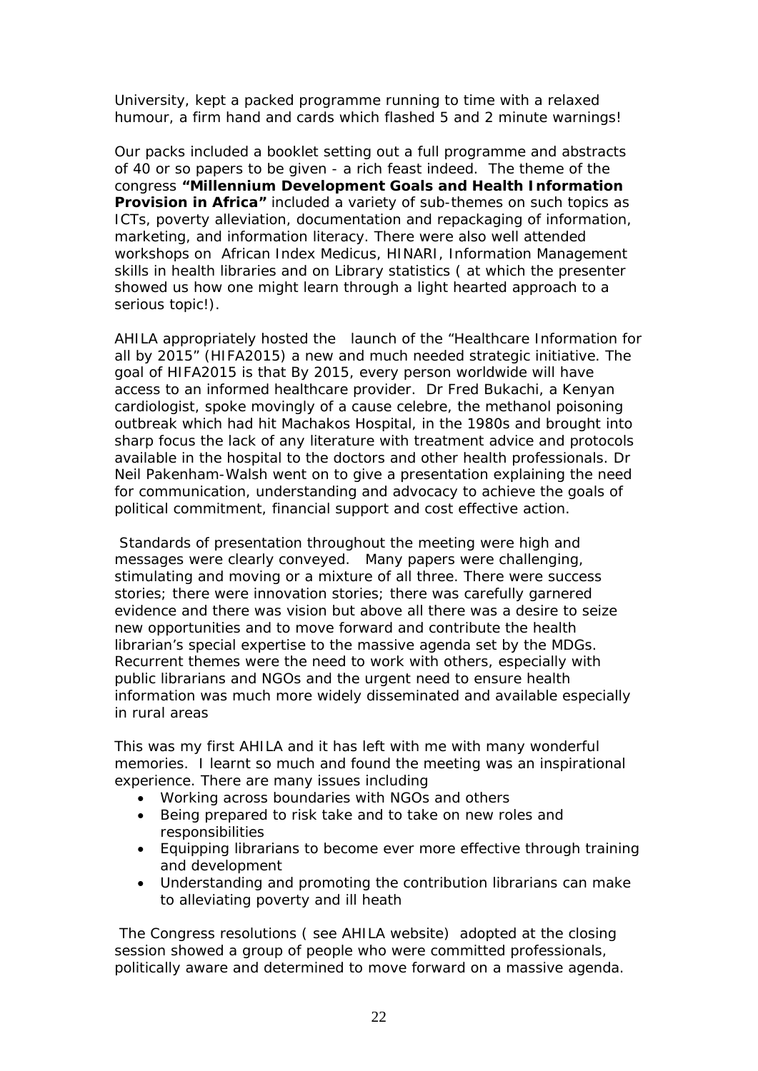University, kept a packed programme running to time with a relaxed humour, a firm hand and cards which flashed 5 and 2 minute warnings!

Our packs included a booklet setting out a full programme and abstracts of 40 or so papers to be given - a rich feast indeed. The theme of the congress *"Millennium Development Goals and Health Information*  **Provision in Africa**" included a variety of sub-themes on such topics as ICTs, poverty alleviation, documentation and repackaging of information, marketing, and information literacy. There were also well attended workshops on African Index Medicus, HINARI, Information Management skills in health libraries and on Library statistics ( at which the presenter showed us how one might learn through a light hearted approach to a serious topic!).

AHILA appropriately hosted the launch of the "Healthcare Information for all by 2015" (*HIFA2015)* a new and much needed strategic initiative. The goal of *HIFA2015* is that *By 2015, every person worldwide will have access to an informed healthcare provider.* Dr Fred Bukachi, a Kenyan cardiologist, spoke movingly of a *cause celebre,* the methanol poisoning outbreak which had hit Machakos Hospital, in the 1980s and brought into sharp focus the lack of any literature with treatment advice and protocols available in the hospital to the doctors and other health professionals. Dr Neil Pakenham-Walsh went on to give a presentation explaining the need for communication, understanding and advocacy to achieve the goals of political commitment, financial support and cost effective action.

 Standards of presentation throughout the meeting were high and messages were clearly conveyed. Many papers were challenging, stimulating and moving or a mixture of all three. There were success stories; there were innovation stories; there was carefully garnered evidence and there was vision but above all there was a desire to seize new opportunities and to move forward and contribute the health librarian's special expertise to the massive agenda set by the MDGs. Recurrent themes were the need to work with others, especially with public librarians and NGOs and the urgent need to ensure health information was much more widely disseminated and available especially in rural areas

This was my first AHILA and it has left with me with many wonderful memories. I learnt so much and found the meeting was an inspirational experience. There are many issues including

- Working across boundaries with NGOs and others
- Being prepared to risk take and to take on new roles and responsibilities
- Equipping librarians to become ever more effective through training and development
- Understanding and promoting the contribution librarians can make to alleviating poverty and ill heath

 The Congress resolutions ( see AHILA website) adopted at the closing session showed a group of people who were committed professionals, politically aware and determined to move forward on a massive agenda.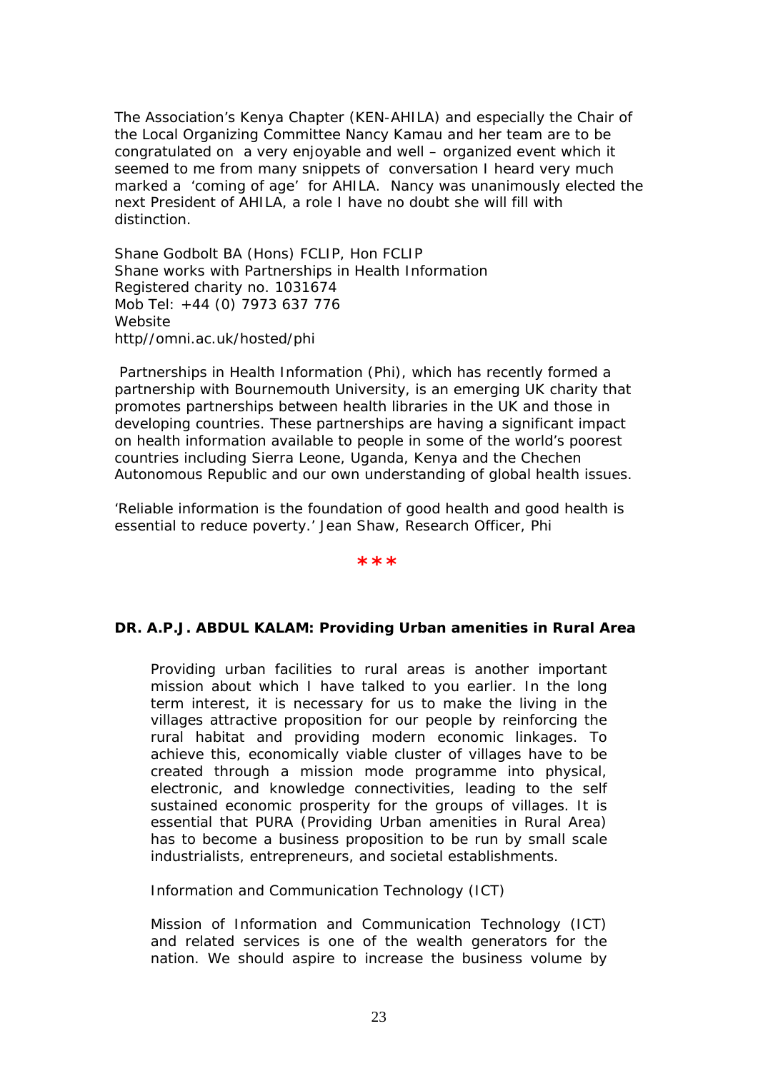The Association's Kenya Chapter (KEN-AHILA) and especially the Chair of the Local Organizing Committee Nancy Kamau and her team are to be congratulated on a very enjoyable and well – organized event which it seemed to me from many snippets of conversation I heard very much marked a 'coming of age' for AHILA. Nancy was unanimously elected the next President of AHILA, a role I have no doubt she will fill with distinction.

Shane Godbolt BA (Hons) FCLIP, Hon FCLIP Shane works with Partnerships in Health Information Registered charity no. 1031674 Mob Tel: +44 (0) 7973 637 776 Website http//omni.ac.uk/hosted/phi

*Partnerships in Health Information (Phi), which has recently formed a partnership with Bournemouth University, is an emerging UK charity that promotes partnerships between health libraries in the UK and those in developing countries. These partnerships are having a significant impact on health information available to people in some of the world's poorest countries including Sierra Leone, Uganda, Kenya and the Chechen Autonomous Republic and our own understanding of global health issues.* 

*'Reliable information is the foundation of good health and good health is essential to reduce poverty.' Jean Shaw, Research Officer, Phi* 

**\*\*\*** 

#### **DR. A.P.J. ABDUL KALAM: Providing Urban amenities in Rural Area**

Providing urban facilities to rural areas is another important mission about which I have talked to you earlier. In the long term interest, it is necessary for us to make the living in the villages attractive proposition for our people by reinforcing the rural habitat and providing modern economic linkages. To achieve this, economically viable cluster of villages have to be created through a mission mode programme into physical, electronic, and knowledge connectivities, leading to the self sustained economic prosperity for the groups of villages. It is essential that PURA (Providing Urban amenities in Rural Area) has to become a business proposition to be run by small scale industrialists, entrepreneurs, and societal establishments.

Information and Communication Technology (ICT)

Mission of Information and Communication Technology (ICT) and related services is one of the wealth generators for the nation. We should aspire to increase the business volume by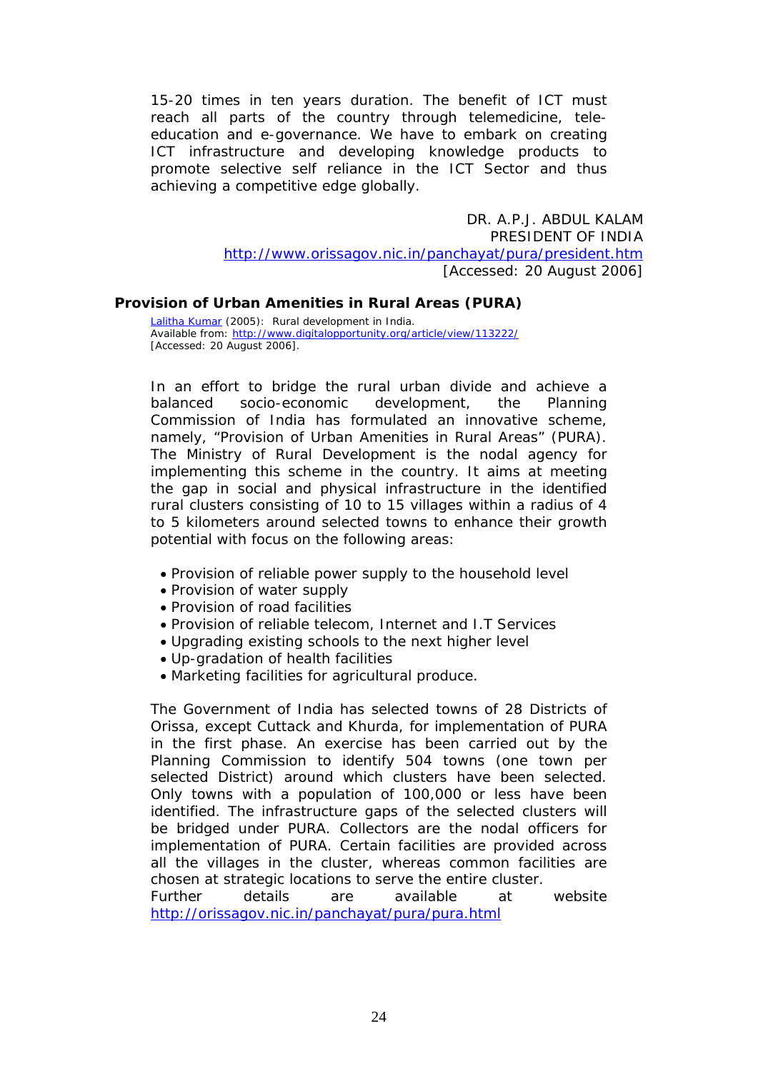15-20 times in ten years duration. The benefit of ICT must reach all parts of the country through telemedicine, teleeducation and e-governance. We have to embark on creating ICT infrastructure and developing knowledge products to promote selective self reliance in the ICT Sector and thus achieving a competitive edge globally.

> DR. A.P.J. ABDUL KALAM PRESIDENT OF INDIA http://www.orissagov.nic.in/panchayat/pura/president.htm [Accessed: 20 August 2006]

#### **Provision of Urban Amenities in Rural Areas (PURA)**

*Lalitha Kumar (2005): Rural development in India. Available from: http://www.digitalopportunity.org/article/view/113222/ [Accessed: 20 August 2006].* 

In an effort to bridge the rural urban divide and achieve a balanced socio-economic development, the Planning Commission of India has formulated an innovative scheme, namely, "Provision of Urban Amenities in Rural Areas" (PURA). The Ministry of Rural Development is the nodal agency for implementing this scheme in the country. It aims at meeting the gap in social and physical infrastructure in the identified rural clusters consisting of 10 to 15 villages within a radius of 4 to 5 kilometers around selected towns to enhance their growth potential with focus on the following areas:

- Provision of reliable power supply to the household level
- Provision of water supply
- Provision of road facilities
- Provision of reliable telecom, Internet and I.T Services
- Upgrading existing schools to the next higher level
- Up-gradation of health facilities
- Marketing facilities for agricultural produce.

The Government of India has selected towns of 28 Districts of Orissa, except Cuttack and Khurda, for implementation of PURA in the first phase. An exercise has been carried out by the Planning Commission to identify 504 towns (one town per selected District) around which clusters have been selected. Only towns with a population of 100,000 or less have been identified. The infrastructure gaps of the selected clusters will be bridged under PURA. Collectors are the nodal officers for implementation of PURA. Certain facilities are provided across all the villages in the cluster, whereas common facilities are chosen at strategic locations to serve the entire cluster.

Further details are available at website http://orissagov.nic.in/panchayat/pura/pura.html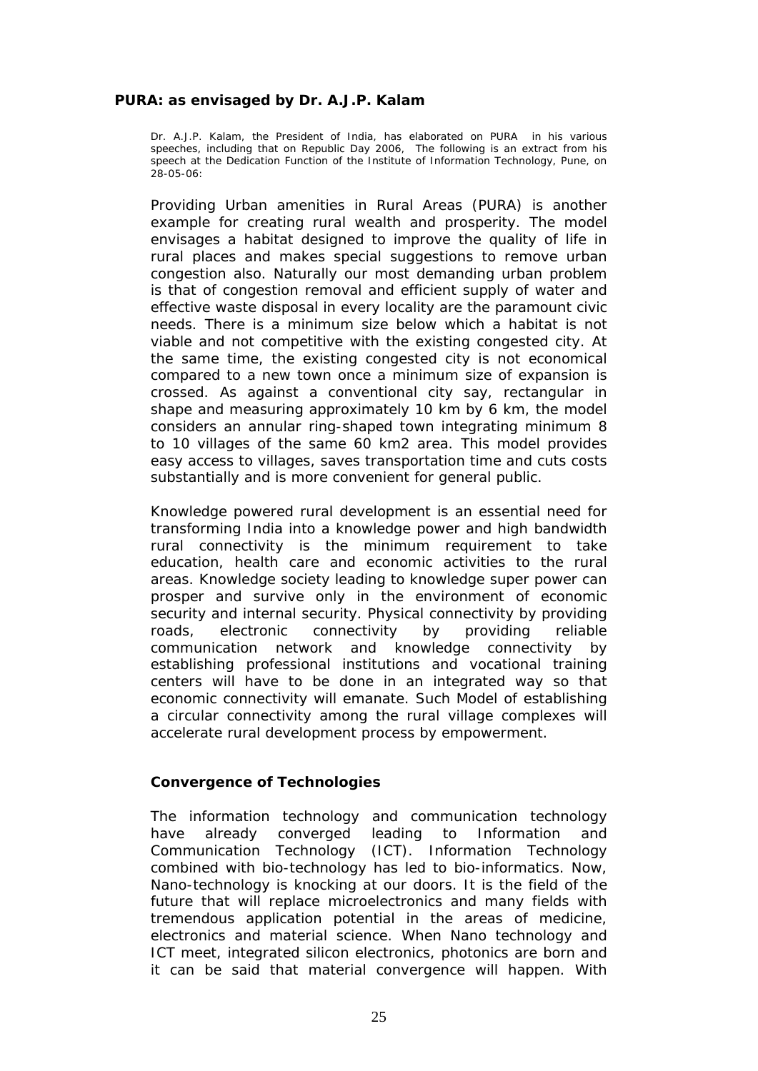## **PURA: as envisaged by Dr. A.J.P. Kalam**

*Dr. A.J.P. Kalam, the President of India, has elaborated on PURA in his various speeches, including that on Republic Day 2006, The following is an extract from his speech at the Dedication Function of the Institute of Information Technology, Pune, on 28-05-06:* 

Providing Urban amenities in Rural Areas (PURA) is another example for creating rural wealth and prosperity. The model envisages a habitat designed to improve the quality of life in rural places and makes special suggestions to remove urban congestion also. Naturally our most demanding urban problem is that of congestion removal and efficient supply of water and effective waste disposal in every locality are the paramount civic needs. There is a minimum size below which a habitat is not viable and not competitive with the existing congested city. At the same time, the existing congested city is not economical compared to a new town once a minimum size of expansion is crossed. As against a conventional city say, rectangular in shape and measuring approximately 10 km by 6 km, the model considers an annular ring-shaped town integrating minimum 8 to 10 villages of the same 60 km2 area. This model provides easy access to villages, saves transportation time and cuts costs substantially and is more convenient for general public.

Knowledge powered rural development is an essential need for transforming India into a knowledge power and high bandwidth rural connectivity is the minimum requirement to take education, health care and economic activities to the rural areas. Knowledge society leading to knowledge super power can prosper and survive only in the environment of economic security and internal security. Physical connectivity by providing roads, electronic connectivity by providing reliable communication network and knowledge connectivity by establishing professional institutions and vocational training centers will have to be done in an integrated way so that economic connectivity will emanate. Such Model of establishing a circular connectivity among the rural village complexes will accelerate rural development process by empowerment.

#### **Convergence of Technologies**

The information technology and communication technology have already converged leading to Information and Communication Technology (ICT). Information Technology combined with bio-technology has led to bio-informatics. Now, Nano-technology is knocking at our doors. It is the field of the future that will replace microelectronics and many fields with tremendous application potential in the areas of medicine, electronics and material science. When Nano technology and ICT meet, integrated silicon electronics, photonics are born and it can be said that material convergence will happen. With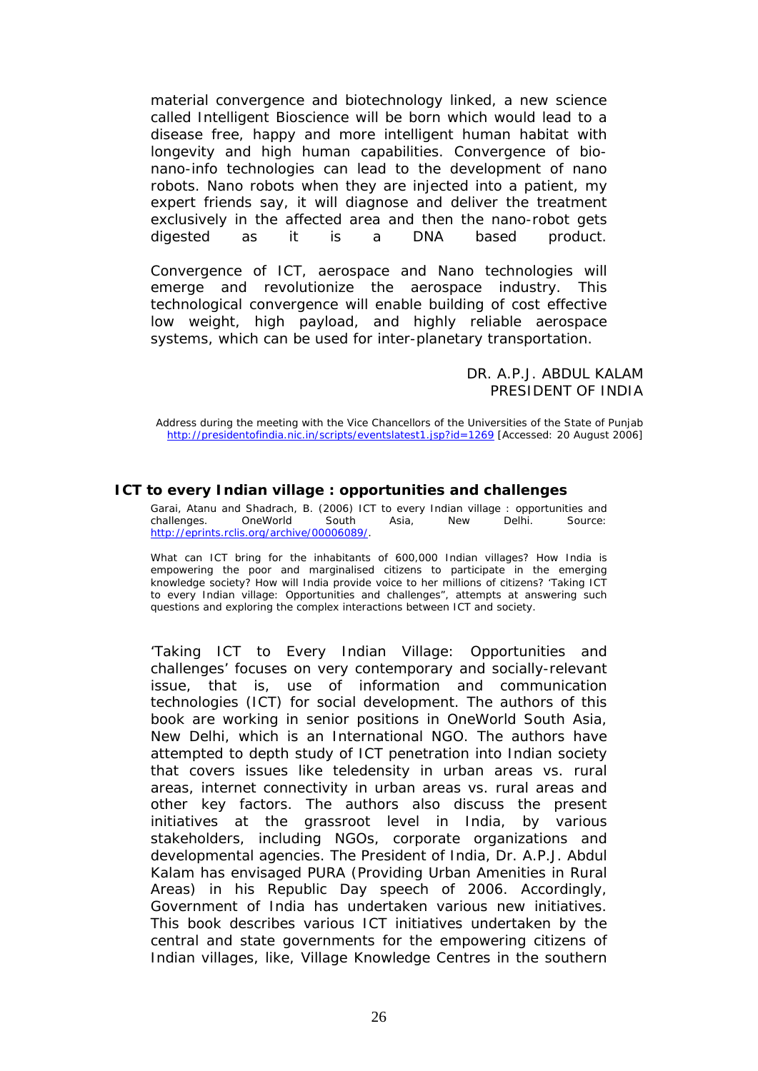material convergence and biotechnology linked, a new science called Intelligent Bioscience will be born which would lead to a disease free, happy and more intelligent human habitat with longevity and high human capabilities. Convergence of bionano-info technologies can lead to the development of nano robots. Nano robots when they are injected into a patient, my expert friends say, it will diagnose and deliver the treatment exclusively in the affected area and then the nano-robot gets digested as it is a DNA based product.

Convergence of ICT, aerospace and Nano technologies will emerge and revolutionize the aerospace industry. This technological convergence will enable building of cost effective low weight, high payload, and highly reliable aerospace systems, which can be used for inter-planetary transportation.

> DR. A.P.J. ABDUL KALAM PRESIDENT OF INDIA

Address during the meeting with the Vice Chancellors of the Universities of the State of Punjab http://presidentofindia.nic.in/scripts/eventslatest1.jsp?id=1269 [Accessed: 20 August 2006]

#### **ICT to every Indian village : opportunities and challenges**

Garai, Atanu and Shadrach, B. (2006) *ICT to every Indian village : opportunities and challenges*. OneWorld South Asia, New Delhi. Source: http://eprints.rclis.org/archive/00006089/.

*What can ICT bring for the inhabitants of 600,000 Indian villages? How India is*  empowering the poor and marginalised citizens to participate in the emerging *knowledge society? How will India provide voice to her millions of citizens? 'Taking ICT to every Indian village: Opportunities and challenges", attempts at answering such questions and exploring the complex interactions between ICT and society.* 

'Taking ICT to Every Indian Village: Opportunities and challenges' focuses on very contemporary and socially-relevant issue, that is, use of information and communication technologies (ICT) for social development. The authors of this book are working in senior positions in OneWorld South Asia, New Delhi, which is an International NGO. The authors have attempted to depth study of ICT penetration into Indian society that covers issues like teledensity in urban areas vs. rural areas, internet connectivity in urban areas vs. rural areas and other key factors. The authors also discuss the present initiatives at the grassroot level in India, by various stakeholders, including NGOs, corporate organizations and developmental agencies. The President of India, Dr. A.P.J. Abdul Kalam has envisaged PURA (Providing Urban Amenities in Rural Areas) in his Republic Day speech of 2006. Accordingly, Government of India has undertaken various new initiatives. This book describes various ICT initiatives undertaken by the central and state governments for the empowering citizens of Indian villages, like, Village Knowledge Centres in the southern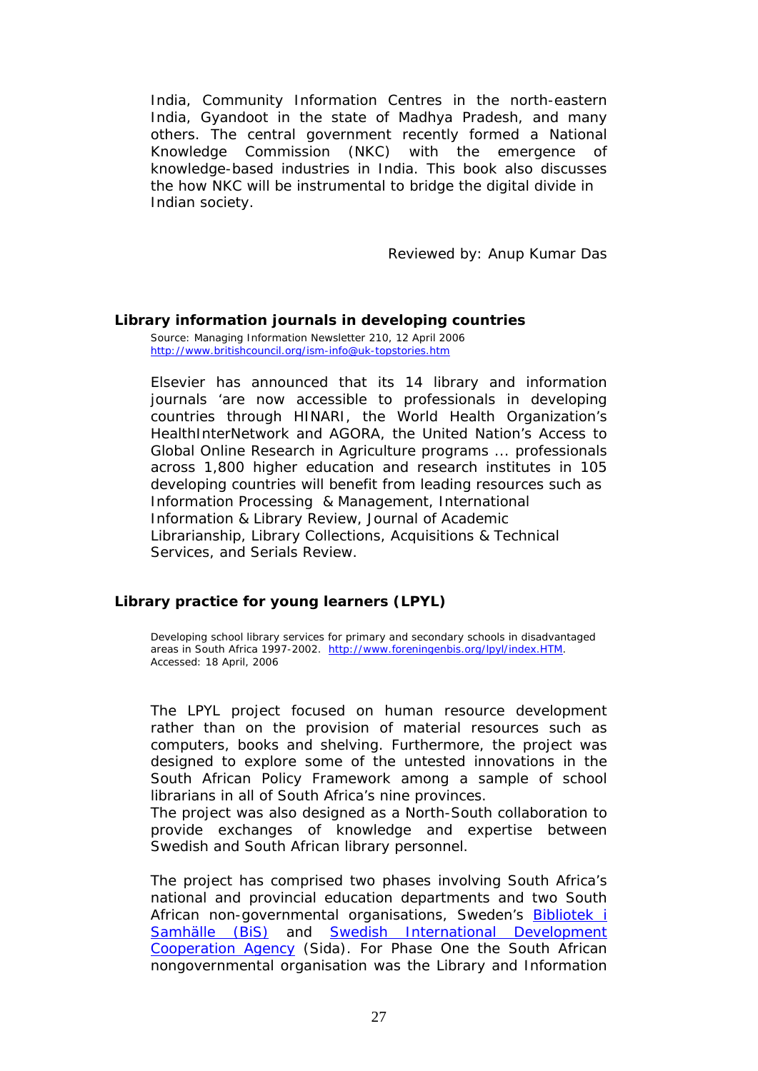India, Community Information Centres in the north-eastern India, Gyandoot in the state of Madhya Pradesh, and many others. The central government recently formed a National Knowledge Commission (NKC) with the emergence of knowledge-based industries in India. This book also discusses the how NKC will be instrumental to bridge the digital divide in Indian society.

*Reviewed by: Anup Kumar Das* 

#### **Library information journals in developing countries**

*Source: Managing Information Newsletter 210, 12 April 2006 http://www.britishcouncil.org/ism-info@uk-topstories.htm*

Elsevier has announced that its 14 library and information journals 'are now accessible to professionals in developing countries through HINARI, the World Health Organization's HealthInterNetwork and AGORA, the United Nation's Access to Global Online Research in Agriculture programs ... professionals across 1,800 higher education and research institutes in 105 developing countries will benefit from leading resources such as *Information Processing & Management*, *International Information & Library Review*, *Journal of Academic Librarianship*, *Library Collections, Acquisitions & Technical Services*, and *Serials Review*.

#### **Library practice for young learners (LPYL)**

*Developing school library services for primary and secondary schools in disadvantaged areas in South Africa 1997-2002. http://www.foreningenbis.org/lpyl/index.HTM. Accessed: 18 April, 2006* 

The LPYL project focused on human resource development rather than on the provision of material resources such as computers, books and shelving. Furthermore, the project was designed to explore some of the untested innovations in the South African Policy Framework among a sample of school librarians in all of South Africa's nine provinces.

The project was also designed as a North-South collaboration to provide exchanges of knowledge and expertise between Swedish and South African library personnel.

The project has comprised two phases involving South Africa's national and provincial education departments and two South African non-governmental organisations, Sweden's Bibliotek i Samhälle (BiS) and Swedish International Development Cooperation Agency (Sida). For Phase One the South African nongovernmental organisation was the Library and Information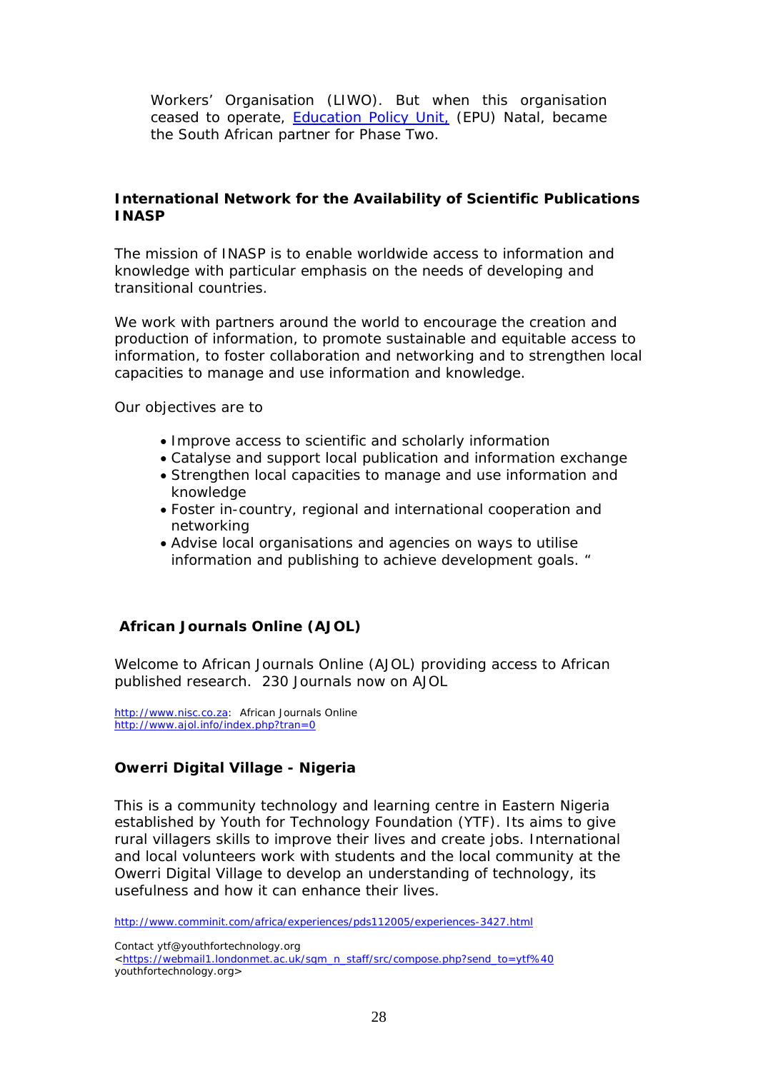Workers' Organisation (LIWO). But when this organisation ceased to operate, **Education Policy Unit, (EPU)** Natal, became the South African partner for Phase Two.

## **International Network for the Availability of Scientific Publications INASP**

The mission of INASP is to enable worldwide access to information and knowledge with particular emphasis on the needs of developing and transitional countries.

We work with partners around the world to encourage the creation and production of information, to promote sustainable and equitable access to information, to foster collaboration and networking and to strengthen local capacities to manage and use information and knowledge.

Our objectives are to

- Improve access to scientific and scholarly information
- Catalyse and support local publication and information exchange
- Strengthen local capacities to manage and use information and knowledge
- Foster in-country, regional and international cooperation and networking
- Advise local organisations and agencies on ways to utilise information and publishing to achieve development goals. "

#### **African Journals Online (AJOL)**

Welcome to African Journals Online (AJOL) providing access to African published research. 230 Journals now on AJOL

http://www.nisc.co.za: African Journals Online http://www.ajol.info/index.php?tran=0

#### **Owerri Digital Village - Nigeria**

This is a community technology and learning centre in Eastern Nigeria established by Youth for Technology Foundation (YTF). Its aims to give rural villagers skills to improve their lives and create jobs. International and local volunteers work with students and the local community at the Owerri Digital Village to develop an understanding of technology, its usefulness and how it can enhance their lives.

http://www.comminit.com/africa/experiences/pds112005/experiences-3427.html

Contact ytf@youthfortechnology.org

<sup>&</sup>lt;https://webmail1.londonmet.ac.uk/sqm\_n\_staff/src/compose.php?send\_to=ytf%40 youthfortechnology.org>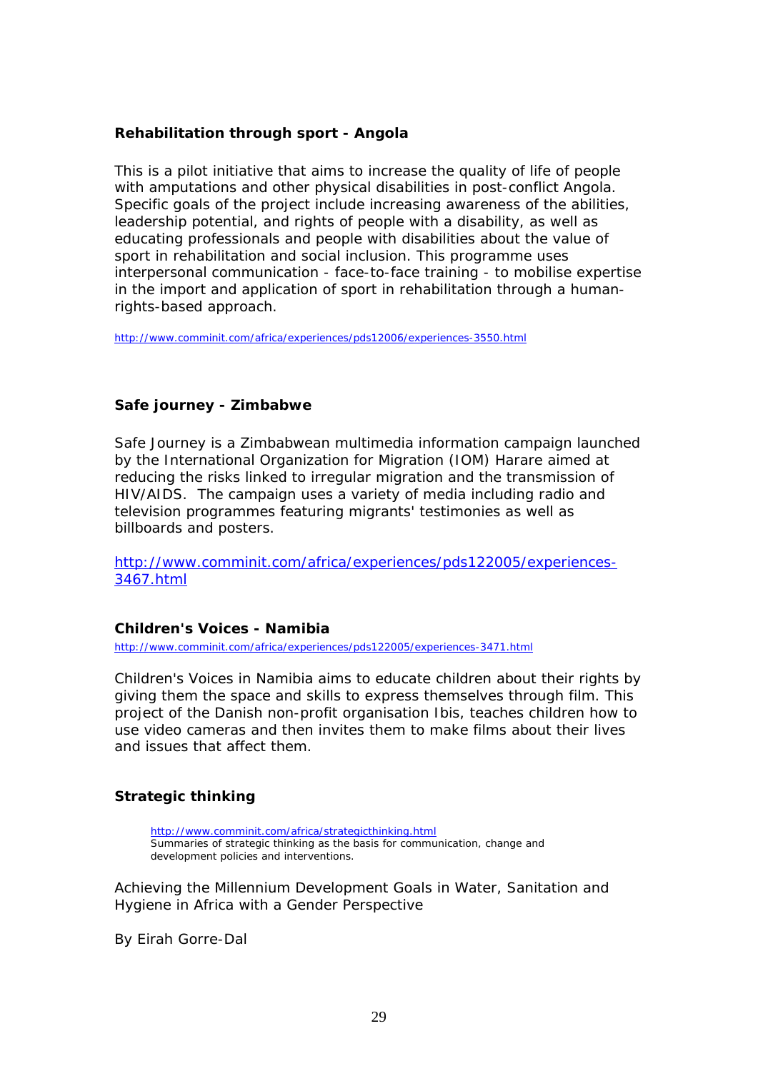#### **Rehabilitation through sport - Angola**

This is a pilot initiative that aims to increase the quality of life of people with amputations and other physical disabilities in post-conflict Angola. Specific goals of the project include increasing awareness of the abilities, leadership potential, and rights of people with a disability, as well as educating professionals and people with disabilities about the value of sport in rehabilitation and social inclusion. This programme uses interpersonal communication - face-to-face training - to mobilise expertise in the import and application of sport in rehabilitation through a humanrights-based approach.

http://www.comminit.com/africa/experiences/pds12006/experiences-3550.html

#### **Safe journey - Zimbabwe**

Safe Journey is a Zimbabwean multimedia information campaign launched by the International Organization for Migration (IOM) Harare aimed at reducing the risks linked to irregular migration and the transmission of HIV/AIDS. The campaign uses a variety of media including radio and television programmes featuring migrants' testimonies as well as billboards and posters.

http://www.comminit.com/africa/experiences/pds122005/experiences-3467.html

#### **Children's Voices - Namibia**

http://www.comminit.com/africa/experiences/pds122005/experiences-3471.html

Children's Voices in Namibia aims to educate children about their rights by giving them the space and skills to express themselves through film. This project of the Danish non-profit organisation Ibis, teaches children how to use video cameras and then invites them to make films about their lives and issues that affect them.

#### **Strategic thinking**

*http://www.comminit.com/africa/strategicthinking.html Summaries of strategic thinking as the basis for communication, change and development policies and interventions.* 

*Achieving the Millennium Development Goals in Water, Sanitation and Hygiene in Africa with a Gender Perspective* 

By Eirah Gorre-Dal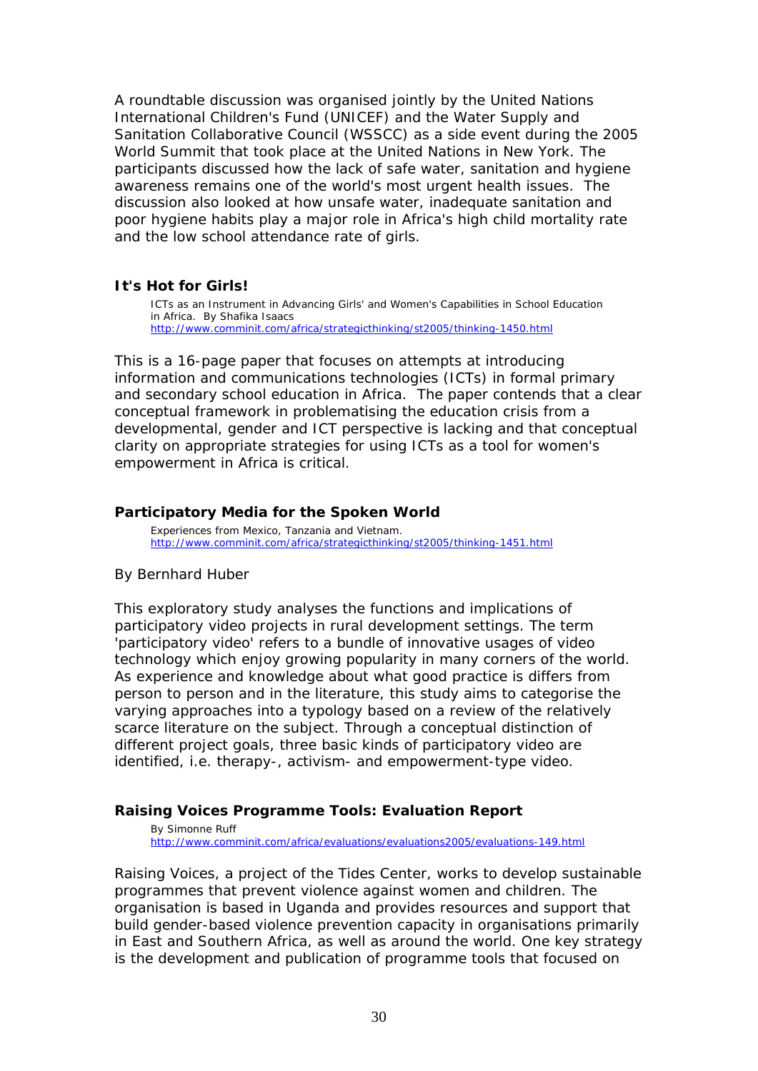A roundtable discussion was organised jointly by the United Nations International Children's Fund (UNICEF) and the Water Supply and Sanitation Collaborative Council (WSSCC) as a side event during the 2005 World Summit that took place at the United Nations in New York. The participants discussed how the lack of safe water, sanitation and hygiene awareness remains one of the world's most urgent health issues. The discussion also looked at how unsafe water, inadequate sanitation and poor hygiene habits play a major role in Africa's high child mortality rate and the low school attendance rate of girls.

#### **It's Hot for Girls!**

ICTs as an Instrument in Advancing Girls' and Women's Capabilities in School Education in Africa. By Shafika Isaacs http://www.comminit.com/africa/strategicthinking/st2005/thinking-1450.html

This is a 16-page paper that focuses on attempts at introducing information and communications technologies (ICTs) in formal primary and secondary school education in Africa. The paper contends that a clear conceptual framework in problematising the education crisis from a developmental, gender and ICT perspective is lacking and that conceptual clarity on appropriate strategies for using ICTs as a tool for women's empowerment in Africa is critical.

#### **Participatory Media for the Spoken World**

*Experiences from Mexico, Tanzania and Vietnam.* http://www.comminit.com/africa/strategicthinking/st2005/thinking-1451.html

#### By Bernhard Huber

This exploratory study analyses the functions and implications of participatory video projects in rural development settings. The term 'participatory video' refers to a bundle of innovative usages of video technology which enjoy growing popularity in many corners of the world. As experience and knowledge about what good practice is differs from person to person and in the literature, this study aims to categorise the varying approaches into a typology based on a review of the relatively scarce literature on the subject. Through a conceptual distinction of different project goals, three basic kinds of participatory video are identified, i.e. therapy-, activism- and empowerment-type video.

#### **Raising Voices Programme Tools: Evaluation Report**

*By Simonne Ruff*  http://www.comminit.com/africa/evaluations/evaluations2005/evaluations-149.html

Raising Voices, a project of the Tides Center, works to develop sustainable programmes that prevent violence against women and children. The organisation is based in Uganda and provides resources and support that build gender-based violence prevention capacity in organisations primarily in East and Southern Africa, as well as around the world. One key strategy is the development and publication of programme tools that focused on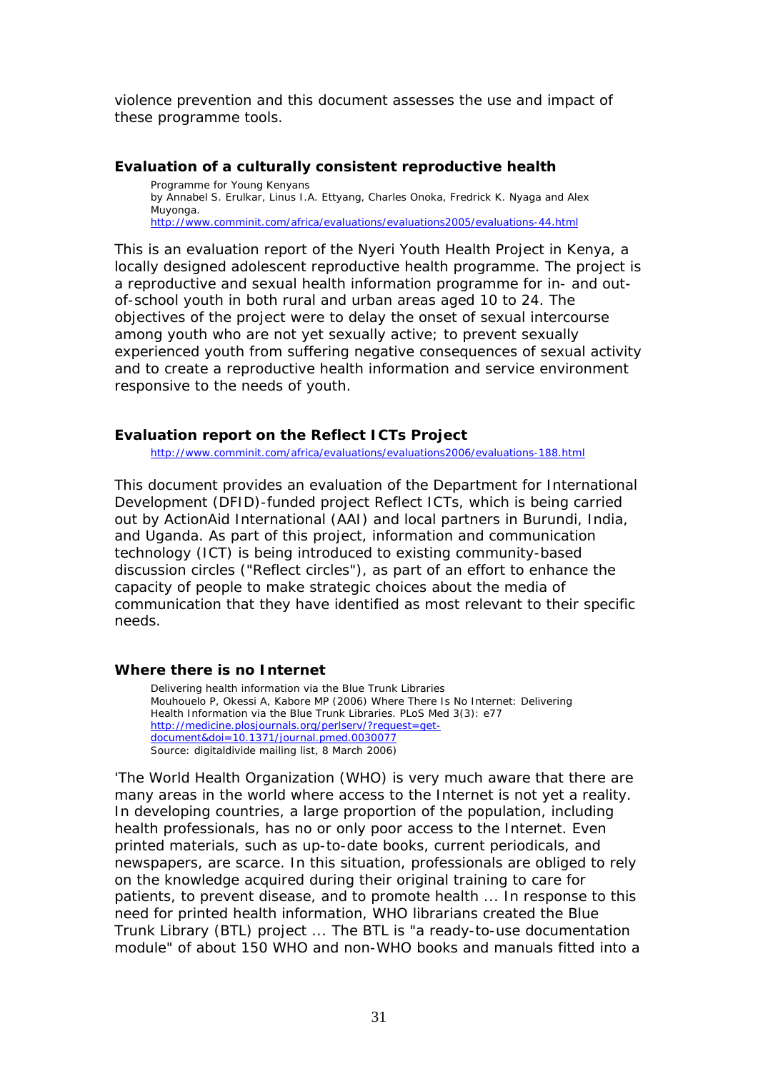violence prevention and this document assesses the use and impact of these programme tools.

#### **Evaluation of a culturally consistent reproductive health**

*Programme for Young Kenyans by Annabel S. Erulkar, Linus I.A. Ettyang, Charles Onoka, Fredrick K. Nyaga and Alex Muyonga. http://www.comminit.com/africa/evaluations/evaluations2005/evaluations-44.html*

This is an evaluation report of the Nyeri Youth Health Project in Kenya, a locally designed adolescent reproductive health programme. The project is a reproductive and sexual health information programme for in- and outof-school youth in both rural and urban areas aged 10 to 24. The objectives of the project were to delay the onset of sexual intercourse among youth who are not yet sexually active; to prevent sexually experienced youth from suffering negative consequences of sexual activity and to create a reproductive health information and service environment responsive to the needs of youth.

## **Evaluation report on the Reflect ICTs Project**

*http://www.comminit.com/africa/evaluations/evaluations2006/evaluations-188.html*

This document provides an evaluation of the Department for International Development (DFID)-funded project Reflect ICTs, which is being carried out by ActionAid International (AAI) and local partners in Burundi, India, and Uganda. As part of this project, information and communication technology (ICT) is being introduced to existing community-based discussion circles ("Reflect circles"), as part of an effort to enhance the capacity of people to make strategic choices about the media of communication that they have identified as most relevant to their specific needs.

#### **Where there is no Internet**

Delivering health information via the Blue Trunk Libraries Mouhouelo P, Okessi A, Kabore MP (2006) Where There Is No Internet: Delivering Health Information via the Blue Trunk Libraries. PLoS Med 3(3): e77 http://medicine.plosjournals.org/perlserv/?request=getdocument&doi=10.1371/journal.pmed.0030077 Source: digitaldivide mailing list, 8 March 2006)

'The World Health Organization (WHO) is very much aware that there are many areas in the world where access to the Internet is not yet a reality. In developing countries, a large proportion of the population, including health professionals, has no or only poor access to the Internet. Even printed materials, such as up-to-date books, current periodicals, and newspapers, are scarce. In this situation, professionals are obliged to rely on the knowledge acquired during their original training to care for patients, to prevent disease, and to promote health ... In response to this need for printed health information, WHO librarians created the Blue Trunk Library (BTL) project ... The BTL is "a ready-to-use documentation module" of about 150 WHO and non-WHO books and manuals fitted into a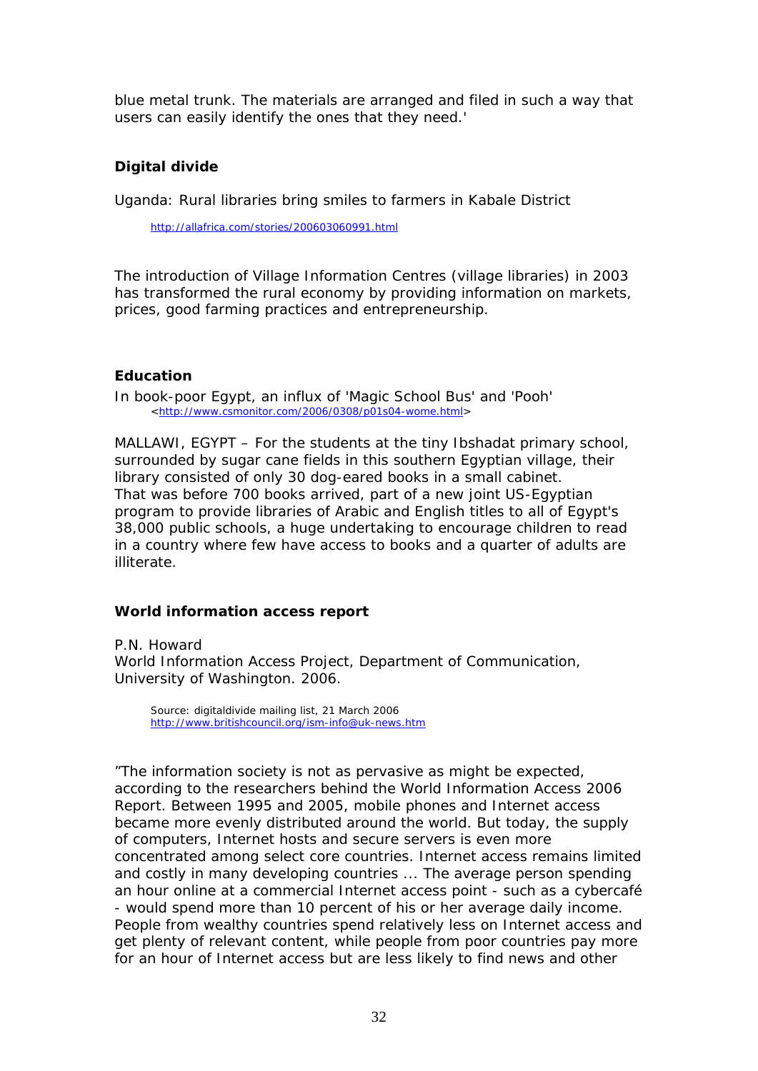blue metal trunk. The materials are arranged and filed in such a way that users can easily identify the ones that they need.'

# **Digital divide**

Uganda: Rural libraries bring smiles to farmers in Kabale District

http://allafrica.com/stories/200603060991.html

The introduction of Village Information Centres (village libraries) in 2003 has transformed the rural economy by providing information on markets, prices, good farming practices and entrepreneurship.

# **Education**

*In book-poor Egypt, an influx of 'Magic School Bus' and 'Pooh'* <http://www.csmonitor.com/2006/0308/p01s04-wome.html>

MALLAWI, EGYPT – For the students at the tiny Ibshadat primary school, surrounded by sugar cane fields in this southern Egyptian village, their library consisted of only 30 dog-eared books in a small cabinet. That was before 700 books arrived, part of a new joint US-Egyptian program to provide libraries of Arabic and English titles to all of Egypt's 38,000 public schools, a huge undertaking to encourage children to read in a country where few have access to books and a quarter of adults are illiterate.

# **World information access report**

P.N. Howard World Information Access Project, Department of Communication, University of Washington. 2006.

*Source: digitaldivide mailing list, 21 March 2006 http://www.britishcouncil.org/ism-info@uk-news.htm*

"The information society is not as pervasive as might be expected, according to the researchers behind the World Information Access 2006 Report. Between 1995 and 2005, mobile phones and Internet access became more evenly distributed around the world. But today, the supply of computers, Internet hosts and secure servers is even more concentrated among select core countries. Internet access remains limited and costly in many developing countries ... The average person spending an hour online at a commercial Internet access point - such as a cybercafé - would spend more than 10 percent of his or her average daily income. People from wealthy countries spend relatively less on Internet access and get plenty of relevant content, while people from poor countries pay more for an hour of Internet access but are less likely to find news and other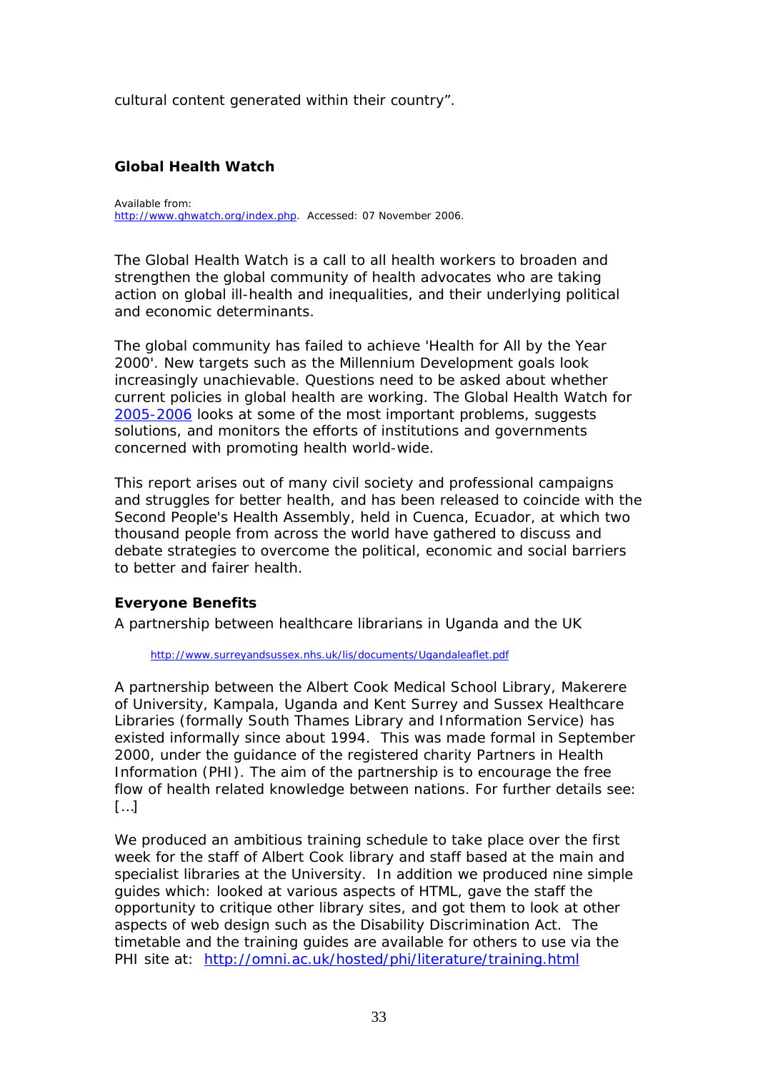cultural content generated within their country".

## **Global Health Watch**

Available from: http://www.ghwatch.org/index.php. Accessed: 07 November 2006.

The Global Health Watch is a call to all health workers to broaden and strengthen the global community of health advocates who are taking action on global ill-health and inequalities, and their underlying political and economic determinants.

The global community has failed to achieve 'Health for All by the Year 2000'. New targets such as the Millennium Development goals look increasingly unachievable. Questions need to be asked about whether current policies in global health are working. The Global Health Watch for 2005-2006 looks at some of the most important problems, suggests solutions, and monitors the efforts of institutions and governments concerned with promoting health world-wide.

This report arises out of many civil society and professional campaigns and struggles for better health, and has been released to coincide with the Second People's Health Assembly, held in Cuenca, Ecuador, at which two thousand people from across the world have gathered to discuss and debate strategies to overcome the political, economic and social barriers to better and fairer health.

#### **Everyone Benefits**

*A partnership between healthcare librarians in Uganda and the UK* 

http://www.surreyandsussex.nhs.uk/lis/documents/Ugandaleaflet.pdf

A partnership between the Albert Cook Medical School Library, Makerere of University, Kampala, Uganda and Kent Surrey and Sussex Healthcare Libraries (formally South Thames Library and Information Service) has existed informally since about 1994. This was made formal in September 2000, under the guidance of the registered charity Partners in Health Information (PHI). The aim of the partnership is to encourage the free flow of health related knowledge between nations. For further details see:  $[\ldots]$ 

We produced an ambitious training schedule to take place over the first week for the staff of Albert Cook library and staff based at the main and specialist libraries at the University. In addition we produced nine simple guides which: looked at various aspects of HTML, gave the staff the opportunity to critique other library sites, and got them to look at other aspects of web design such as the Disability Discrimination Act. The timetable and the training guides are available for others to use via the PHI site at: http://omni.ac.uk/hosted/phi/literature/training.html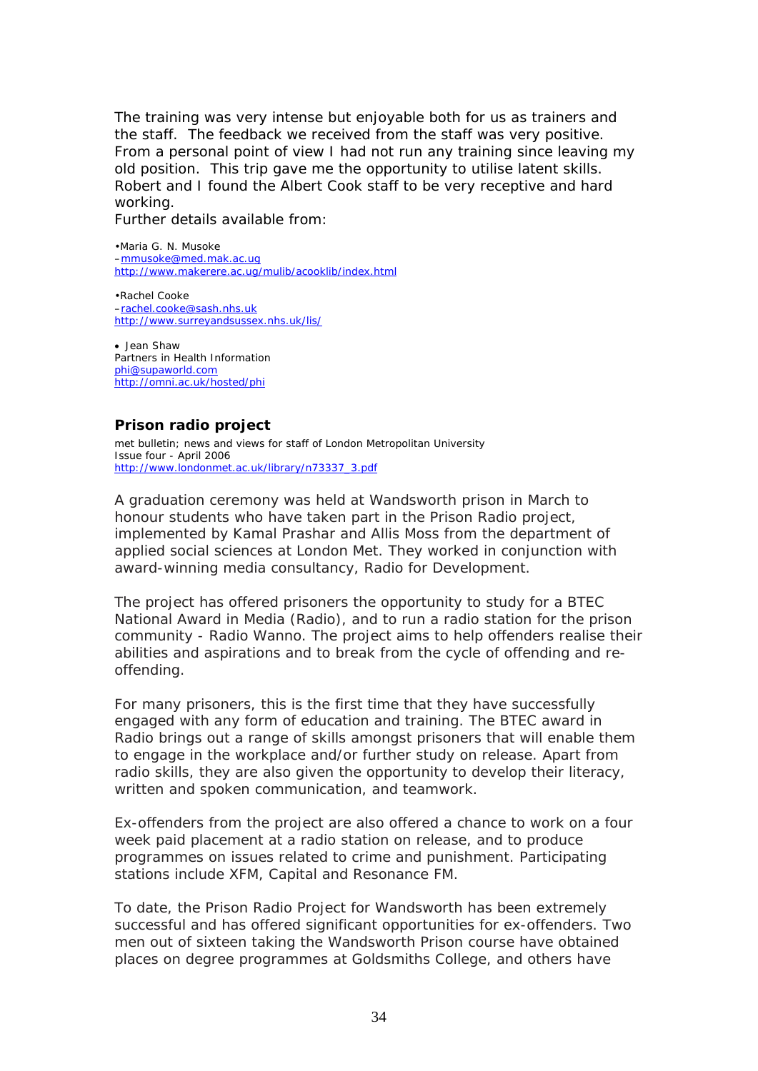The training was very intense but enjoyable both for us as trainers and the staff. The feedback we received from the staff was very positive. From a personal point of view I had not run any training since leaving my old position. This trip gave me the opportunity to utilise latent skills. Robert and I found the Albert Cook staff to be very receptive and hard working.

Further details available from:

•Maria G. N. Musoke –mmusoke@med.mak.ac.ug http://www.makerere.ac.ug/mulib/acooklib/index.html

•Rachel Cooke –rachel.cooke@sash.nhs.uk http://www.surreyandsussex.nhs.uk/lis/

• Jean Shaw Partners in Health Information phi@supaworld.com http://omni.ac.uk/hosted/phi

#### **Prison radio project**

*met bulletin*; news and views for staff of London Metropolitan University Issue four - April 2006 http://www.londonmet.ac.uk/library/n73337\_3.pdf

A graduation ceremony was held at Wandsworth prison in March to honour students who have taken part in the Prison Radio project, implemented by Kamal Prashar and Allis Moss from the department of applied social sciences at London Met. They worked in conjunction with award-winning media consultancy, Radio for Development.

The project has offered prisoners the opportunity to study for a BTEC National Award in Media (Radio), and to run a radio station for the prison community - Radio Wanno. The project aims to help offenders realise their abilities and aspirations and to break from the cycle of offending and reoffending.

For many prisoners, this is the first time that they have successfully engaged with any form of education and training. The BTEC award in Radio brings out a range of skills amongst prisoners that will enable them to engage in the workplace and/or further study on release. Apart from radio skills, they are also given the opportunity to develop their literacy, written and spoken communication, and teamwork.

Ex-offenders from the project are also offered a chance to work on a four week paid placement at a radio station on release, and to produce programmes on issues related to crime and punishment. Participating stations include XFM, Capital and Resonance FM.

To date, the Prison Radio Project for Wandsworth has been extremely successful and has offered significant opportunities for ex-offenders. Two men out of sixteen taking the Wandsworth Prison course have obtained places on degree programmes at Goldsmiths College, and others have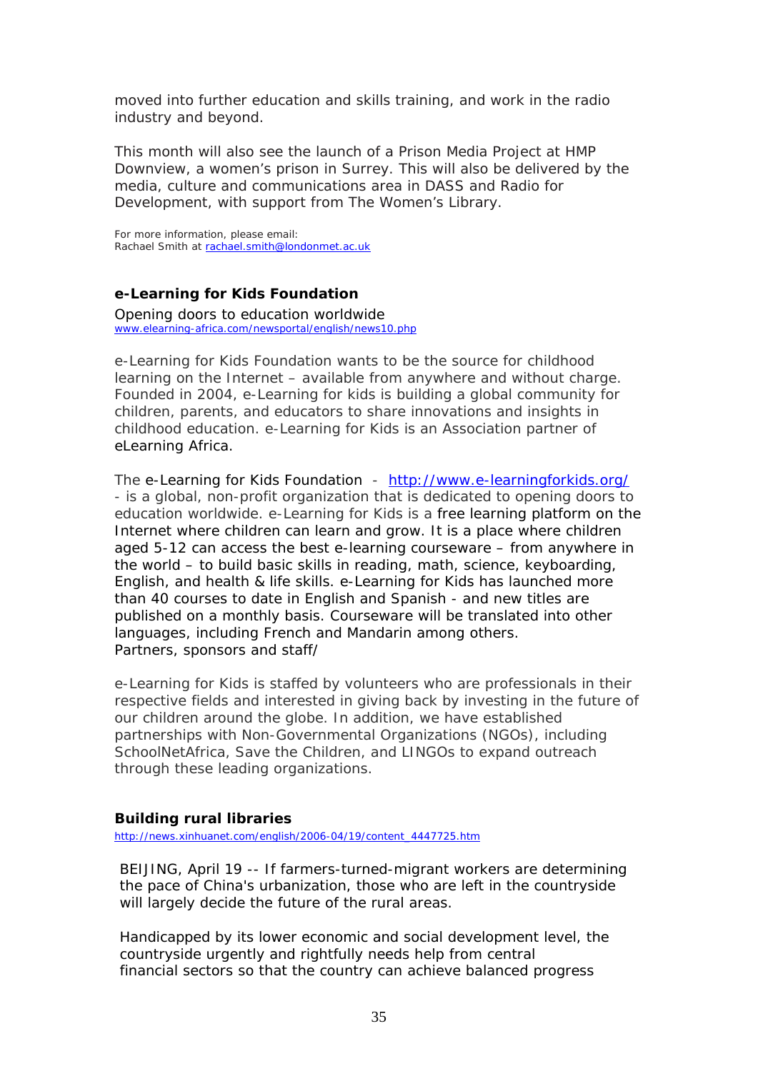moved into further education and skills training, and work in the radio industry and beyond.

This month will also see the launch of a Prison Media Project at HMP Downview, a women's prison in Surrey. This will also be delivered by the media, culture and communications area in DASS and Radio for Development, with support from The Women's Library.

For more information, please email: Rachael Smith at rachael.smith@londonmet.ac.uk

## **e-Learning for Kids Foundation**

*Opening doors to education worldwide*  www.elearning-africa.com/newsportal/english/news10.php

e-Learning for Kids Foundation wants to be the source for childhood learning on the Internet – available from anywhere and without charge. Founded in 2004, e-Learning for kids is building a global community for children, parents, and educators to share innovations and insights in childhood education. e-Learning for Kids is an Association partner of eLearning Africa.

The e-Learning for Kids Foundation - http://www.e-learningforkids.org/ - is a global, non-profit organization that is dedicated to opening doors to education worldwide. e-Learning for Kids is a free learning platform on the Internet where children can learn and grow. It is a place where children aged 5-12 can access the best e-learning courseware – from anywhere in the world – to build basic skills in reading, math, science, keyboarding, English, and health & life skills. e-Learning for Kids has launched more than 40 courses to date in English and Spanish - and new titles are published on a monthly basis. Courseware will be translated into other languages, including French and Mandarin among others. Partners, sponsors and staff/

e-Learning for Kids is staffed by volunteers who are professionals in their respective fields and interested in *giving back* by investing in the future of our children around the globe. In addition, we have established partnerships with Non-Governmental Organizations (NGOs), including SchoolNetAfrica, Save the Children, and LINGOs to expand outreach through these leading organizations.

#### **Building rural libraries**

http://news.xinhuanet.com/english/2006-04/19/content\_4447725.htm

BEIJING, April 19 -- If farmers-turned-migrant workers are determining the pace of China's urbanization, those who are left in the countryside will largely decide the future of the rural areas.

Handicapped by its lower economic and social development level, the countryside urgently and rightfully needs help from central financial sectors so that the country can achieve balanced progress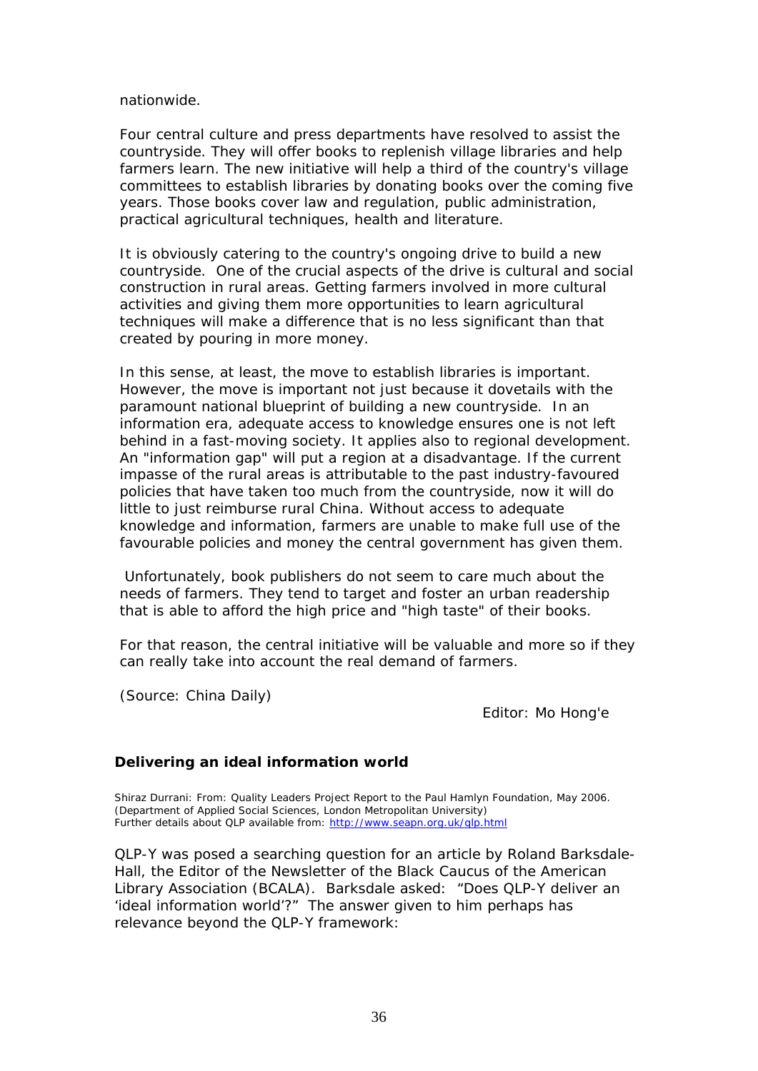nationwide.

Four central culture and press departments have resolved to assist the countryside. They will offer books to replenish village libraries and help farmers learn. The new initiative will help a third of the country's village committees to establish libraries by donating books over the coming five years. Those books cover law and regulation, public administration, practical agricultural techniques, health and literature.

It is obviously catering to the country's ongoing drive to build a new countryside. One of the crucial aspects of the drive is cultural and social construction in rural areas. Getting farmers involved in more cultural activities and giving them more opportunities to learn agricultural techniques will make a difference that is no less significant than that created by pouring in more money.

In this sense, at least, the move to establish libraries is important. However, the move is important not just because it dovetails with the paramount national blueprint of building a new countryside. In an information era, adequate access to knowledge ensures one is not left behind in a fast-moving society. It applies also to regional development. An "information gap" will put a region at a disadvantage. If the current impasse of the rural areas is attributable to the past industry-favoured policies that have taken too much from the countryside, now it will do little to just reimburse rural China. Without access to adequate knowledge and information, farmers are unable to make full use of the favourable policies and money the central government has given them.

 Unfortunately, book publishers do not seem to care much about the needs of farmers. They tend to target and foster an urban readership that is able to afford the high price and "high taste" of their books.

For that reason, the central initiative will be valuable and more so if they can really take into account the real demand of farmers.

(Source: China Daily)

Editor: Mo Hong'e

#### **Delivering an ideal information world**

Shiraz Durrani: From: Quality Leaders Project Report to the Paul Hamlyn Foundation, May 2006. (Department of Applied Social Sciences, London Metropolitan University) Further details about QLP available from: http://www.seapn.org.uk/qlp.html

QLP-Y was posed a searching question for an article by Roland Barksdale-Hall, the Editor of the *Newsletter of the Black Caucus of the American Library Association* (BCALA). Barksdale asked: "Does QLP-Y deliver an 'ideal information world'?" The answer given to him perhaps has relevance beyond the QLP-Y framework: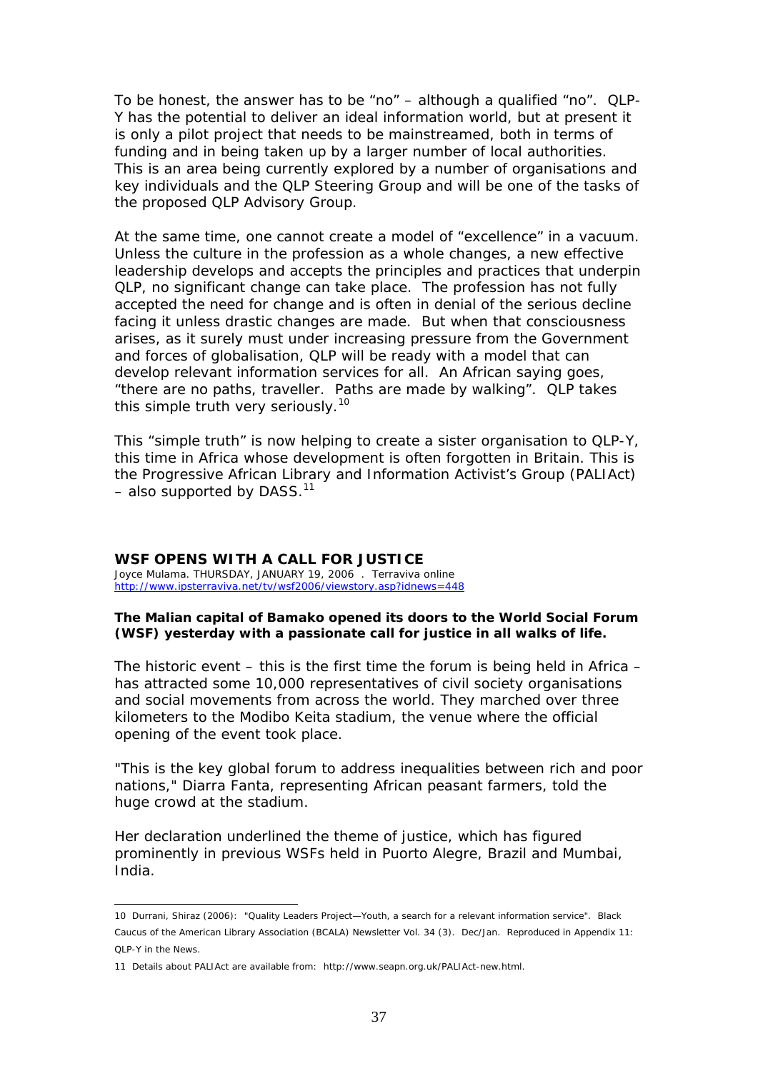To be honest, the answer has to be "no" – although a qualified "no". QLP-Y has the potential to deliver an ideal information world, but at present it is only a pilot project that needs to be mainstreamed, both in terms of funding and in being taken up by a larger number of local authorities. This is an area being currently explored by a number of organisations and key individuals and the QLP Steering Group and will be one of the tasks of the proposed QLP Advisory Group.

At the same time, one cannot create a model of "excellence" in a vacuum. Unless the culture in the profession as a whole changes, a new effective leadership develops and accepts the principles and practices that underpin QLP, no significant change can take place. The profession has not fully accepted the need for change and is often in denial of the serious decline facing it unless drastic changes are made. But when that consciousness arises, as it surely must under increasing pressure from the Government and forces of globalisation, QLP will be ready with a model that can develop relevant information services for all. An African saying goes, "there are no paths, traveller. Paths are made by walking". QLP takes this simple truth very seriously.<sup>10</sup>

This "simple truth" is now helping to create a sister organisation to QLP-Y, this time in Africa whose development is often forgotten in Britain. This is the Progressive African Library and Information Activist's Group (PALIAct)  $-$  also supported by DASS.<sup>11</sup>

**WSF OPENS WITH A CALL FOR JUSTICE**  Joyce Mulama. THURSDAY, JANUARY 19, 2006 . Terraviva online http://www.ipsterraviva.net/tv/wsf2006/viewstory.asp?idnews=448

#### **The Malian capital of Bamako opened its doors to the World Social Forum (WSF) yesterday with a passionate call for justice in all walks of life.**

The historic event – this is the first time the forum is being held in Africa – has attracted some 10,000 representatives of civil society organisations and social movements from across the world. They marched over three kilometers to the Modibo Keita stadium, the venue where the official opening of the event took place.

"This is the key global forum to address inequalities between rich and poor nations," Diarra Fanta, representing African peasant farmers, told the huge crowd at the stadium.

Her declaration underlined the theme of justice, which has figured prominently in previous WSFs held in Puorto Alegre, Brazil and Mumbai, India.

1

<sup>10</sup> Durrani, Shiraz (2006): "Quality Leaders Project—Youth, a search for a relevant information service". Black Caucus of the American Library Association (BCALA) Newsletter Vol. 34 (3). Dec/Jan. Reproduced in Appendix 11: QLP-Y in the News.

<sup>11</sup> Details about PALIAct are available from: http://www.seapn.org.uk/PALIAct-new.html.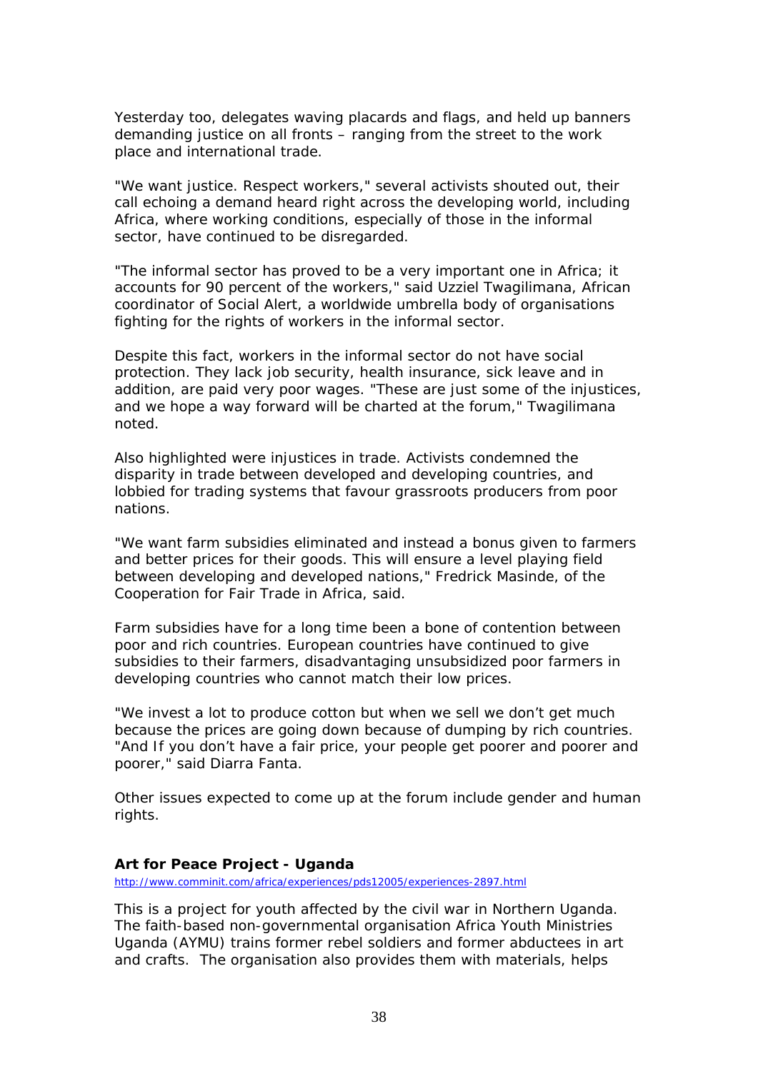Yesterday too, delegates waving placards and flags, and held up banners demanding justice on all fronts – ranging from the street to the work place and international trade.

"We want justice. Respect workers," several activists shouted out, their call echoing a demand heard right across the developing world, including Africa, where working conditions, especially of those in the informal sector, have continued to be disregarded.

"The informal sector has proved to be a very important one in Africa; it accounts for 90 percent of the workers," said Uzziel Twagilimana, African coordinator of Social Alert, a worldwide umbrella body of organisations fighting for the rights of workers in the informal sector.

Despite this fact, workers in the informal sector do not have social protection. They lack job security, health insurance, sick leave and in addition, are paid very poor wages. "These are just some of the injustices, and we hope a way forward will be charted at the forum," Twagilimana noted.

Also highlighted were injustices in trade. Activists condemned the disparity in trade between developed and developing countries, and lobbied for trading systems that favour grassroots producers from poor nations.

"We want farm subsidies eliminated and instead a bonus given to farmers and better prices for their goods. This will ensure a level playing field between developing and developed nations," Fredrick Masinde, of the Cooperation for Fair Trade in Africa, said.

Farm subsidies have for a long time been a bone of contention between poor and rich countries. European countries have continued to give subsidies to their farmers, disadvantaging unsubsidized poor farmers in developing countries who cannot match their low prices.

"We invest a lot to produce cotton but when we sell we don't get much because the prices are going down because of dumping by rich countries. "And If you don't have a fair price, your people get poorer and poorer and poorer," said Diarra Fanta.

Other issues expected to come up at the forum include gender and human rights.

#### **Art for Peace Project - Uganda**

http://www.comminit.com/africa/experiences/pds12005/experiences-2897.html

This is a project for youth affected by the civil war in Northern Uganda. The faith-based non-governmental organisation Africa Youth Ministries Uganda (AYMU) trains former rebel soldiers and former abductees in art and crafts. The organisation also provides them with materials, helps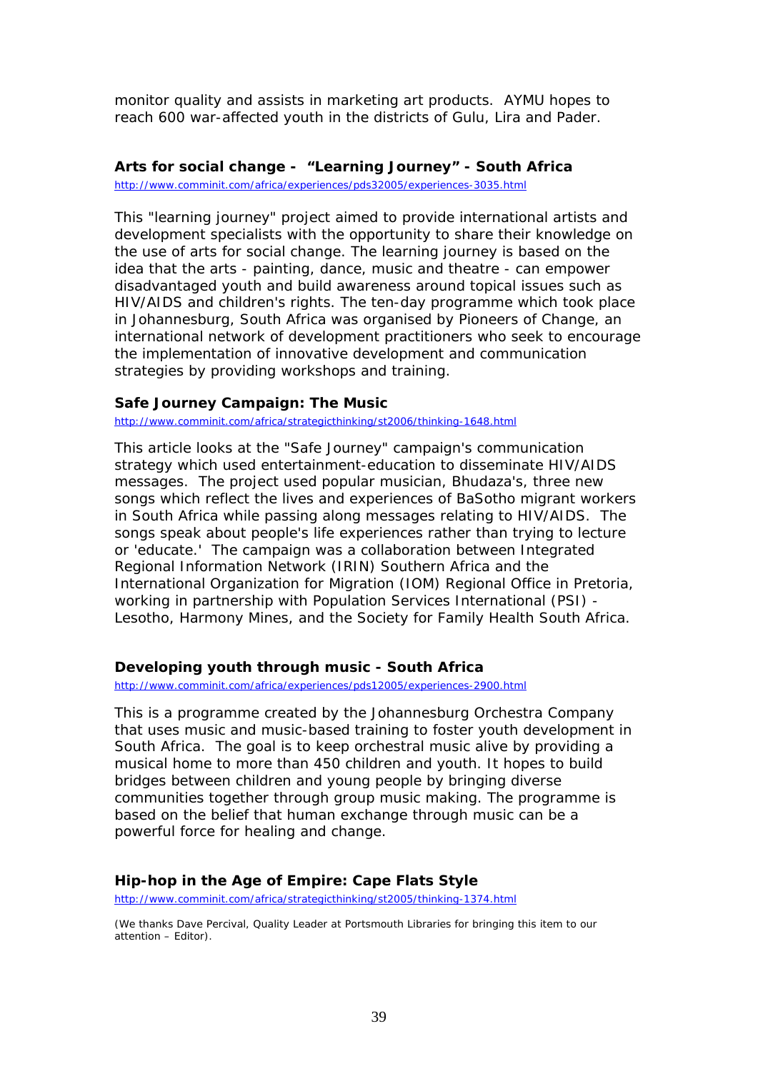monitor quality and assists in marketing art products. AYMU hopes to reach 600 war-affected youth in the districts of Gulu, Lira and Pader.

#### **Arts for social change - "Learning Journey" - South Africa**

http://www.comminit.com/africa/experiences/pds32005/experiences-3035.html

This "learning journey" project aimed to provide international artists and development specialists with the opportunity to share their knowledge on the use of arts for social change. The learning journey is based on the idea that the arts - painting, dance, music and theatre - can empower disadvantaged youth and build awareness around topical issues such as HIV/AIDS and children's rights. The ten-day programme which took place in Johannesburg, South Africa was organised by Pioneers of Change, an international network of development practitioners who seek to encourage the implementation of innovative development and communication strategies by providing workshops and training.

#### **Safe Journey Campaign: The Music**

http://www.comminit.com/africa/strategicthinking/st2006/thinking-1648.html

This article looks at the "Safe Journey" campaign's communication strategy which used entertainment-education to disseminate HIV/AIDS messages. The project used popular musician, Bhudaza's, three new songs which reflect the lives and experiences of BaSotho migrant workers in South Africa while passing along messages relating to HIV/AIDS. The songs speak about people's life experiences rather than trying to lecture or 'educate.' The campaign was a collaboration between Integrated Regional Information Network (IRIN) Southern Africa and the International Organization for Migration (IOM) Regional Office in Pretoria, working in partnership with Population Services International (PSI) - Lesotho, Harmony Mines, and the Society for Family Health South Africa.

#### **Developing youth through music - South Africa**

http://www.comminit.com/africa/experiences/pds12005/experiences-2900.html

This is a programme created by the Johannesburg Orchestra Company that uses music and music-based training to foster youth development in South Africa. The goal is to keep orchestral music alive by providing a musical home to more than 450 children and youth. It hopes to build bridges between children and young people by bringing diverse communities together through group music making. The programme is based on the belief that human exchange through music can be a powerful force for healing and change.

#### **Hip-hop in the Age of Empire: Cape Flats Style**

http://www.comminit.com/africa/strategicthinking/st2005/thinking-1374.html

*(We thanks Dave Percival, Quality Leader at Portsmouth Libraries for bringing this item to our attention – Editor).*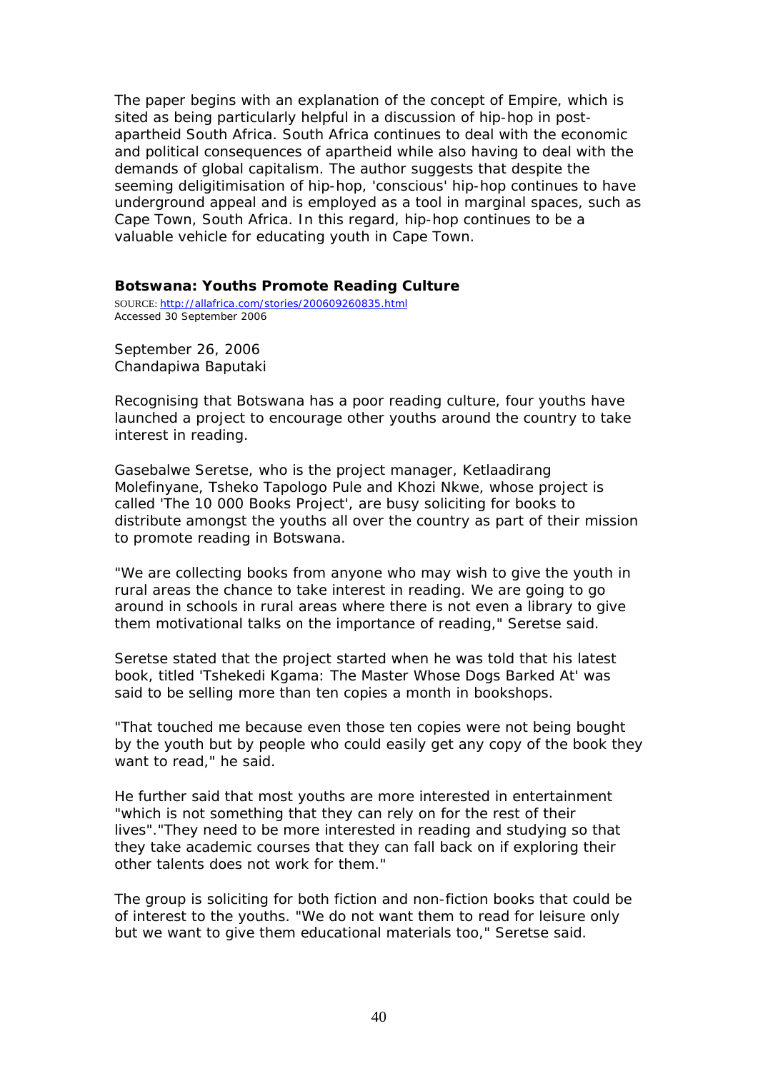The paper begins with an explanation of the concept of Empire, which is sited as being particularly helpful in a discussion of hip-hop in postapartheid South Africa. South Africa continues to deal with the economic and political consequences of apartheid while also having to deal with the demands of global capitalism. The author suggests that despite the seeming deligitimisation of hip-hop, 'conscious' hip-hop continues to have underground appeal and is employed as a tool in marginal spaces, such as Cape Town, South Africa. In this regard, hip-hop continues to be a valuable vehicle for educating youth in Cape Town.

#### **Botswana: Youths Promote Reading Culture**

SOURCE: http://allafrica.com/stories/200609260835.html Accessed 30 September 2006

September 26, 2006 Chandapiwa Baputaki

Recognising that Botswana has a poor reading culture, four youths have launched a project to encourage other youths around the country to take interest in reading.

Gasebalwe Seretse, who is the project manager, Ketlaadirang Molefinyane, Tsheko Tapologo Pule and Khozi Nkwe, whose project is called 'The 10 000 Books Project', are busy soliciting for books to distribute amongst the youths all over the country as part of their mission to promote reading in Botswana.

"We are collecting books from anyone who may wish to give the youth in rural areas the chance to take interest in reading. We are going to go around in schools in rural areas where there is not even a library to give them motivational talks on the importance of reading," Seretse said.

Seretse stated that the project started when he was told that his latest book, titled 'Tshekedi Kgama: The Master Whose Dogs Barked At' was said to be selling more than ten copies a month in bookshops.

"That touched me because even those ten copies were not being bought by the youth but by people who could easily get any copy of the book they want to read," he said.

He further said that most youths are more interested in entertainment "which is not something that they can rely on for the rest of their lives"."They need to be more interested in reading and studying so that they take academic courses that they can fall back on if exploring their other talents does not work for them."

The group is soliciting for both fiction and non-fiction books that could be of interest to the youths. "We do not want them to read for leisure only but we want to give them educational materials too," Seretse said.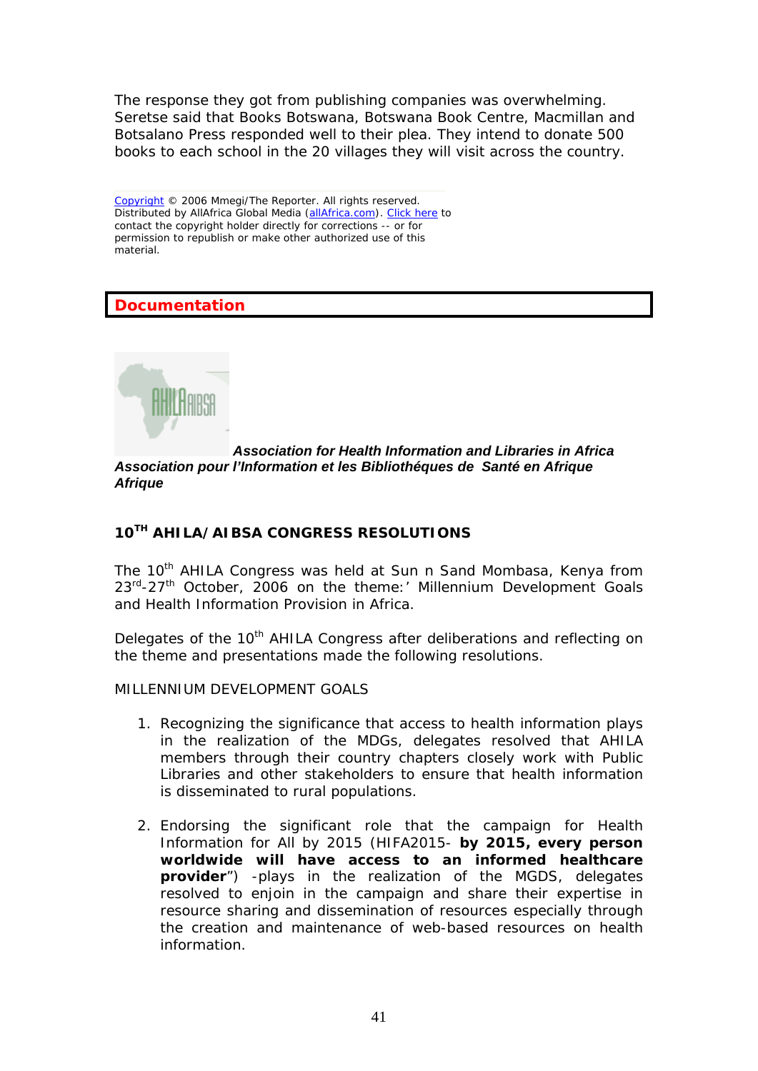The response they got from publishing companies was overwhelming. Seretse said that Books Botswana, Botswana Book Centre, Macmillan and Botsalano Press responded well to their plea. They intend to donate 500 books to each school in the 20 villages they will visit across the country.

Copyright © 2006 Mmegi/The Reporter. All rights reserved. Distributed by AllAfrica Global Media (allAfrica.com). Click here to contact the copyright holder directly for corrections -- or for permission to republish or make other authorized use of this material.

# **Documentation**



 *Association for Health Information and Libraries in Africa Association pour l'Information et les Bibliothéques de Santé en Afrique Afrique* 

# *10TH AHILA/AIBSA CONGRESS RESOLUTIONS*

The 10<sup>th</sup> AHILA Congress was held at Sun n Sand Mombasa, Kenya from 23<sup>rd</sup>-27<sup>th</sup> October, 2006 on the theme:' Millennium Development Goals and Health Information Provision in Africa.

Delegates of the 10<sup>th</sup> AHILA Congress after deliberations and reflecting on the theme and presentations made the following resolutions.

#### MILLENNIUM DEVELOPMENT GOALS

- 1. Recognizing the significance that access to health information plays in the realization of the MDGs, delegates resolved that AHILA members through their country chapters closely work with Public Libraries and other stakeholders to ensure that health information is disseminated to rural populations.
- 2. Endorsing the significant role that the campaign for Health Information for All by 2015 (HIFA2015- *by 2015, every person worldwide will have access to an informed healthcare provider*") -plays in the realization of the MGDS, delegates resolved to enjoin in the campaign and share their expertise in resource sharing and dissemination of resources especially through the creation and maintenance of web-based resources on health information.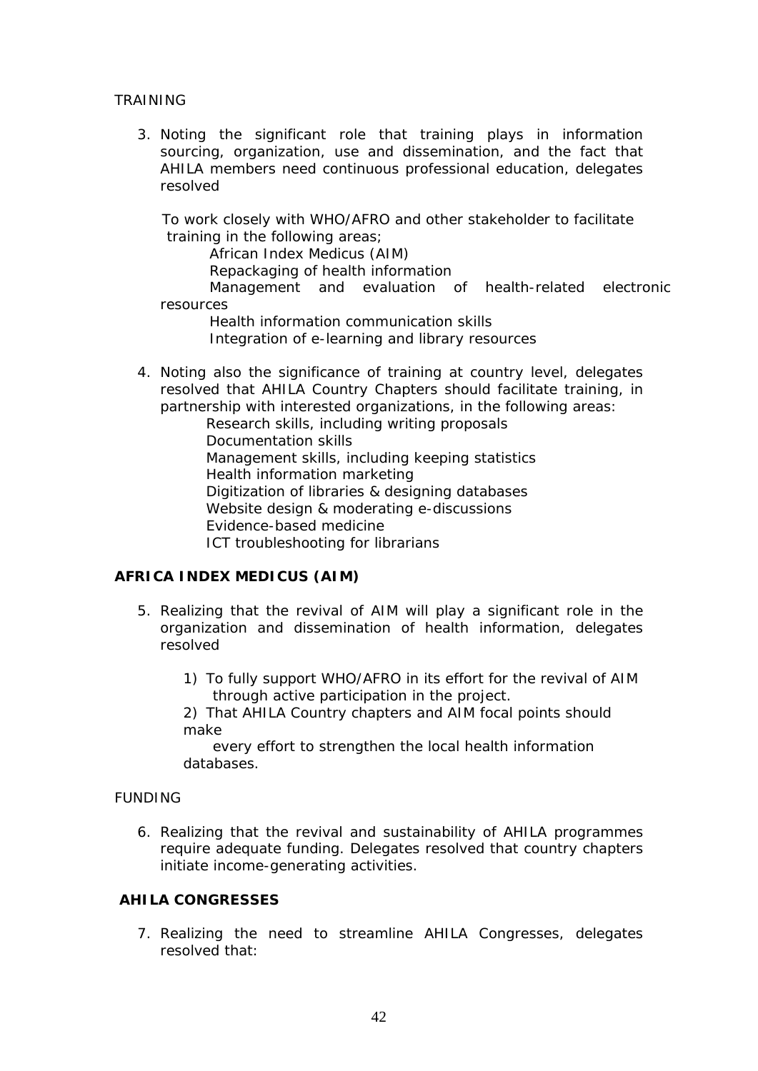## TRAINING

3. Noting the significant role that training plays in information sourcing, organization, use and dissemination, and the fact that AHILA members need continuous professional education, delegates resolved

 To work closely with WHO/AFRO and other stakeholder to facilitate training in the following areas;

African Index Medicus (AIM)

Repackaging of health information

 Management and evaluation of health-related electronic resources

 Health information communication skills Integration of e-learning and library resources

4. Noting also the significance of training at country level, delegates resolved that AHILA Country Chapters should facilitate training, in partnership with interested organizations, in the following areas:

 Research skills, including writing proposals Documentation skills Management skills, including keeping statistics Health information marketing Digitization of libraries & designing databases Website design & moderating e-discussions Evidence-based medicine ICT troubleshooting for librarians

# **AFRICA INDEX MEDICUS (AIM)**

- 5. Realizing that the revival of AIM will play a significant role in the organization and dissemination of health information, delegates resolved
	- 1) To fully support WHO/AFRO in its effort for the revival of AIM through active participation in the project.

2) That AHILA Country chapters and AIM focal points should make

 every effort to strengthen the local health information databases.

#### FUNDING

6. Realizing that the revival and sustainability of AHILA programmes require adequate funding. Delegates resolved that country chapters initiate income-generating activities.

# **AHILA CONGRESSES**

7. Realizing the need to streamline AHILA Congresses, delegates resolved that: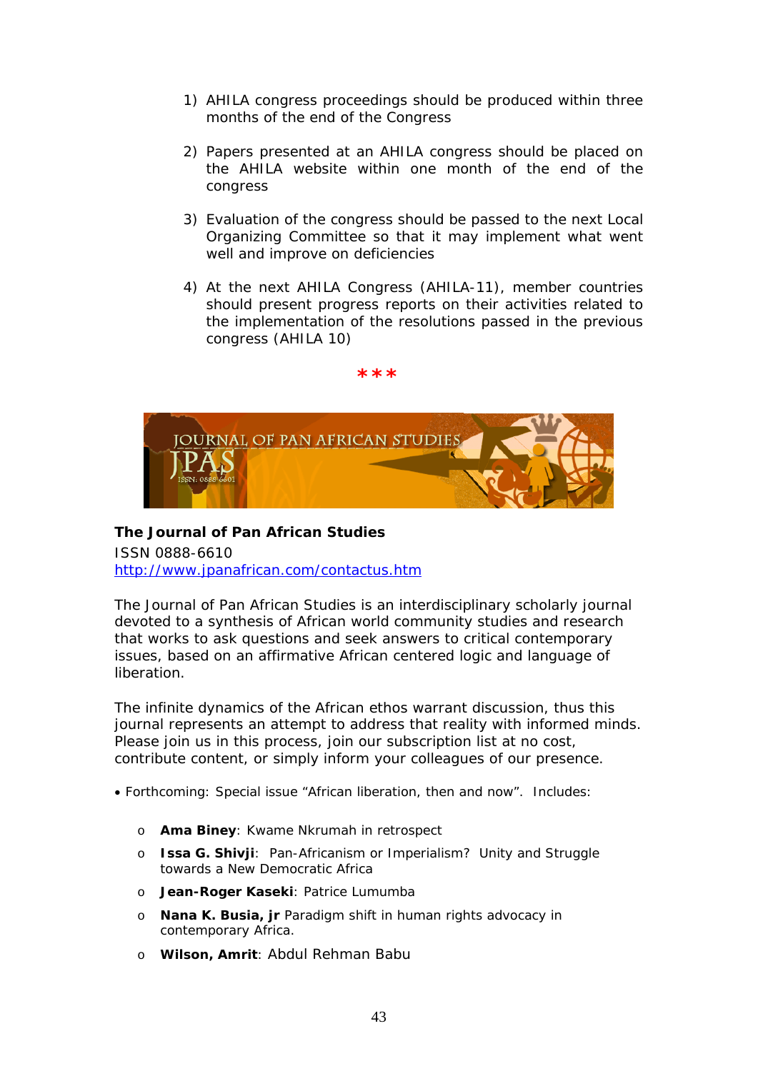- 1) AHILA congress proceedings should be produced within three months of the end of the Congress
- 2) Papers presented at an AHILA congress should be placed on the AHILA website within one month of the end of the congress
- 3) Evaluation of the congress should be passed to the next Local Organizing Committee so that it may implement what went well and improve on deficiencies
- 4) At the next AHILA Congress (AHILA-11), member countries should present progress reports on their activities related to the implementation of the resolutions passed in the previous congress (AHILA 10)



**\*\*\*** 

*The Journal of Pan African Studies*  ISSN 0888-6610 http://www.jpanafrican.com/contactus.htm

*The Journal of Pan African Studies* is an interdisciplinary scholarly journal devoted to a synthesis of African world community studies and research that works to ask questions and seek answers to critical contemporary issues, based on an affirmative African centered logic and language of liberation.

The infinite dynamics of the African ethos warrant discussion, thus this journal represents an attempt to address that reality with informed minds. Please join us in this process, join our subscription list at no cost, contribute content, or simply inform your colleagues of our presence.

- Forthcoming: Special issue "African liberation, then and now". Includes:
	- o **Ama Biney**: Kwame Nkrumah in retrospect
	- o **Issa G. Shivji**: Pan-Africanism or Imperialism? Unity and Struggle towards a New Democratic Africa
	- o **Jean-Roger Kaseki**: Patrice Lumumba
	- o **Nana K. Busia, jr** Paradigm shift in human rights advocacy in contemporary Africa.
	- o **Wilson, Amrit**: Abdul Rehman Babu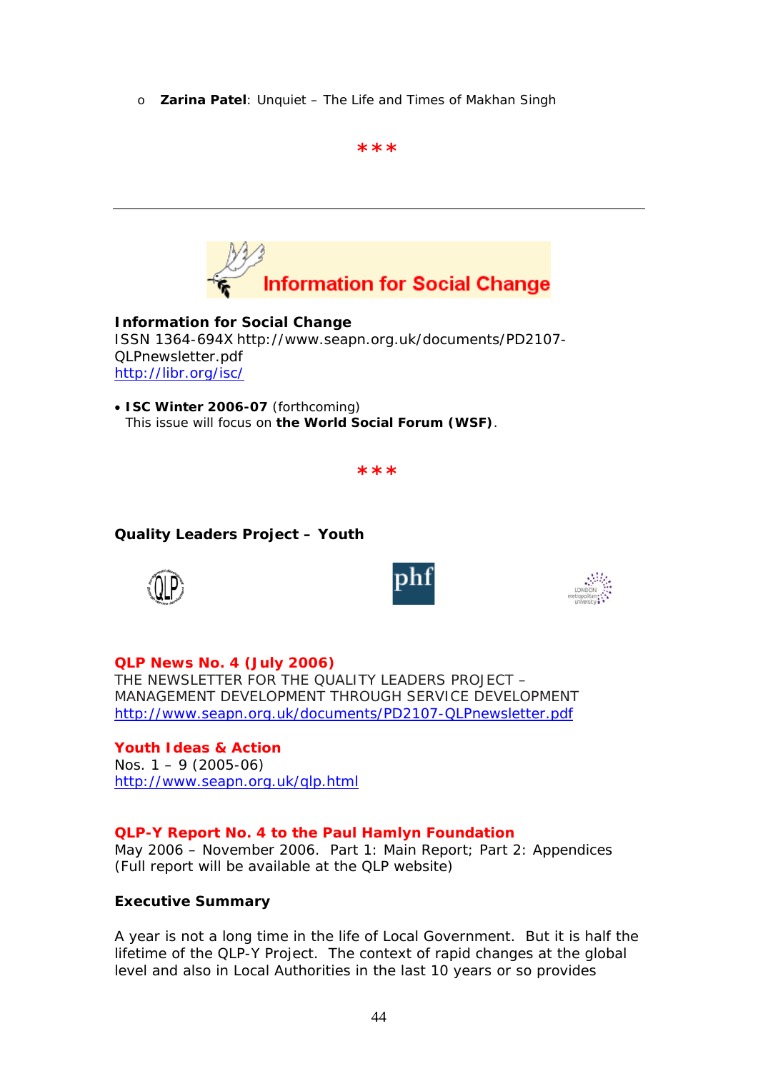o **Zarina Patel**: Unquiet – The Life and Times of Makhan Singh







**QLP News No. 4 (July 2006)** 

THE NEWSLETTER FOR THE QUALITY LEADERS PROJECT – MANAGEMENT DEVELOPMENT THROUGH SERVICE DEVELOPMENT http://www.seapn.org.uk/documents/PD2107-QLPnewsletter.pdf

**Youth Ideas & Action**  Nos.  $1 - 9$  (2005-06) http://www.seapn.org.uk/qlp.html

# **QLP-Y Report No. 4 to the Paul Hamlyn Foundation**

May 2006 – November 2006. Part 1: Main Report; Part 2: Appendices (Full report will be available at the QLP website)

#### **Executive Summary**

A year is not a long time in the life of Local Government. But it is half the lifetime of the QLP-Y Project. The context of rapid changes at the global level and also in Local Authorities in the last 10 years or so provides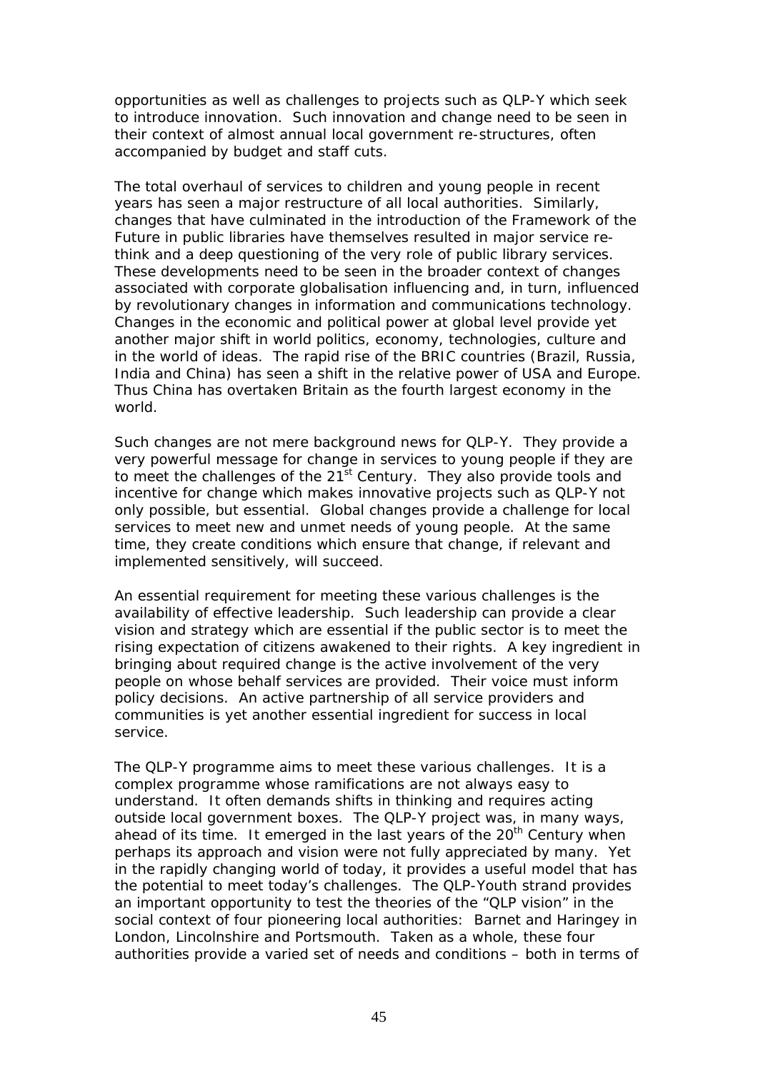opportunities as well as challenges to projects such as QLP-Y which seek to introduce innovation. Such innovation and change need to be seen in their context of almost annual local government re-structures, often accompanied by budget and staff cuts.

The total overhaul of services to children and young people in recent years has seen a major restructure of all local authorities. Similarly, changes that have culminated in the introduction of the Framework of the Future in public libraries have themselves resulted in major service rethink and a deep questioning of the very role of public library services. These developments need to be seen in the broader context of changes associated with corporate globalisation influencing and, in turn, influenced by revolutionary changes in information and communications technology. Changes in the economic and political power at global level provide yet another major shift in world politics, economy, technologies, culture and in the world of ideas. The rapid rise of the BRIC countries (Brazil, Russia, India and China) has seen a shift in the relative power of USA and Europe. Thus China has overtaken Britain as the fourth largest economy in the world.

Such changes are not mere background news for QLP-Y. They provide a very powerful message for change in services to young people if they are to meet the challenges of the 21<sup>st</sup> Century. They also provide tools and incentive for change which makes innovative projects such as QLP-Y not only possible, but essential. Global changes provide a challenge for local services to meet new and unmet needs of young people. At the same time, they create conditions which ensure that change, if relevant and implemented sensitively, will succeed.

An essential requirement for meeting these various challenges is the availability of effective leadership. Such leadership can provide a clear vision and strategy which are essential if the public sector is to meet the rising expectation of citizens awakened to their rights. A key ingredient in bringing about required change is the active involvement of the very people on whose behalf services are provided. Their voice must inform policy decisions. An active partnership of all service providers and communities is yet another essential ingredient for success in local service.

The QLP-Y programme aims to meet these various challenges. It is a complex programme whose ramifications are not always easy to understand. It often demands shifts in thinking and requires acting outside local government boxes. The QLP-Y project was, in many ways, ahead of its time. It emerged in the last years of the 20<sup>th</sup> Century when perhaps its approach and vision were not fully appreciated by many. Yet in the rapidly changing world of today, it provides a useful model that has the potential to meet today's challenges. The QLP-Youth strand provides an important opportunity to test the theories of the "QLP vision" in the social context of four pioneering local authorities: Barnet and Haringey in London, Lincolnshire and Portsmouth. Taken as a whole, these four authorities provide a varied set of needs and conditions – both in terms of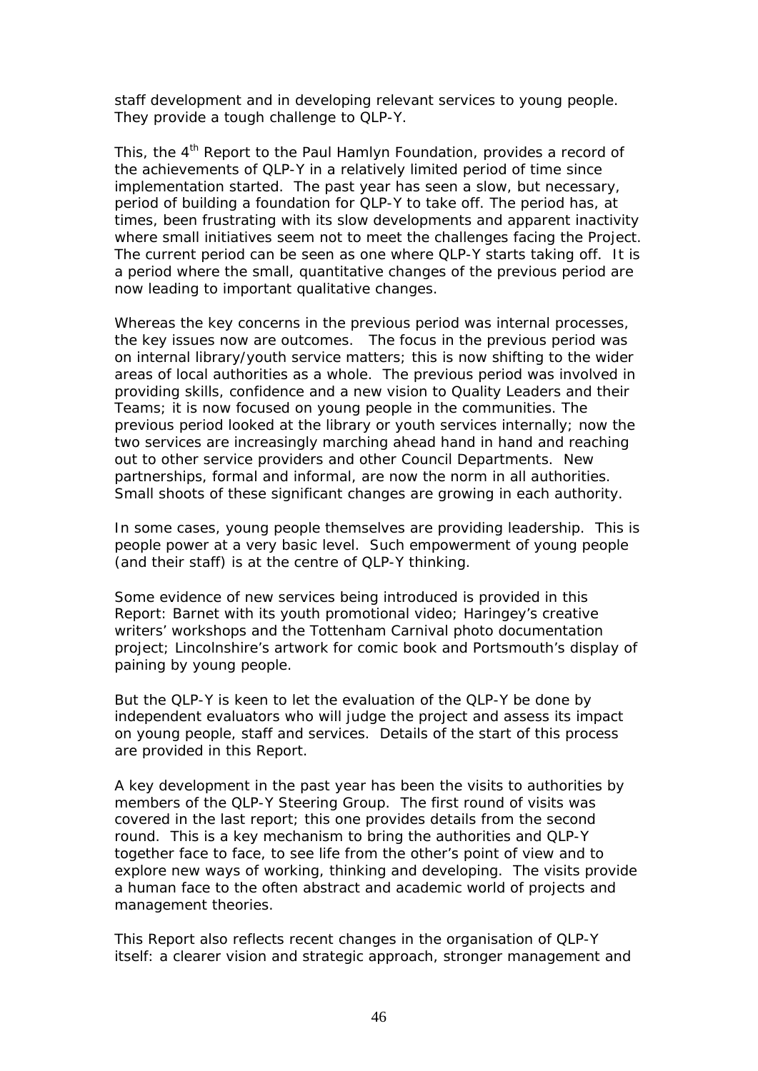staff development and in developing relevant services to young people. They provide a tough challenge to QLP-Y.

This, the 4<sup>th</sup> Report to the Paul Hamlyn Foundation, provides a record of the achievements of QLP-Y in a relatively limited period of time since implementation started. The past year has seen a slow, but necessary, period of building a foundation for QLP-Y to take off. The period has, at times, been frustrating with its slow developments and apparent inactivity where small initiatives seem not to meet the challenges facing the Project. The current period can be seen as one where QLP-Y starts taking off. It is a period where the small, quantitative changes of the previous period are now leading to important qualitative changes.

Whereas the key concerns in the previous period was internal processes, the key issues now are outcomes. The focus in the previous period was on internal library/youth service matters; this is now shifting to the wider areas of local authorities as a whole. The previous period was involved in providing skills, confidence and a new vision to Quality Leaders and their Teams; it is now focused on young people in the communities. The previous period looked at the library or youth services internally; now the two services are increasingly marching ahead hand in hand and reaching out to other service providers and other Council Departments. New partnerships, formal and informal, are now the norm in all authorities. Small shoots of these significant changes are growing in each authority.

In some cases, young people themselves are providing leadership. This is people power at a very basic level. Such empowerment of young people (and their staff) is at the centre of QLP-Y thinking.

Some evidence of new services being introduced is provided in this Report: Barnet with its youth promotional video; Haringey's creative writers' workshops and the Tottenham Carnival photo documentation project; Lincolnshire's artwork for comic book and Portsmouth's display of paining by young people.

But the QLP-Y is keen to let the evaluation of the QLP-Y be done by independent evaluators who will judge the project and assess its impact on young people, staff and services. Details of the start of this process are provided in this Report.

A key development in the past year has been the visits to authorities by members of the QLP-Y Steering Group. The first round of visits was covered in the last report; this one provides details from the second round. This is a key mechanism to bring the authorities and QLP-Y together face to face, to see life from the other's point of view and to explore new ways of working, thinking and developing. The visits provide a human face to the often abstract and academic world of projects and management theories.

This Report also reflects recent changes in the organisation of QLP-Y itself: a clearer vision and strategic approach, stronger management and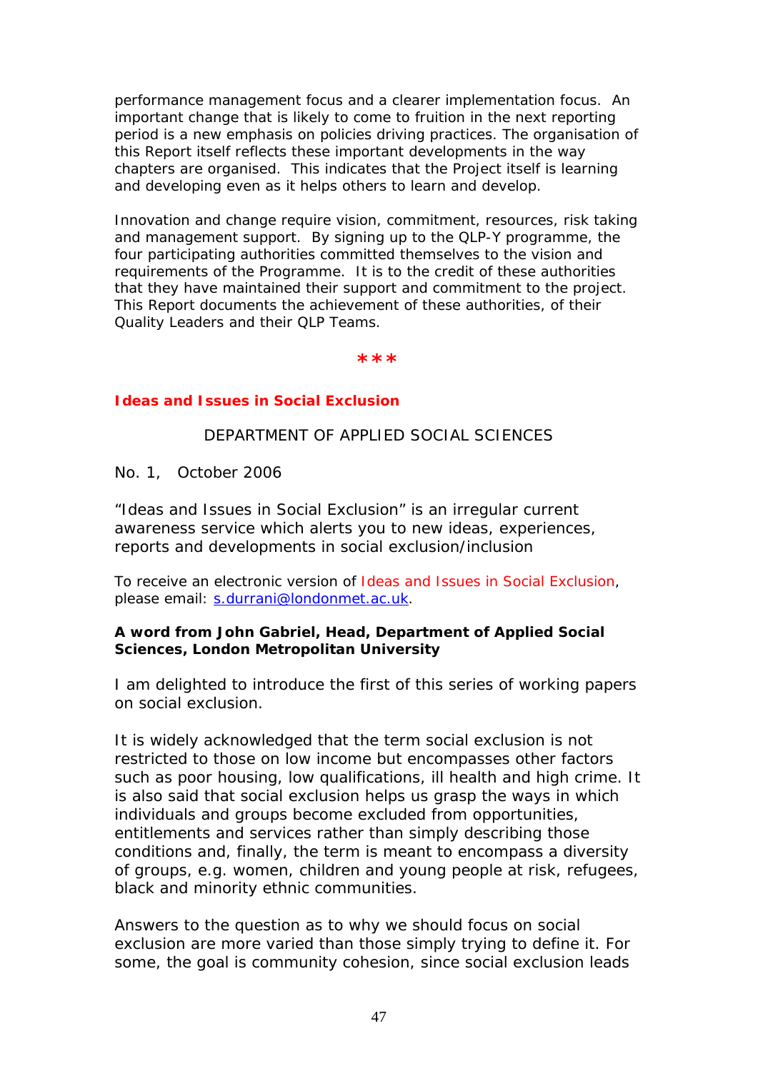performance management focus and a clearer implementation focus. An important change that is likely to come to fruition in the next reporting period is a new emphasis on policies driving practices. The organisation of this Report itself reflects these important developments in the way chapters are organised. This indicates that the Project itself is learning and developing even as it helps others to learn and develop.

Innovation and change require vision, commitment, resources, risk taking and management support. By signing up to the QLP-Y programme, the four participating authorities committed themselves to the vision and requirements of the Programme. It is to the credit of these authorities that they have maintained their support and commitment to the project. This Report documents the achievement of these authorities, of their Quality Leaders and their QLP Teams.

**\*\*\*** 

## **Ideas and Issues in Social Exclusion**

## DEPARTMENT OF APPLIED SOCIAL SCIENCES

No. 1, October 2006

*"Ideas and Issues in Social Exclusion" is an irregular current awareness service which alerts you to new ideas, experiences, reports and developments in social exclusion/inclusion* 

To receive an electronic version of Ideas and Issues in Social Exclusion, please email: s.durrani@londonmet.ac.uk.

## **A word from John Gabriel, Head, Department of Applied Social Sciences, London Metropolitan University**

I am delighted to introduce the first of this series of working papers on social exclusion.

It is widely acknowledged that the term social exclusion is not restricted to those on low income but encompasses other factors such as poor housing, low qualifications, ill health and high crime. It is also said that social exclusion helps us grasp the ways in which individuals and groups *become* excluded from opportunities, entitlements and services rather than simply describing those conditions and, finally, the term is meant to encompass a diversity of groups, e.g. women, children and young people at risk, refugees, black and minority ethnic communities.

Answers to the question as to why we should focus on social exclusion are more varied than those simply trying to define it. For some, the goal is community cohesion, since social exclusion leads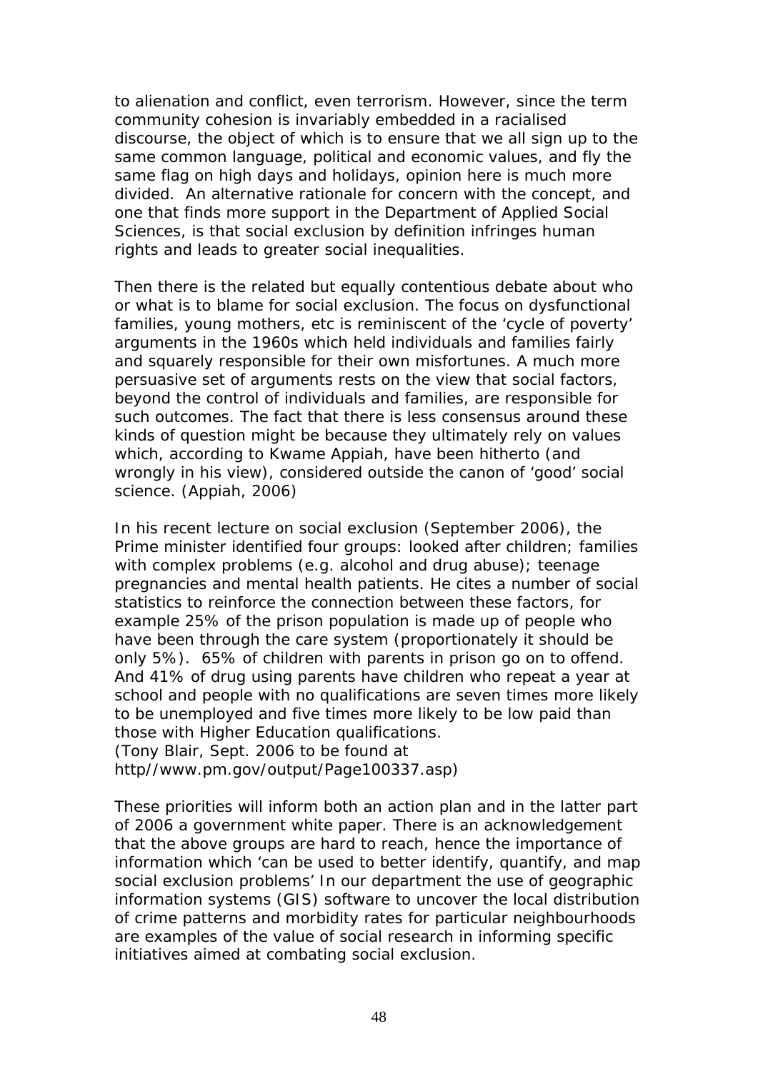to alienation and conflict, even terrorism. However, since the term community cohesion is invariably embedded in a racialised discourse, the object of which is to ensure that we all sign up to the same common language, political and economic values, and fly the same flag on high days and holidays, opinion here is much more divided. An alternative rationale for concern with the concept, and one that finds more support in the Department of Applied Social Sciences, is that social exclusion by definition infringes human rights and leads to greater social inequalities.

Then there is the related but equally contentious debate about who or what is to blame for social exclusion. The focus on dysfunctional families, young mothers, etc is reminiscent of the 'cycle of poverty' arguments in the 1960s which held individuals and families fairly and squarely responsible for their own misfortunes. A much more persuasive set of arguments rests on the view that social factors, beyond the control of individuals and families, are responsible for such outcomes. The fact that there is less consensus around these kinds of question might be because they ultimately rely on values which, according to Kwame Appiah, have been hitherto (and wrongly in his view), considered outside the canon of 'good' social science. (Appiah, 2006)

In his recent lecture on social exclusion (September 2006), the Prime minister identified four groups: looked after children; families with complex problems (e.g. alcohol and drug abuse); teenage pregnancies and mental health patients. He cites a number of social statistics to reinforce the connection between these factors, for example 25% of the prison population is made up of people who have been through the care system (proportionately it should be only 5%). 65% of children with parents in prison go on to offend. And 41% of drug using parents have children who repeat a year at school and people with no qualifications are seven times more likely to be unemployed and five times more likely to be low paid than those with Higher Education qualifications. (Tony Blair, Sept. 2006 to be found at http//www.pm.gov/output/Page100337.asp)

These priorities will inform both an action plan and in the latter part of 2006 a government white paper. There is an acknowledgement that the above groups are hard to reach, hence the importance of information which 'can be used to better identify, quantify, and map social exclusion problems' In our department the use of geographic information systems (GIS) software to uncover the local distribution of crime patterns and morbidity rates for particular neighbourhoods are examples of the value of social research in informing specific initiatives aimed at combating social exclusion.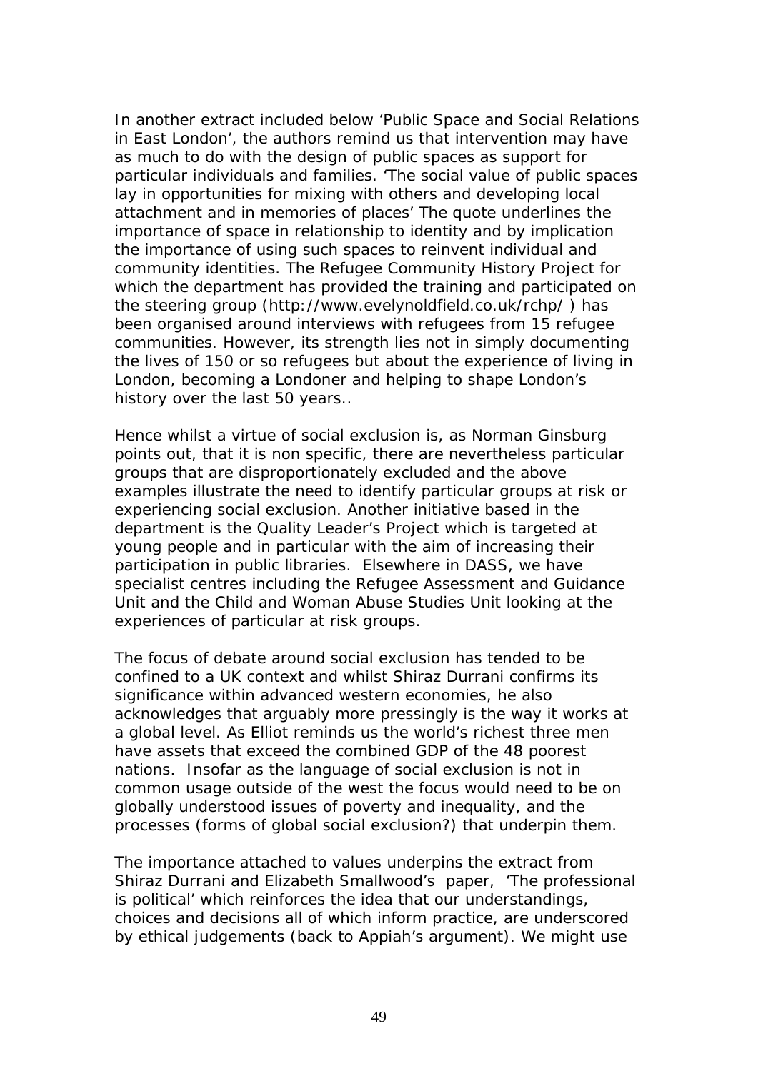In another extract included below 'Public Space and Social Relations in East London', the authors remind us that intervention may have as much to do with the design of public spaces as support for particular individuals and families. 'The social value of public spaces lay in opportunities for mixing with others and developing local attachment and in memories of places' The quote underlines the importance of space in relationship to identity and by implication the importance of using such spaces to reinvent individual and community identities. The Refugee Community History Project for which the department has provided the training and participated on the steering group (http://www.evelynoldfield.co.uk/rchp/ ) has been organised around interviews with refugees from 15 refugee communities. However, its strength lies not in simply documenting the lives of 150 or so refugees but about the experience of living in London, becoming a Londoner and helping to shape London's history over the last 50 years..

Hence whilst a virtue of social exclusion is, as Norman Ginsburg points out, that it is non specific, there are nevertheless particular groups that are disproportionately excluded and the above examples illustrate the need to identify particular groups at risk or experiencing social exclusion. Another initiative based in the department is the Quality Leader's Project which is targeted at young people and in particular with the aim of increasing their participation in public libraries. Elsewhere in DASS, we have specialist centres including the Refugee Assessment and Guidance Unit and the Child and Woman Abuse Studies Unit looking at the experiences of particular at risk groups.

The focus of debate around social exclusion has tended to be confined to a UK context and whilst Shiraz Durrani confirms its significance within advanced western economies, he also acknowledges that arguably more pressingly is the way it works at a global level. As Elliot reminds us the world's richest three men have assets that exceed the combined GDP of the 48 poorest nations. Insofar as the language of social exclusion is not in common usage outside of the west the focus would need to be on globally understood issues of poverty and inequality, and the processes (forms of global social exclusion?) that underpin them.

The importance attached to values underpins the extract from Shiraz Durrani and Elizabeth Smallwood's paper, 'The professional is political' which reinforces the idea that our understandings, choices and decisions all of which inform practice, are underscored by ethical judgements (back to Appiah's argument). We might use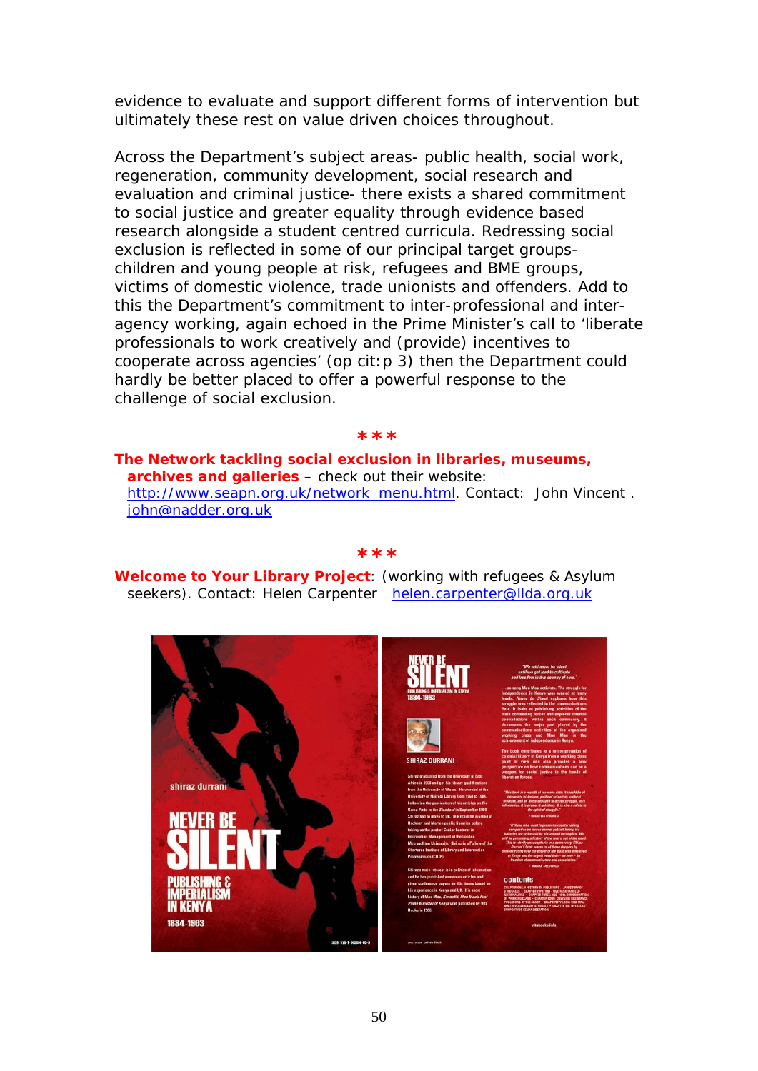evidence to evaluate and support different forms of intervention but ultimately these rest on value driven choices throughout.

Across the Department's subject areas- public health, social work, regeneration, community development, social research and evaluation and criminal justice- there exists a shared commitment to social justice and greater equality through evidence based research alongside a student centred curricula. Redressing social exclusion is reflected in some of our principal target groupschildren and young people at risk, refugees and BME groups, victims of domestic violence, trade unionists and offenders. Add to this the Department's commitment to inter-professional and interagency working, again echoed in the Prime Minister's call to 'liberate professionals to work creatively and (provide) incentives to cooperate across agencies' (op cit:p 3) then the Department could hardly be better placed to offer a powerful response to the challenge of social exclusion.

#### **\*\*\***

**The Network tackling social exclusion in libraries, museums, archives and galleries** – check out their website: http://www.seapn.org.uk/network\_menu.html. Contact: John Vincent . john@nadder.org.uk

#### **\*\*\***

#### **Welcome to Your Library Project**: (working with refugees & Asylum seekers). Contact: Helen Carpenter helen.carpenter@llda.org.uk

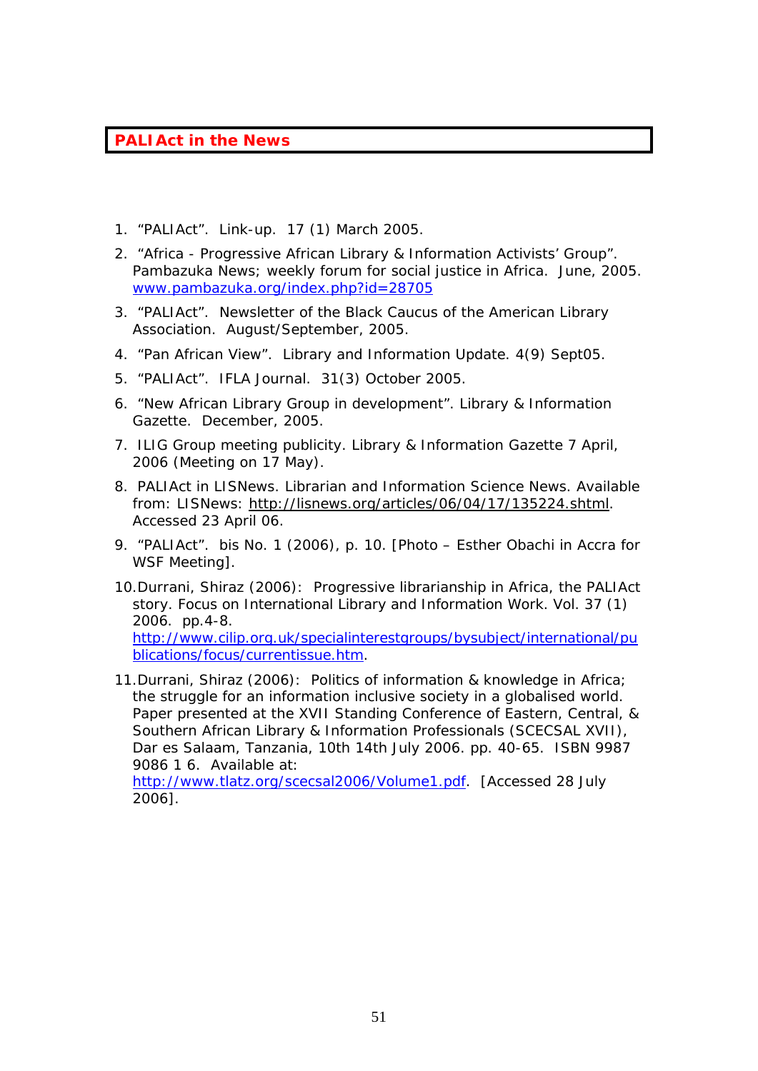## **PALIAct in the News**

- *1.* "PALIAct". *Link-up*. 17 (1) March 2005.
- 2. "Africa Progressive African Library & Information Activists' Group". *Pambazuka News; weekly forum for social justice in Africa.* June, 2005. www.pambazuka.org/index.php?id=28705
- 3. "PALIAct"*. Newsletter of the Black Caucus of the American Library Association.* August/September, 2005.
- 4. "Pan African View". *Library and Information Update*. 4(9) Sept05.
- *5.* "PALIAct". *IFLA Journal*. 31(3) October 2005.
- 6. "New African Library Group in development"*. Library & Information Gazette*. December, 2005.
- 7. ILIG Group meeting publicity. *Library & Information Gazette* 7 April, 2006 (Meeting on 17 May).
- 8. PALIAct in LISNews. Librarian and Information Science News. Available from: LISNews: http://lisnews.org/articles/06/04/17/135224.shtml. Accessed 23 April 06.
- 9. "PALIAct". *bis* No. 1 (2006), p. 10. [Photo Esther Obachi in Accra for WSF Meeting].
- 10.Durrani, Shiraz (2006): Progressive librarianship in Africa, the PALIAct story. *Focus on International Library and Information Work.* Vol. 37 (1) 2006. pp.4-8. *http://www.cilip.org.uk/specialinterestgroups/bysubject/international/pu blications/focus/currentissue.htm*.
- 11.Durrani, Shiraz (2006): Politics of information & knowledge in Africa; the struggle for an information inclusive society in a globalised world. Paper presented at the XVII Standing Conference of Eastern, Central, & Southern African Library & Information Professionals (SCECSAL XVII), Dar es Salaam, Tanzania, 10th 14th July 2006. pp. 40-65. ISBN 9987 9086 1 6. Available at:

http://www.tlatz.org/scecsal2006/Volume1.pdf. [Accessed 28 July 2006].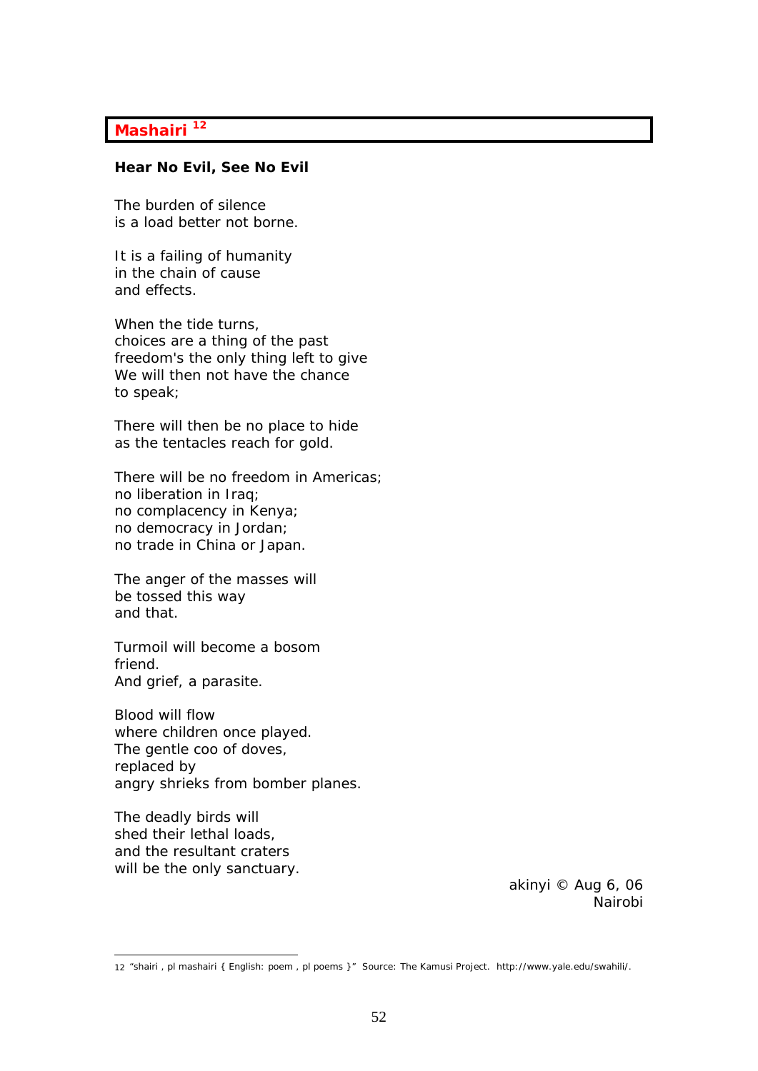# **Mashairi 12**

#### *Hear No Evil, See No Evil*

The burden of silence is a load better not borne.

It is a failing of humanity in the chain of cause and effects.

When the tide turns, choices are a thing of the past freedom's the only thing left to give We will then not have the chance to speak;

There will then be no place to hide as the tentacles reach for gold.

There will be no freedom in Americas; no liberation in Iraq; no complacency in Kenya; no democracy in Jordan; no trade in China or Japan.

The anger of the masses will be tossed this way and that.

Turmoil will become a bosom friend. And grief, a parasite.

Blood will flow where children once played. The gentle coo of doves, replaced by angry shrieks from bomber planes.

The deadly birds will shed their lethal loads, and the resultant craters will be the only sanctuary.

1

*akinyi © Aug 6, 06*  Nairobi

<sup>12</sup> "shairi , pl mashairi { English: poem , pl poems }" Source: The Kamusi Project. http://www.yale.edu/swahili/.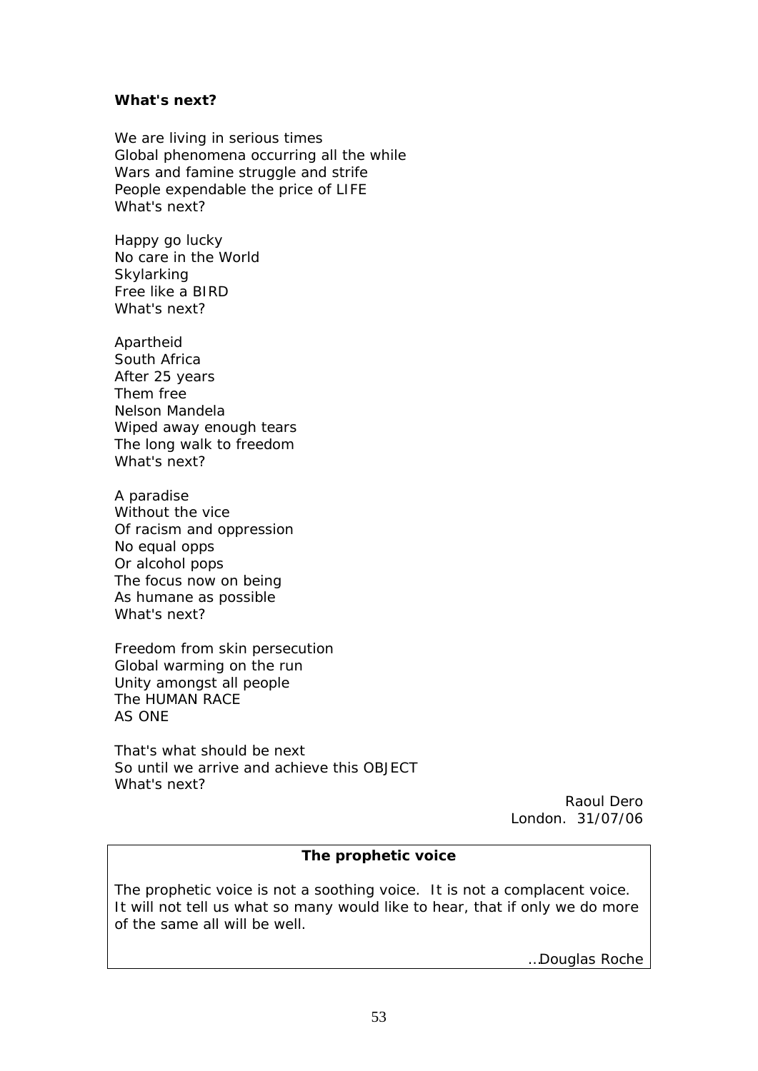## *What's next?*

We are living in serious times Global phenomena occurring all the while Wars and famine struggle and strife People expendable the price of LIFE What's next?

Happy go lucky No care in the World **Skylarking** Free like a BIRD What's next?

Apartheid South Africa After 25 years Them free Nelson Mandela Wiped away enough tears The long walk to freedom What's next?

A paradise Without the vice Of racism and oppression No equal opps Or alcohol pops The focus now on being As humane as possible What's next?

Freedom from skin persecution Global warming on the run Unity amongst all people The HUMAN RACE AS ONE

That's what should be next So until we arrive and achieve this OBJECT What's next?

> Raoul Dero London. 31/07/06

#### **The prophetic voice**

The prophetic voice is not a soothing voice. It is not a complacent voice. It will not tell us what so many would like to hear, that if only we do more of the same all will be well.

…Douglas Roche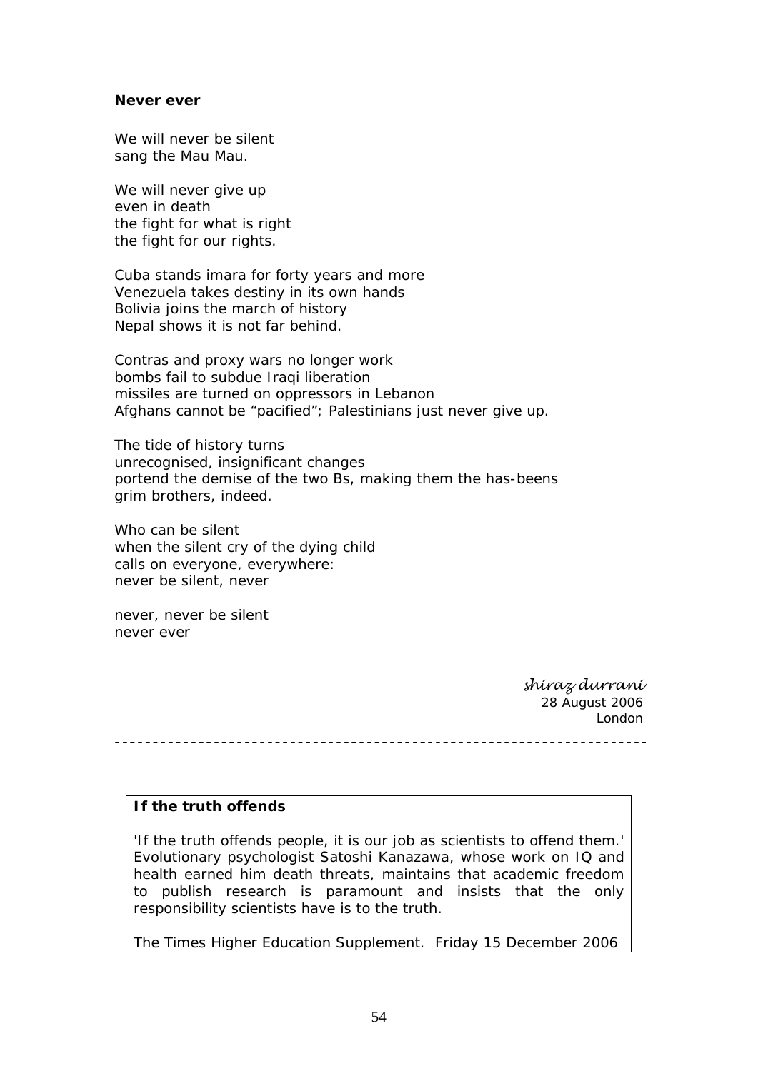#### *Never ever*

We will never be silent sang the Mau Mau.

We will never give up even in death the fight for what is right the fight for our rights.

Cuba stands *imara* for forty years and more Venezuela takes destiny in its own hands Bolivia joins the march of history Nepal shows it is not far behind.

Contras and proxy wars no longer work bombs fail to subdue Iraqi liberation missiles are turned on oppressors in Lebanon Afghans cannot be "pacified"; Palestinians just never give up.

The tide of history turns unrecognised, insignificant changes portend the demise of the two Bs, making them the has-beens grim brothers, indeed.

Who can be silent when the silent cry of the dying child calls on everyone, everywhere: never be silent, never

never, never be silent never ever

> *shiraz durrani*  28 August 2006 London

# 

# **If the truth offends**

'If the truth offends people, it is our job as scientists to offend them.' Evolutionary psychologist Satoshi Kanazawa, whose work on IQ and health earned him death threats, maintains that academic freedom to publish research is paramount and insists that the only responsibility scientists have is to the truth.

*The Times Higher Education Supplement*. Friday 15 December 2006